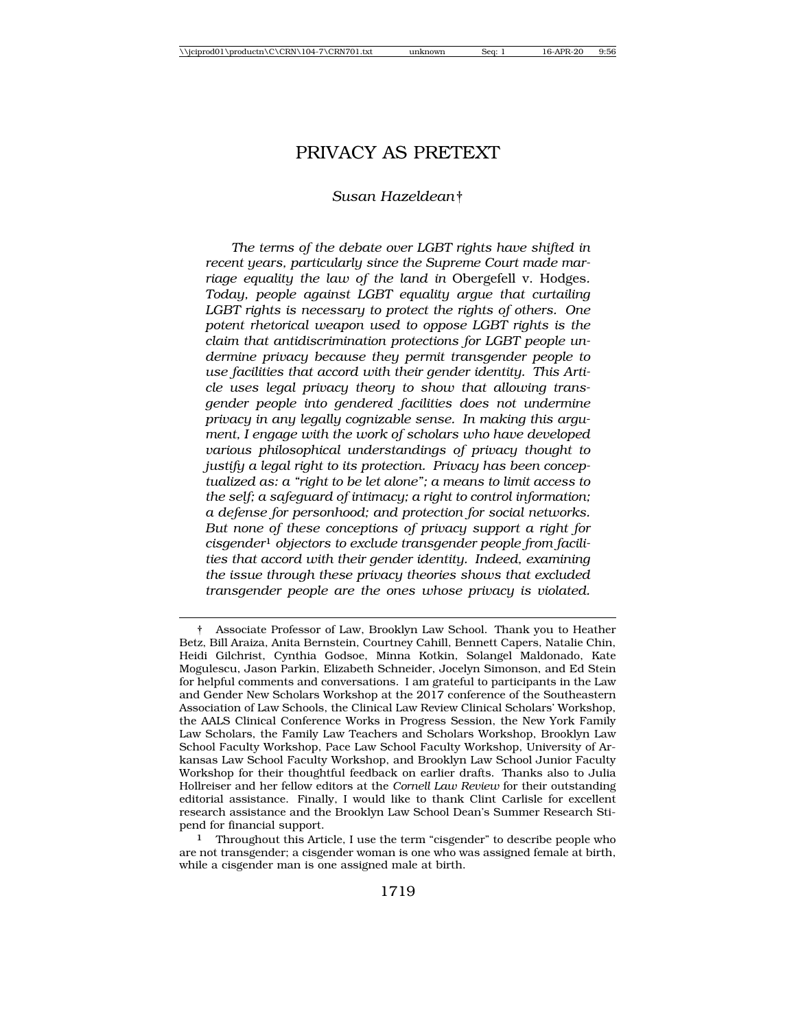# PRIVACY AS PRETEXT

### *Susan Hazeldean*†

*The terms of the debate over LGBT rights have shifted in recent years, particularly since the Supreme Court made marriage equality the law of the land in* Obergefell v. Hodges*. Today, people against LGBT equality argue that curtailing LGBT rights is necessary to protect the rights of others. One potent rhetorical weapon used to oppose LGBT rights is the claim that antidiscrimination protections for LGBT people undermine privacy because they permit transgender people to use facilities that accord with their gender identity. This Article uses legal privacy theory to show that allowing transgender people into gendered facilities does not undermine privacy in any legally cognizable sense. In making this argument, I engage with the work of scholars who have developed various philosophical understandings of privacy thought to justify a legal right to its protection. Privacy has been conceptualized as: a "right to be let alone"; a means to limit access to the self; a safeguard of intimacy; a right to control information; a defense for personhood; and protection for social networks. But none of these conceptions of privacy support a right for cisgender*1 *objectors to exclude transgender people from facilities that accord with their gender identity. Indeed, examining the issue through these privacy theories shows that excluded transgender people are the ones whose privacy is violated.*

<sup>†</sup> Associate Professor of Law, Brooklyn Law School. Thank you to Heather Betz, Bill Araiza, Anita Bernstein, Courtney Cahill, Bennett Capers, Natalie Chin, Heidi Gilchrist, Cynthia Godsoe, Minna Kotkin, Solangel Maldonado, Kate Mogulescu, Jason Parkin, Elizabeth Schneider, Jocelyn Simonson, and Ed Stein for helpful comments and conversations. I am grateful to participants in the Law and Gender New Scholars Workshop at the 2017 conference of the Southeastern Association of Law Schools, the Clinical Law Review Clinical Scholars' Workshop, the AALS Clinical Conference Works in Progress Session, the New York Family Law Scholars, the Family Law Teachers and Scholars Workshop, Brooklyn Law School Faculty Workshop, Pace Law School Faculty Workshop, University of Arkansas Law School Faculty Workshop, and Brooklyn Law School Junior Faculty Workshop for their thoughtful feedback on earlier drafts. Thanks also to Julia Hollreiser and her fellow editors at the *Cornell Law Review* for their outstanding editorial assistance. Finally, I would like to thank Clint Carlisle for excellent research assistance and the Brooklyn Law School Dean's Summer Research Stipend for financial support.

<sup>&</sup>lt;sup>1</sup> Throughout this Article, I use the term "cisgender" to describe people who are not transgender; a cisgender woman is one who was assigned female at birth, while a cisgender man is one assigned male at birth.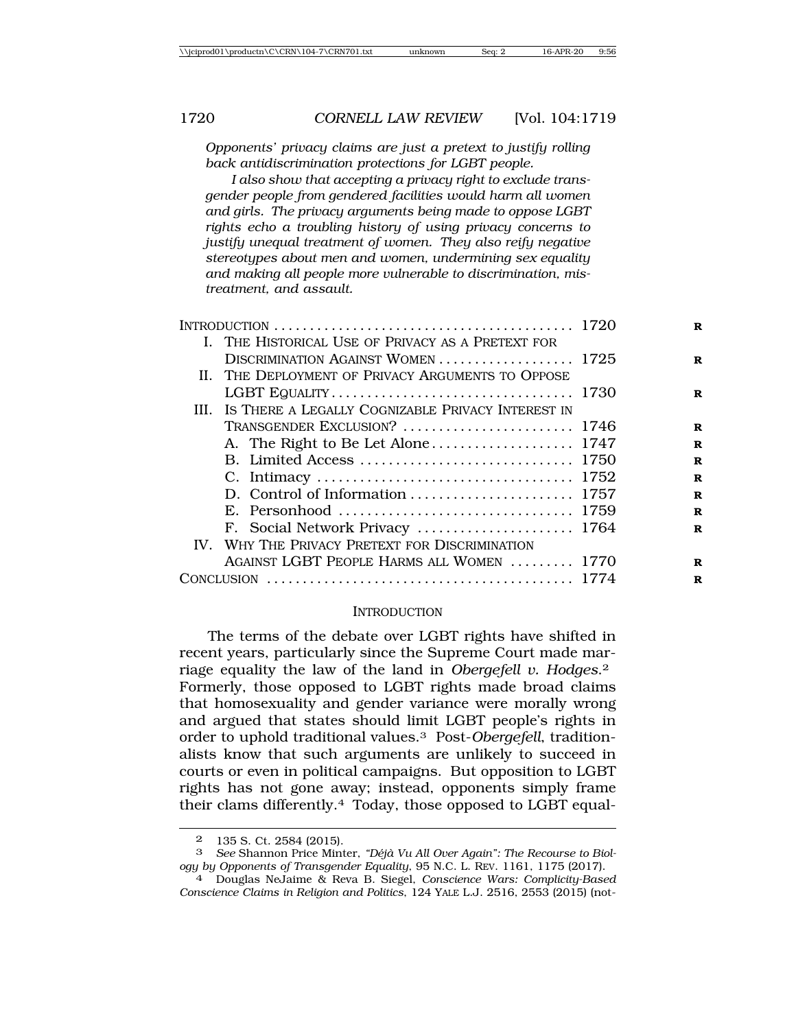*Opponents' privacy claims are just a pretext to justify rolling back antidiscrimination protections for LGBT people.*

*I also show that accepting a privacy right to exclude transgender people from gendered facilities would harm all women and girls. The privacy arguments being made to oppose LGBT rights echo a troubling history of using privacy concerns to justify unequal treatment of women. They also reify negative stereotypes about men and women, undermining sex equality and making all people more vulnerable to discrimination, mistreatment, and assault.*

| INTRODUCTION $\ldots \ldots \ldots \ldots \ldots \ldots \ldots \ldots \ldots \ldots \ldots \ldots \ldots 1720$ |                                                        |  |  |
|----------------------------------------------------------------------------------------------------------------|--------------------------------------------------------|--|--|
|                                                                                                                | I. THE HISTORICAL USE OF PRIVACY AS A PRETEXT FOR      |  |  |
|                                                                                                                | DISCRIMINATION AGAINST WOMEN  1725                     |  |  |
|                                                                                                                | II. THE DEPLOYMENT OF PRIVACY ARGUMENTS TO OPPOSE      |  |  |
|                                                                                                                |                                                        |  |  |
|                                                                                                                | III. IS THERE A LEGALLY COGNIZABLE PRIVACY INTEREST IN |  |  |
|                                                                                                                | TRANSGENDER EXCLUSION?  1746                           |  |  |
|                                                                                                                |                                                        |  |  |
|                                                                                                                |                                                        |  |  |
|                                                                                                                |                                                        |  |  |
|                                                                                                                |                                                        |  |  |
|                                                                                                                |                                                        |  |  |
|                                                                                                                |                                                        |  |  |
|                                                                                                                | IV. WHY THE PRIVACY PRETEXT FOR DISCRIMINATION         |  |  |
|                                                                                                                | AGAINST LGBT PEOPLE HARMS ALL WOMEN  1770              |  |  |
|                                                                                                                |                                                        |  |  |
|                                                                                                                |                                                        |  |  |

#### **INTRODUCTION**

The terms of the debate over LGBT rights have shifted in recent years, particularly since the Supreme Court made marriage equality the law of the land in *Obergefell v. Hodges*.2 Formerly, those opposed to LGBT rights made broad claims that homosexuality and gender variance were morally wrong and argued that states should limit LGBT people's rights in order to uphold traditional values.3 Post-*Obergefell*, traditionalists know that such arguments are unlikely to succeed in courts or even in political campaigns. But opposition to LGBT rights has not gone away; instead, opponents simply frame their clams differently.4 Today, those opposed to LGBT equal-

<sup>2</sup> 135 S. Ct. 2584 (2015).

<sup>&</sup>lt;sup>3</sup> *See* Shannon Price Minter, *"Déjà Vu All Over Again": The Recourse to Biology by Opponents of Transgender Equality, 95 N.C. L. REV. 1161, 1175 (2017).* 

<sup>&</sup>lt;sup>4</sup> Douglas NeJaime & Reva B. Siegel, *Conscience Wars: Complicity-Based Conscience Claims in Religion and Politics*, 124 YALE L.J. 2516, 2553 (2015) (not-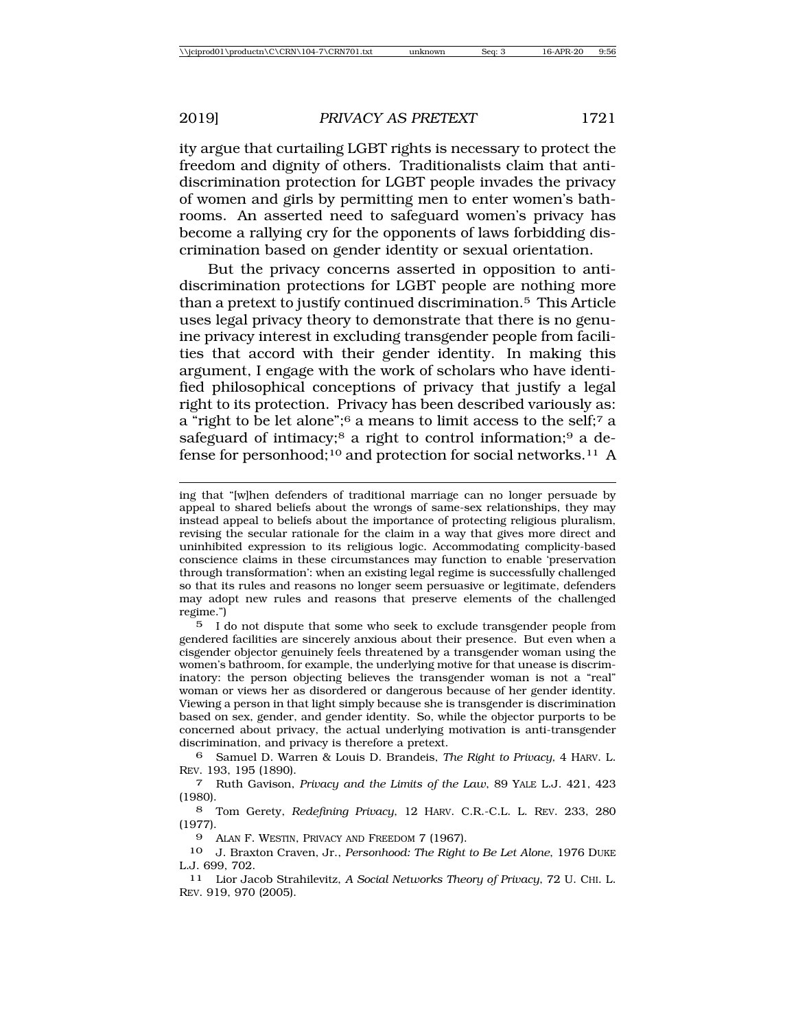ity argue that curtailing LGBT rights is necessary to protect the freedom and dignity of others. Traditionalists claim that antidiscrimination protection for LGBT people invades the privacy of women and girls by permitting men to enter women's bathrooms. An asserted need to safeguard women's privacy has become a rallying cry for the opponents of laws forbidding discrimination based on gender identity or sexual orientation.

But the privacy concerns asserted in opposition to antidiscrimination protections for LGBT people are nothing more than a pretext to justify continued discrimination.5 This Article uses legal privacy theory to demonstrate that there is no genuine privacy interest in excluding transgender people from facilities that accord with their gender identity. In making this argument, I engage with the work of scholars who have identified philosophical conceptions of privacy that justify a legal right to its protection. Privacy has been described variously as: a "right to be let alone";6 a means to limit access to the self;7 a safeguard of intimacy;<sup>8</sup> a right to control information;<sup>9</sup> a defense for personhood;10 and protection for social networks.11 A

5 I do not dispute that some who seek to exclude transgender people from gendered facilities are sincerely anxious about their presence. But even when a cisgender objector genuinely feels threatened by a transgender woman using the women's bathroom, for example, the underlying motive for that unease is discriminatory: the person objecting believes the transgender woman is not a "real" woman or views her as disordered or dangerous because of her gender identity. Viewing a person in that light simply because she is transgender is discrimination based on sex, gender, and gender identity. So, while the objector purports to be concerned about privacy, the actual underlying motivation is anti-transgender discrimination, and privacy is therefore a pretext.

ing that "[w]hen defenders of traditional marriage can no longer persuade by appeal to shared beliefs about the wrongs of same-sex relationships, they may instead appeal to beliefs about the importance of protecting religious pluralism, revising the secular rationale for the claim in a way that gives more direct and uninhibited expression to its religious logic. Accommodating complicity-based conscience claims in these circumstances may function to enable 'preservation through transformation': when an existing legal regime is successfully challenged so that its rules and reasons no longer seem persuasive or legitimate, defenders may adopt new rules and reasons that preserve elements of the challenged regime.")

<sup>6</sup> Samuel D. Warren & Louis D. Brandeis, *The Right to Privacy,* 4 HARV. L. REV. 193, 195 (1890).

<sup>7</sup> Ruth Gavison, *Privacy and the Limits of the Law*, 89 YALE L.J. 421, 423 (1980).

<sup>8</sup> Tom Gerety, *Redefining Privacy*, 12 HARV. C.R.-C.L. L. REV. 233, 280 (1977).

<sup>9</sup> ALAN F. WESTIN, PRIVACY AND FREEDOM 7 (1967).

<sup>10</sup> J. Braxton Craven, Jr., *Personhood: The Right to Be Let Alone*, 1976 DUKE L.J. 699, 702.

<sup>11</sup> Lior Jacob Strahilevitz, *A Social Networks Theory of Privacy*, 72 U. CHI. L. REV. 919, 970 (2005).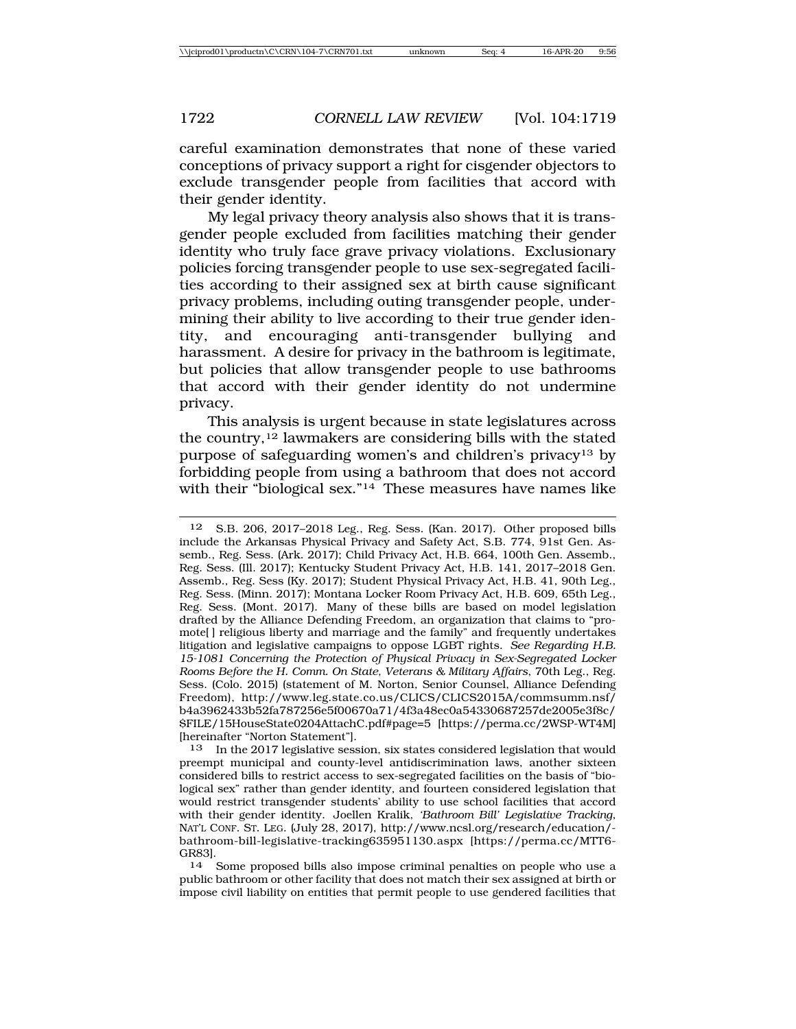careful examination demonstrates that none of these varied conceptions of privacy support a right for cisgender objectors to exclude transgender people from facilities that accord with their gender identity.

My legal privacy theory analysis also shows that it is transgender people excluded from facilities matching their gender identity who truly face grave privacy violations. Exclusionary policies forcing transgender people to use sex-segregated facilities according to their assigned sex at birth cause significant privacy problems, including outing transgender people, undermining their ability to live according to their true gender identity, and encouraging anti-transgender bullying and harassment. A desire for privacy in the bathroom is legitimate, but policies that allow transgender people to use bathrooms that accord with their gender identity do not undermine privacy.

This analysis is urgent because in state legislatures across the country,12 lawmakers are considering bills with the stated purpose of safeguarding women's and children's privacy<sup>13</sup> by forbidding people from using a bathroom that does not accord with their "biological sex."14 These measures have names like

12 S.B. 206, 2017–2018 Leg., Reg. Sess. (Kan. 2017). Other proposed bills include the Arkansas Physical Privacy and Safety Act, S.B. 774, 91st Gen. Assemb., Reg. Sess. (Ark. 2017); Child Privacy Act, H.B. 664, 100th Gen. Assemb., Reg. Sess. (Ill. 2017); Kentucky Student Privacy Act, H.B. 141, 2017–2018 Gen. Assemb., Reg. Sess (Ky. 2017); Student Physical Privacy Act, H.B. 41, 90th Leg., Reg. Sess. (Minn. 2017); Montana Locker Room Privacy Act, H.B. 609, 65th Leg., Reg. Sess. (Mont. 2017). Many of these bills are based on model legislation drafted by the Alliance Defending Freedom, an organization that claims to "promote[ ] religious liberty and marriage and the family" and frequently undertakes litigation and legislative campaigns to oppose LGBT rights. *See Regarding H.B. 15-1081 Concerning the Protection of Physical Privacy in Sex-Segregated Locker Rooms Before the H. Comm. On State, Veterans & Military Affairs*, 70th Leg., Reg. Sess. (Colo. 2015) (statement of M. Norton, Senior Counsel, Alliance Defending Freedom), http://www.leg.state.co.us/CLICS/CLICS2015A/commsumm.nsf/ b4a3962433b52fa787256e5f00670a71/4f3a48ec0a54330687257de2005e3f8c/ \$FILE/15HouseState0204AttachC.pdf#page=5 [https://perma.cc/2WSP-WT4M] [hereinafter "Norton Statement"].

13 In the 2017 legislative session, six states considered legislation that would preempt municipal and county-level antidiscrimination laws, another sixteen considered bills to restrict access to sex-segregated facilities on the basis of "biological sex" rather than gender identity, and fourteen considered legislation that would restrict transgender students' ability to use school facilities that accord with their gender identity. Joellen Kralik, *'Bathroom Bill' Legislative Tracking*, NAT'L CONF. ST. LEG. (July 28, 2017), http://www.ncsl.org/research/education/ bathroom-bill-legislative-tracking635951130.aspx [https://perma.cc/MTT6- GR83].

14 Some proposed bills also impose criminal penalties on people who use a public bathroom or other facility that does not match their sex assigned at birth or impose civil liability on entities that permit people to use gendered facilities that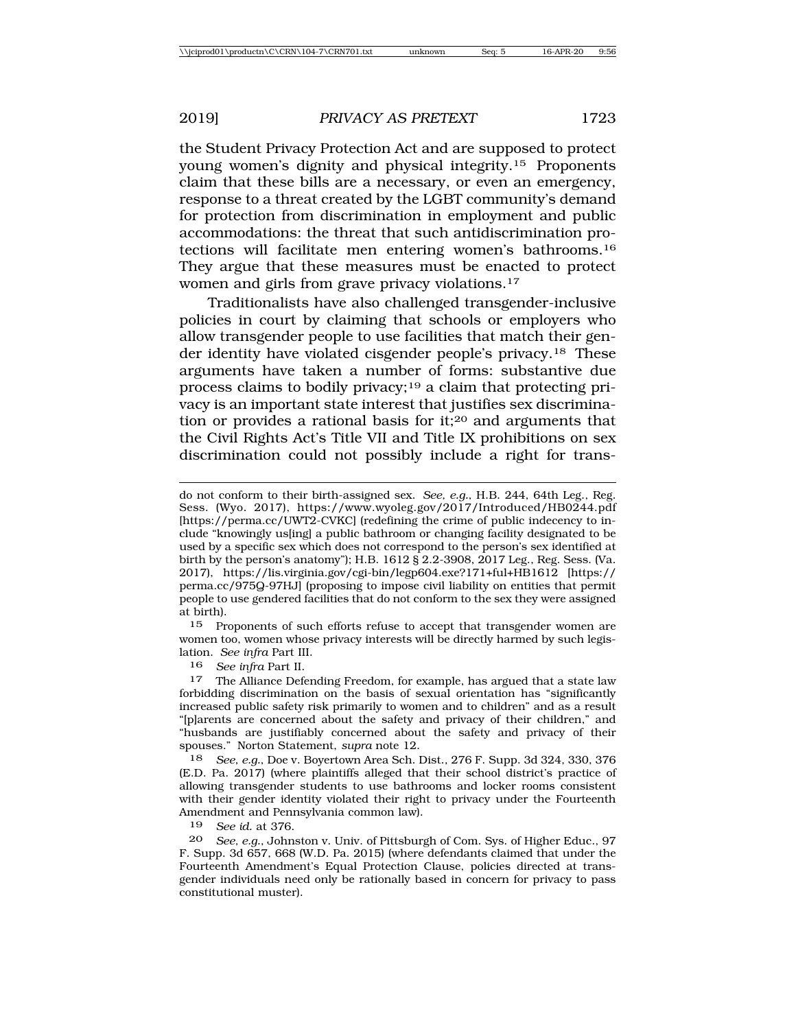the Student Privacy Protection Act and are supposed to protect young women's dignity and physical integrity.15 Proponents claim that these bills are a necessary, or even an emergency, response to a threat created by the LGBT community's demand for protection from discrimination in employment and public accommodations: the threat that such antidiscrimination protections will facilitate men entering women's bathrooms.16 They argue that these measures must be enacted to protect women and girls from grave privacy violations.17

Traditionalists have also challenged transgender-inclusive policies in court by claiming that schools or employers who allow transgender people to use facilities that match their gender identity have violated cisgender people's privacy.18 These arguments have taken a number of forms: substantive due process claims to bodily privacy;19 a claim that protecting privacy is an important state interest that justifies sex discrimination or provides a rational basis for it;20 and arguments that the Civil Rights Act's Title VII and Title IX prohibitions on sex discrimination could not possibly include a right for trans-

15 Proponents of such efforts refuse to accept that transgender women are women too, women whose privacy interests will be directly harmed by such legislation. *See infra* Part III.

16 *See infra* Part II.

18 *See*, *e.g.*, Doe v. Boyertown Area Sch. Dist., 276 F. Supp. 3d 324, 330, 376 (E.D. Pa. 2017) (where plaintiffs alleged that their school district's practice of allowing transgender students to use bathrooms and locker rooms consistent with their gender identity violated their right to privacy under the Fourteenth Amendment and Pennsylvania common law).

19 *See id.* at 376.

20 *See, e.g.*, Johnston v. Univ. of Pittsburgh of Com. Sys. of Higher Educ., 97 F. Supp. 3d 657, 668 (W.D. Pa. 2015) (where defendants claimed that under the Fourteenth Amendment's Equal Protection Clause, policies directed at transgender individuals need only be rationally based in concern for privacy to pass constitutional muster).

do not conform to their birth-assigned sex. *See, e.g.*, H.B. 244, 64th Leg., Reg. Sess. (Wyo. 2017), https://www.wyoleg.gov/2017/Introduced/HB0244.pdf [https://perma.cc/UWT2-CVKC] (redefining the crime of public indecency to include "knowingly us[ing] a public bathroom or changing facility designated to be used by a specific sex which does not correspond to the person's sex identified at birth by the person's anatomy"); H.B. 1612 § 2.2-3908, 2017 Leg., Reg. Sess. (Va. 2017), https://lis.virginia.gov/cgi-bin/legp604.exe?171+ful+HB1612 [https:// perma.cc/975Q-97HJ] (proposing to impose civil liability on entities that permit people to use gendered facilities that do not conform to the sex they were assigned at birth).

<sup>&</sup>lt;sup>17</sup> The Alliance Defending Freedom, for example, has argued that a state law forbidding discrimination on the basis of sexual orientation has "significantly increased public safety risk primarily to women and to children" and as a result "[p]arents are concerned about the safety and privacy of their children," and "husbands are justifiably concerned about the safety and privacy of their spouses." Norton Statement, *supra* note 12.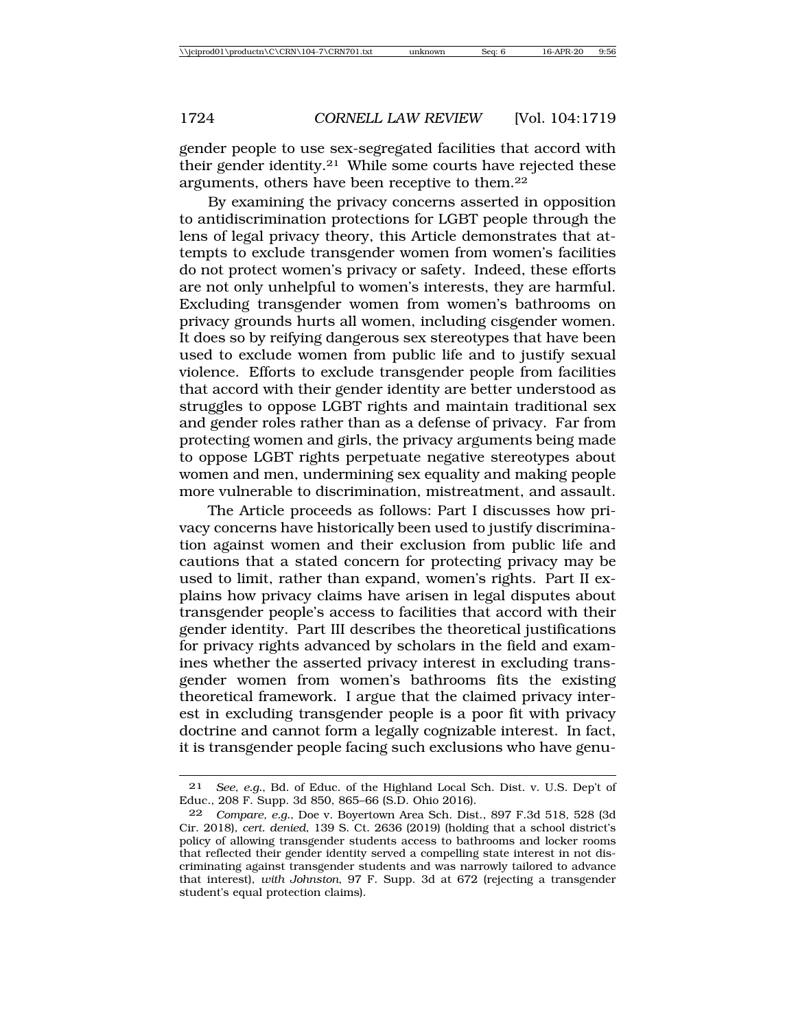gender people to use sex-segregated facilities that accord with their gender identity.21 While some courts have rejected these arguments, others have been receptive to them.22

By examining the privacy concerns asserted in opposition to antidiscrimination protections for LGBT people through the lens of legal privacy theory, this Article demonstrates that attempts to exclude transgender women from women's facilities do not protect women's privacy or safety. Indeed, these efforts are not only unhelpful to women's interests, they are harmful. Excluding transgender women from women's bathrooms on privacy grounds hurts all women, including cisgender women. It does so by reifying dangerous sex stereotypes that have been used to exclude women from public life and to justify sexual violence. Efforts to exclude transgender people from facilities that accord with their gender identity are better understood as struggles to oppose LGBT rights and maintain traditional sex and gender roles rather than as a defense of privacy. Far from protecting women and girls, the privacy arguments being made to oppose LGBT rights perpetuate negative stereotypes about women and men, undermining sex equality and making people more vulnerable to discrimination, mistreatment, and assault.

The Article proceeds as follows: Part I discusses how privacy concerns have historically been used to justify discrimination against women and their exclusion from public life and cautions that a stated concern for protecting privacy may be used to limit, rather than expand, women's rights. Part II explains how privacy claims have arisen in legal disputes about transgender people's access to facilities that accord with their gender identity. Part III describes the theoretical justifications for privacy rights advanced by scholars in the field and examines whether the asserted privacy interest in excluding transgender women from women's bathrooms fits the existing theoretical framework. I argue that the claimed privacy interest in excluding transgender people is a poor fit with privacy doctrine and cannot form a legally cognizable interest. In fact, it is transgender people facing such exclusions who have genu-

<sup>21</sup> *See, e.g.*, Bd. of Educ. of the Highland Local Sch. Dist. v. U.S. Dep't of Educ., 208 F. Supp. 3d 850, 865–66 (S.D. Ohio 2016).

<sup>22</sup> *Compare, e.g.*, Doe v. Boyertown Area Sch. Dist., 897 F.3d 518, 528 (3d Cir. 2018), *cert. denied*, 139 S. Ct. 2636 (2019) (holding that a school district's policy of allowing transgender students access to bathrooms and locker rooms that reflected their gender identity served a compelling state interest in not discriminating against transgender students and was narrowly tailored to advance that interest), *with Johnston*, 97 F. Supp. 3d at 672 (rejecting a transgender student's equal protection claims).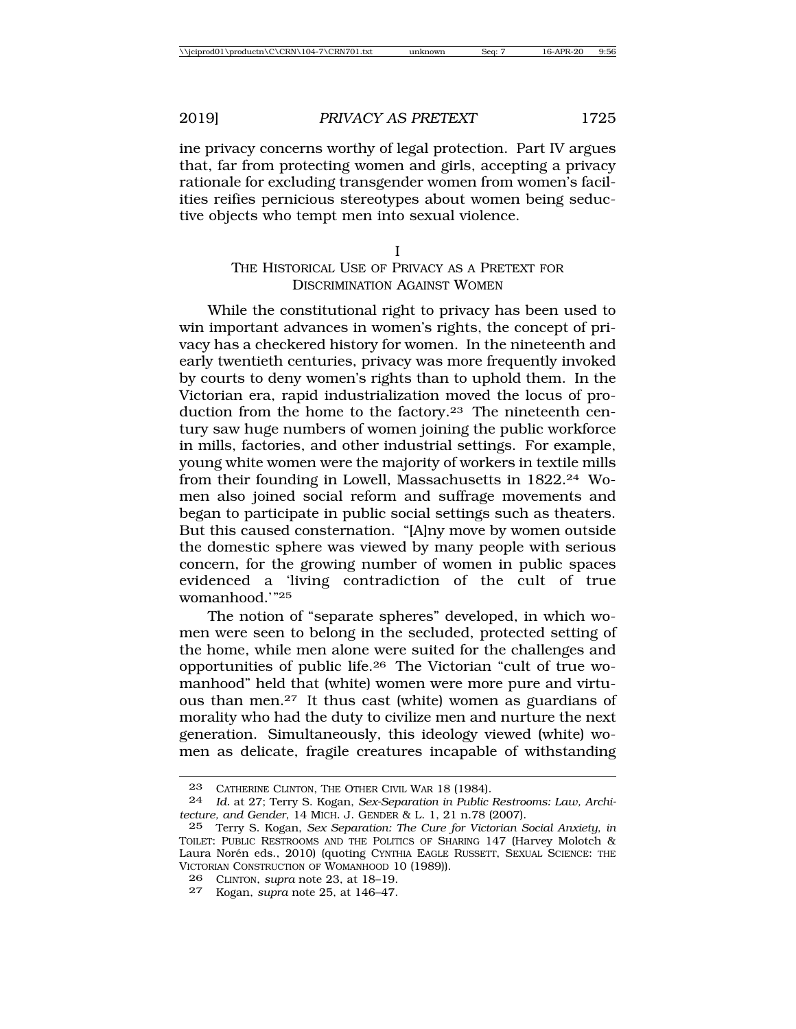ine privacy concerns worthy of legal protection. Part IV argues that, far from protecting women and girls, accepting a privacy rationale for excluding transgender women from women's facilities reifies pernicious stereotypes about women being seductive objects who tempt men into sexual violence.

I

## THE HISTORICAL USE OF PRIVACY AS A PRETEXT FOR DISCRIMINATION AGAINST WOMEN

While the constitutional right to privacy has been used to win important advances in women's rights, the concept of privacy has a checkered history for women. In the nineteenth and early twentieth centuries, privacy was more frequently invoked by courts to deny women's rights than to uphold them. In the Victorian era, rapid industrialization moved the locus of production from the home to the factory.23 The nineteenth century saw huge numbers of women joining the public workforce in mills, factories, and other industrial settings. For example, young white women were the majority of workers in textile mills from their founding in Lowell, Massachusetts in 1822.24 Women also joined social reform and suffrage movements and began to participate in public social settings such as theaters. But this caused consternation. "[A]ny move by women outside the domestic sphere was viewed by many people with serious concern, for the growing number of women in public spaces evidenced a 'living contradiction of the cult of true womanhood.'"25

The notion of "separate spheres" developed, in which women were seen to belong in the secluded, protected setting of the home, while men alone were suited for the challenges and opportunities of public life.26 The Victorian "cult of true womanhood" held that (white) women were more pure and virtuous than men.27 It thus cast (white) women as guardians of morality who had the duty to civilize men and nurture the next generation. Simultaneously, this ideology viewed (white) women as delicate, fragile creatures incapable of withstanding

<sup>23</sup> CATHERINE CLINTON, THE OTHER CIVIL WAR 18 (1984).

<sup>24</sup> *Id.* at 27; Terry S. Kogan, *Sex-Separation in Public Restrooms: Law, Architecture, and Gender*, 14 MICH. J. GENDER & L. 1, 21 n.78 (2007).

<sup>25</sup> Terry S. Kogan, *Sex Separation: The Cure for Victorian Social Anxiety*, *in* TOILET: PUBLIC RESTROOMS AND THE POLITICS OF SHARING 147 (Harvey Molotch & Laura Norén eds., 2010) (quoting CYNTHIA EAGLE RUSSETT, SEXUAL SCIENCE: THE VICTORIAN CONSTRUCTION OF WOMANHOOD 10 (1989)).

<sup>26</sup> CLINTON, *supra* note 23, at 18–19.

<sup>27</sup> Kogan, *supra* note 25, at 146–47.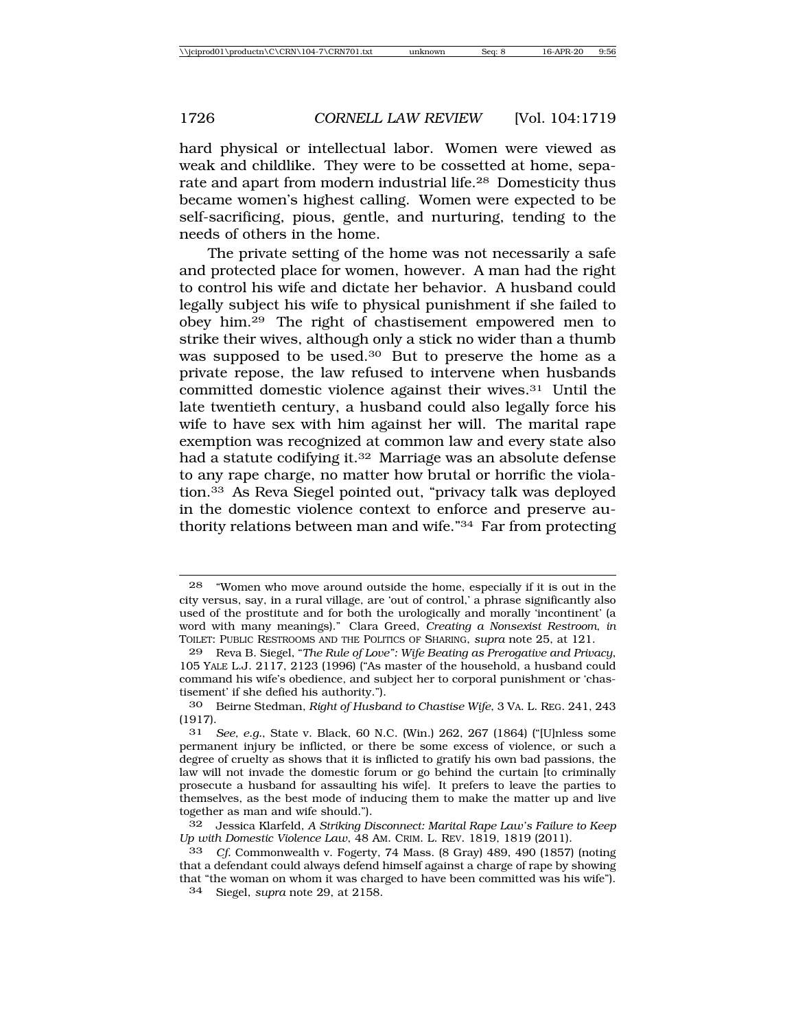hard physical or intellectual labor. Women were viewed as weak and childlike. They were to be cossetted at home, separate and apart from modern industrial life.28 Domesticity thus became women's highest calling. Women were expected to be self-sacrificing, pious, gentle, and nurturing, tending to the needs of others in the home.

The private setting of the home was not necessarily a safe and protected place for women, however. A man had the right to control his wife and dictate her behavior. A husband could legally subject his wife to physical punishment if she failed to obey him.29 The right of chastisement empowered men to strike their wives, although only a stick no wider than a thumb was supposed to be used.<sup>30</sup> But to preserve the home as a private repose, the law refused to intervene when husbands committed domestic violence against their wives.31 Until the late twentieth century, a husband could also legally force his wife to have sex with him against her will. The marital rape exemption was recognized at common law and every state also had a statute codifying it.<sup>32</sup> Marriage was an absolute defense to any rape charge, no matter how brutal or horrific the violation.33 As Reva Siegel pointed out, "privacy talk was deployed in the domestic violence context to enforce and preserve authority relations between man and wife."34 Far from protecting

<sup>28</sup> "Women who move around outside the home, especially if it is out in the city versus, say, in a rural village, are 'out of control,' a phrase significantly also used of the prostitute and for both the urologically and morally 'incontinent' (a word with many meanings)." Clara Greed, *Creating a Nonsexist Restroom*, *in* TOILET: PUBLIC RESTROOMS AND THE POLITICS OF SHARING, *supra* note 25, at 121.

<sup>29</sup> Reva B. Siegel, "*The Rule of Love": Wife Beating as Prerogative and Privacy*, 105 YALE L.J. 2117, 2123 (1996) ("As master of the household, a husband could command his wife's obedience, and subject her to corporal punishment or 'chastisement' if she defied his authority.").

<sup>30</sup> Beirne Stedman, *Right of Husband to Chastise Wife*, 3 VA. L. REG. 241, 243 (1917).

<sup>31</sup> *See, e.g.*, State v. Black, 60 N.C. (Win.) 262, 267 (1864) ("[U]nless some permanent injury be inflicted, or there be some excess of violence, or such a degree of cruelty as shows that it is inflicted to gratify his own bad passions, the law will not invade the domestic forum or go behind the curtain [to criminally prosecute a husband for assaulting his wife]. It prefers to leave the parties to themselves, as the best mode of inducing them to make the matter up and live together as man and wife should.").

<sup>32</sup> Jessica Klarfeld, *A Striking Disconnect: Marital Rape Law's Failure to Keep Up with Domestic Violence Law*, 48 AM. CRIM. L. REV. 1819, 1819 (2011).

<sup>33</sup> *Cf.* Commonwealth v. Fogerty, 74 Mass. (8 Gray) 489, 490 (1857) (noting that a defendant could always defend himself against a charge of rape by showing that "the woman on whom it was charged to have been committed was his wife").

<sup>34</sup> Siegel, *supra* note 29, at 2158.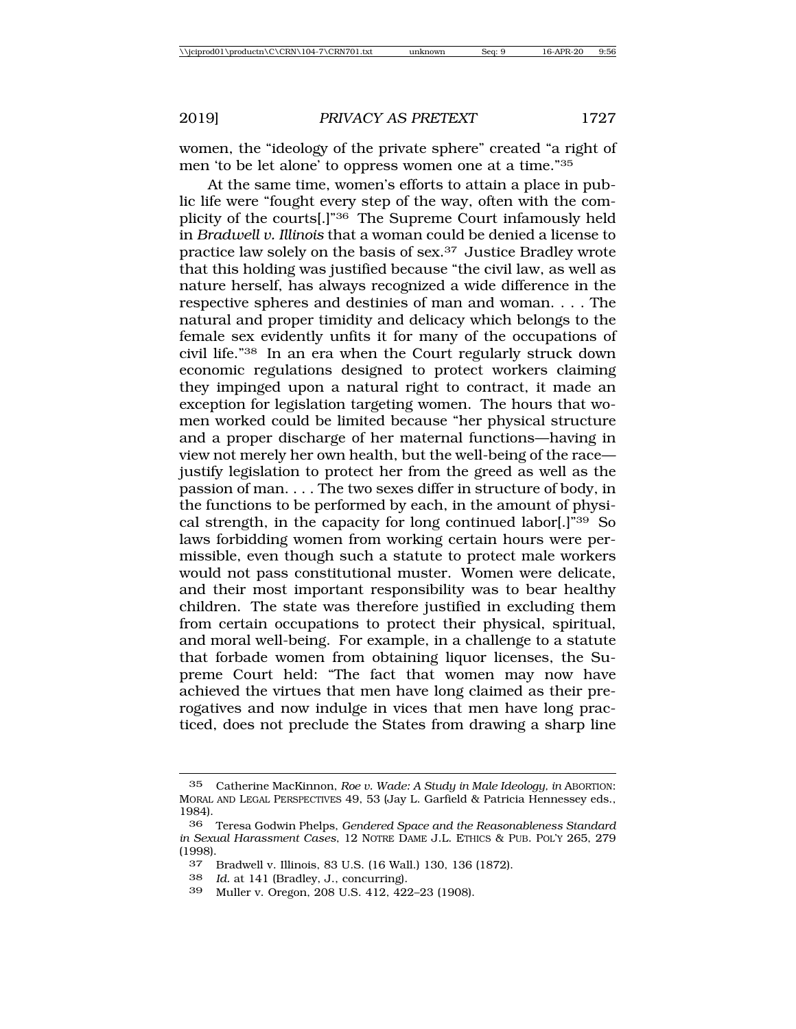women, the "ideology of the private sphere" created "a right of men 'to be let alone' to oppress women one at a time."35

At the same time, women's efforts to attain a place in public life were "fought every step of the way, often with the complicity of the courts[.]"36 The Supreme Court infamously held in *Bradwell v. Illinois* that a woman could be denied a license to practice law solely on the basis of sex.37 Justice Bradley wrote that this holding was justified because "the civil law, as well as nature herself, has always recognized a wide difference in the respective spheres and destinies of man and woman. . . . The natural and proper timidity and delicacy which belongs to the female sex evidently unfits it for many of the occupations of civil life."38 In an era when the Court regularly struck down economic regulations designed to protect workers claiming they impinged upon a natural right to contract, it made an exception for legislation targeting women. The hours that women worked could be limited because "her physical structure and a proper discharge of her maternal functions—having in view not merely her own health, but the well-being of the race justify legislation to protect her from the greed as well as the passion of man. . . . The two sexes differ in structure of body, in the functions to be performed by each, in the amount of physical strength, in the capacity for long continued labor[.]"39 So laws forbidding women from working certain hours were permissible, even though such a statute to protect male workers would not pass constitutional muster. Women were delicate, and their most important responsibility was to bear healthy children. The state was therefore justified in excluding them from certain occupations to protect their physical, spiritual, and moral well-being. For example, in a challenge to a statute that forbade women from obtaining liquor licenses, the Supreme Court held: "The fact that women may now have achieved the virtues that men have long claimed as their prerogatives and now indulge in vices that men have long practiced, does not preclude the States from drawing a sharp line

<sup>35</sup> Catherine MacKinnon, *Roe v. Wade: A Study in Male Ideology, in* ABORTION: MORAL AND LEGAL PERSPECTIVES 49, 53 (Jay L. Garfield & Patricia Hennessey eds., 1984).

<sup>36</sup> Teresa Godwin Phelps, *Gendered Space and the Reasonableness Standard in Sexual Harassment Cases*, 12 NOTRE DAME J.L. ETHICS & PUB. POL'Y 265, 279 (1998).

<sup>37</sup> Bradwell v. Illinois, 83 U.S. (16 Wall.) 130, 136 (1872).

<sup>38</sup> *Id.* at 141 (Bradley, J., concurring).

Muller v. Oregon, 208 U.S. 412, 422-23 (1908).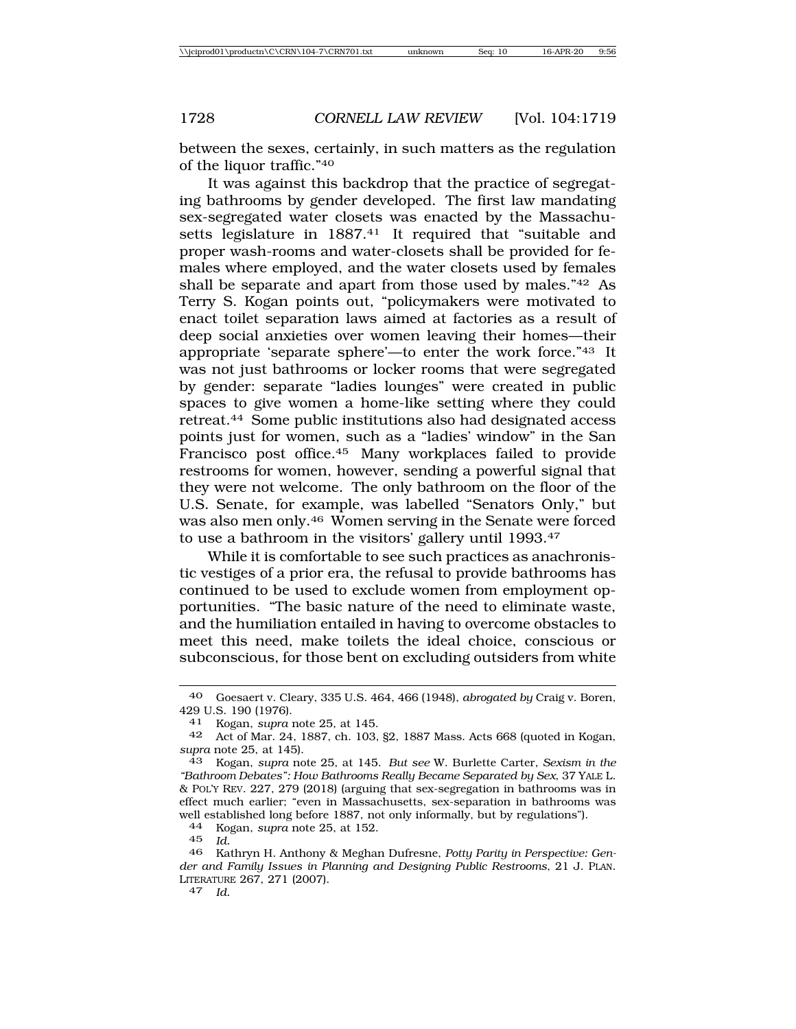between the sexes, certainly, in such matters as the regulation of the liquor traffic."40

It was against this backdrop that the practice of segregating bathrooms by gender developed. The first law mandating sex-segregated water closets was enacted by the Massachusetts legislature in 1887.<sup>41</sup> It required that "suitable and proper wash-rooms and water-closets shall be provided for females where employed, and the water closets used by females shall be separate and apart from those used by males."42 As Terry S. Kogan points out, "policymakers were motivated to enact toilet separation laws aimed at factories as a result of deep social anxieties over women leaving their homes—their appropriate 'separate sphere'—to enter the work force."43 It was not just bathrooms or locker rooms that were segregated by gender: separate "ladies lounges" were created in public spaces to give women a home-like setting where they could retreat.44 Some public institutions also had designated access points just for women, such as a "ladies' window" in the San Francisco post office.45 Many workplaces failed to provide restrooms for women, however, sending a powerful signal that they were not welcome. The only bathroom on the floor of the U.S. Senate, for example, was labelled "Senators Only," but was also men only.46 Women serving in the Senate were forced to use a bathroom in the visitors' gallery until 1993.47

While it is comfortable to see such practices as anachronistic vestiges of a prior era, the refusal to provide bathrooms has continued to be used to exclude women from employment opportunities. "The basic nature of the need to eliminate waste, and the humiliation entailed in having to overcome obstacles to meet this need, make toilets the ideal choice, conscious or subconscious, for those bent on excluding outsiders from white

<sup>40</sup> Goesaert v. Cleary, 335 U.S. 464, 466 (1948), *abrogated by* Craig v. Boren, 429 U.S. 190 (1976).

<sup>41</sup> Kogan, *supra* note 25, at 145.

<sup>42</sup> Act of Mar. 24, 1887, ch. 103, §2, 1887 Mass. Acts 668 (quoted in Kogan, *supra* note 25, at 145).

<sup>43</sup> Kogan, *supra* note 25, at 145. *But see* W. Burlette Carter, *Sexism in the "Bathroom Debates": How Bathrooms Really Became Separated by Sex*, 37 YALE L. & POL'Y REV. 227, 279 (2018) (arguing that sex-segregation in bathrooms was in effect much earlier; "even in Massachusetts, sex-separation in bathrooms was well established long before 1887, not only informally, but by regulations").<br> $44$  Kogan supra note 25 at 152

<sup>44</sup> Kogan, *supra* note 25, at 152.

 $\frac{45}{46}$  *Id.*<br> $\frac{1}{16}$  *Ka* 

<sup>46</sup> Kathryn H. Anthony & Meghan Dufresne, *Potty Parity in Perspective: Gender and Family Issues in Planning and Designing Public Restrooms*, 21 J. PLAN. LITERATURE 267, 271 (2007). <sup>47</sup> *Id.*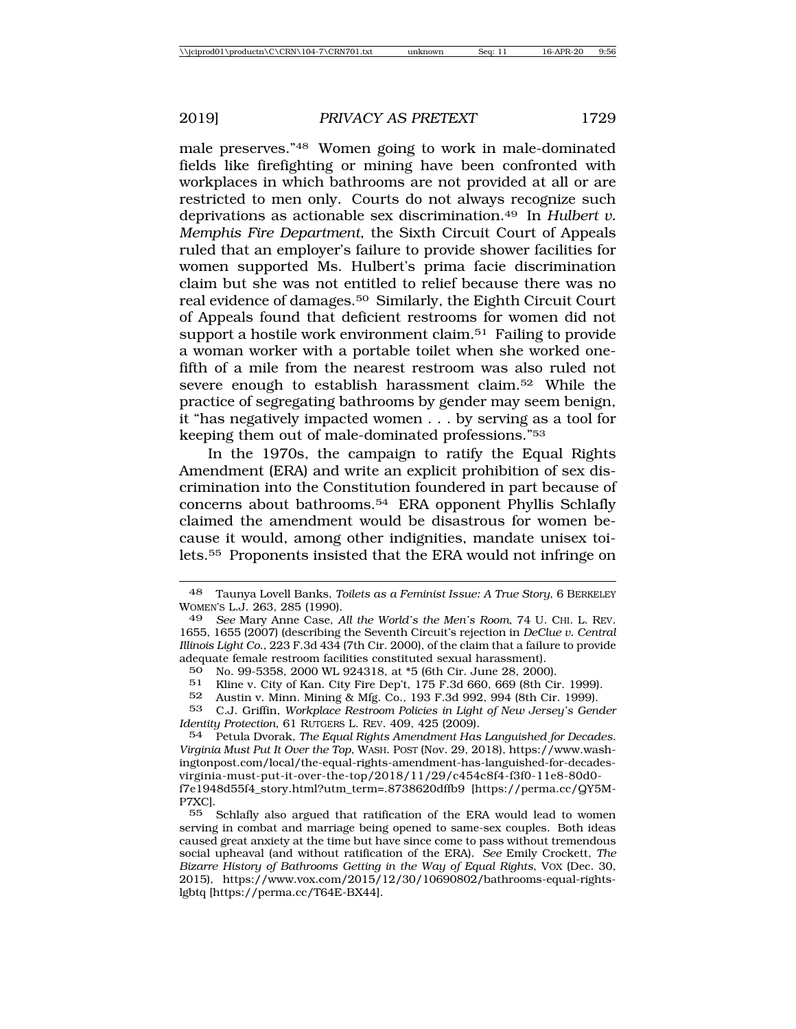male preserves."48 Women going to work in male-dominated fields like firefighting or mining have been confronted with workplaces in which bathrooms are not provided at all or are restricted to men only. Courts do not always recognize such deprivations as actionable sex discrimination.49 In *Hulbert v. Memphis Fire Department*, the Sixth Circuit Court of Appeals ruled that an employer's failure to provide shower facilities for women supported Ms. Hulbert's prima facie discrimination claim but she was not entitled to relief because there was no real evidence of damages.50 Similarly, the Eighth Circuit Court of Appeals found that deficient restrooms for women did not support a hostile work environment claim.<sup>51</sup> Failing to provide a woman worker with a portable toilet when she worked onefifth of a mile from the nearest restroom was also ruled not severe enough to establish harassment claim.52 While the practice of segregating bathrooms by gender may seem benign, it "has negatively impacted women . . . by serving as a tool for keeping them out of male-dominated professions."53

In the 1970s, the campaign to ratify the Equal Rights Amendment (ERA) and write an explicit prohibition of sex discrimination into the Constitution foundered in part because of concerns about bathrooms.54 ERA opponent Phyllis Schlafly claimed the amendment would be disastrous for women because it would, among other indignities, mandate unisex toilets.55 Proponents insisted that the ERA would not infringe on

<sup>48</sup> Taunya Lovell Banks, *Toilets as a Feminist Issue: A True Story*, 6 BERKELEY WOMEN'S L.J. 263, 285 (1990).

<sup>49</sup> *See* Mary Anne Case, *All the World's the Men's Room*, 74 U. CHI. L. REV. 1655, 1655 (2007) (describing the Seventh Circuit's rejection in *DeClue v. Central Illinois Light Co*., 223 F.3d 434 (7th Cir. 2000), of the claim that a failure to provide adequate female restroom facilities constituted sexual harassment).

<sup>50</sup> No. 99-5358, 2000 WL 924318, at \*5 (6th Cir. June 28, 2000).

<sup>51</sup> Kline v. City of Kan. City Fire Dep't, 175 F.3d 660, 669 (8th Cir. 1999).

<sup>52</sup> Austin v. Minn. Mining & Mfg. Co.*,* 193 F.3d 992, 994 (8th Cir. 1999).

<sup>53</sup> C.J. Griffin, *Workplace Restroom Policies in Light of New Jersey's Gender Identity Protection*, 61 RUTGERS L. REV. 409, 425 (2009).

<sup>54</sup> Petula Dvorak, *The Equal Rights Amendment Has Languished for Decades. Virginia Must Put It Over the Top*, WASH. POST (Nov. 29, 2018), https://www.washingtonpost.com/local/the-equal-rights-amendment-has-languished-for-decadesvirginia-must-put-it-over-the-top/2018/11/29/c454c8f4-f3f0-11e8-80d0 f7e1948d55f4\_story.html?utm\_term=.8738620dffb9 [https://perma.cc/QY5M-P7XC].<br>55

Schlafly also argued that ratification of the ERA would lead to women serving in combat and marriage being opened to same-sex couples. Both ideas caused great anxiety at the time but have since come to pass without tremendous social upheaval (and without ratification of the ERA). *See* Emily Crockett, *The Bizarre History of Bathrooms Getting in the Way of Equal Rights*, VOX (Dec. 30, 2015), https://www.vox.com/2015/12/30/10690802/bathrooms-equal-rightslgbtq [https://perma.cc/T64E-BX44].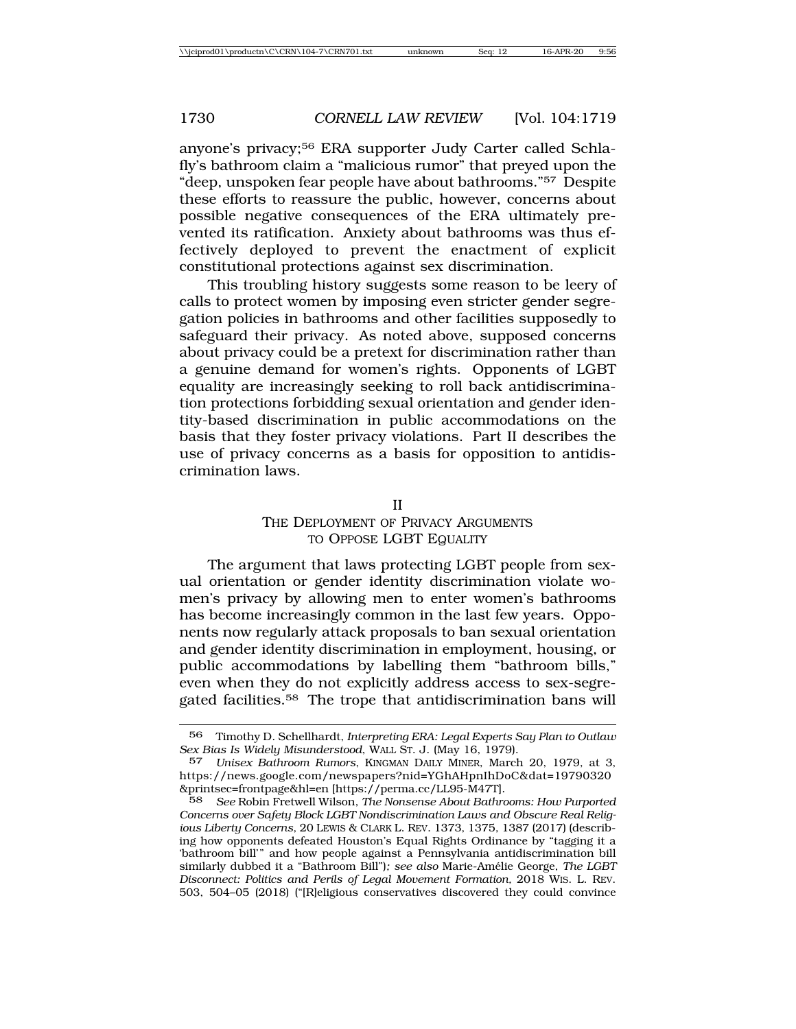anyone's privacy;56 ERA supporter Judy Carter called Schlafly's bathroom claim a "malicious rumor" that preyed upon the "deep, unspoken fear people have about bathrooms."57 Despite these efforts to reassure the public, however, concerns about possible negative consequences of the ERA ultimately prevented its ratification. Anxiety about bathrooms was thus effectively deployed to prevent the enactment of explicit constitutional protections against sex discrimination.

This troubling history suggests some reason to be leery of calls to protect women by imposing even stricter gender segregation policies in bathrooms and other facilities supposedly to safeguard their privacy. As noted above, supposed concerns about privacy could be a pretext for discrimination rather than a genuine demand for women's rights. Opponents of LGBT equality are increasingly seeking to roll back antidiscrimination protections forbidding sexual orientation and gender identity-based discrimination in public accommodations on the basis that they foster privacy violations. Part II describes the use of privacy concerns as a basis for opposition to antidiscrimination laws.

#### II

## THE DEPLOYMENT OF PRIVACY ARGUMENTS TO OPPOSE LGBT EQUALITY

The argument that laws protecting LGBT people from sexual orientation or gender identity discrimination violate women's privacy by allowing men to enter women's bathrooms has become increasingly common in the last few years. Opponents now regularly attack proposals to ban sexual orientation and gender identity discrimination in employment, housing, or public accommodations by labelling them "bathroom bills," even when they do not explicitly address access to sex-segregated facilities.58 The trope that antidiscrimination bans will

<sup>56</sup> Timothy D. Schellhardt, *Interpreting ERA: Legal Experts Say Plan to Outlaw Sex Bias Is Widely Misunderstood*, WALL ST. J. (May 16, 1979).

<sup>57</sup> *Unisex Bathroom Rumors*, KINGMAN DAILY MINER, March 20, 1979, at 3, https://news.google.com/newspapers?nid=YGhAHpnIhDoC&dat=19790320 &printsec=frontpage&hl=en [https://perma.cc/LL95-M47T].

<sup>58</sup> *See* Robin Fretwell Wilson, *The Nonsense About Bathrooms: How Purported Concerns over Safety Block LGBT Nondiscrimination Laws and Obscure Real Religious Liberty Concerns*, 20 LEWIS & CLARK L. REV. 1373, 1375, 1387 (2017) (describing how opponents defeated Houston's Equal Rights Ordinance by "tagging it a 'bathroom bill'" and how people against a Pennsylvania antidiscrimination bill similarly dubbed it a "Bathroom Bill"); see also Marie-Amélie George, The LGBT *Disconnect: Politics and Perils of Legal Movement Formation,* 2018 WIS. L. REV. 503, 504–05 (2018) ("[R]eligious conservatives discovered they could convince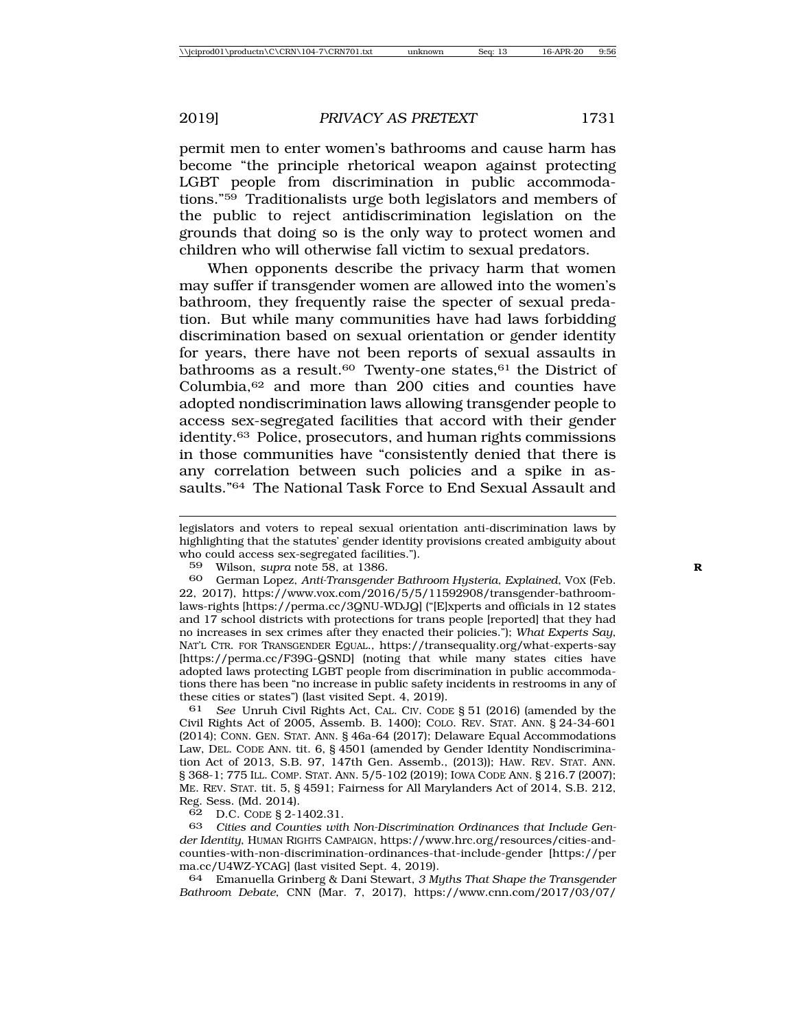permit men to enter women's bathrooms and cause harm has become "the principle rhetorical weapon against protecting LGBT people from discrimination in public accommodations."59 Traditionalists urge both legislators and members of the public to reject antidiscrimination legislation on the grounds that doing so is the only way to protect women and children who will otherwise fall victim to sexual predators.

When opponents describe the privacy harm that women may suffer if transgender women are allowed into the women's bathroom, they frequently raise the specter of sexual predation. But while many communities have had laws forbidding discrimination based on sexual orientation or gender identity for years, there have not been reports of sexual assaults in bathrooms as a result.<sup>60</sup> Twenty-one states,<sup>61</sup> the District of Columbia,62 and more than 200 cities and counties have adopted nondiscrimination laws allowing transgender people to access sex-segregated facilities that accord with their gender identity.63 Police, prosecutors, and human rights commissions in those communities have "consistently denied that there is any correlation between such policies and a spike in assaults."64 The National Task Force to End Sexual Assault and

59 Wilson, *supra* note 58, at 1386. **R**

60 German Lopez, *Anti-Transgender Bathroom Hysteria, Explained*, VOX (Feb. 22, 2017), https://www.vox.com/2016/5/5/11592908/transgender-bathroomlaws-rights [https://perma.cc/3QNU-WDJQ] ("[E]xperts and officials in 12 states and 17 school districts with protections for trans people [reported] that they had no increases in sex crimes after they enacted their policies."); *What Experts Say*, NAT'L CTR. FOR TRANSGENDER EQUAL., https://transequality.org/what-experts-say [https://perma.cc/F39G-QSND] (noting that while many states cities have adopted laws protecting LGBT people from discrimination in public accommodations there has been "no increase in public safety incidents in restrooms in any of these cities or states") (last visited Sept. 4, 2019).<br>61 See Unruh Civil Rights Act. CAL, CIV, COD

See Unruh Civil Rights Act, CAL. CIV. CODE § 51 (2016) (amended by the Civil Rights Act of 2005, Assemb. B. 1400); COLO. REV. STAT. ANN. § 24-34-601 (2014); CONN. GEN. STAT. ANN. § 46a-64 (2017); Delaware Equal Accommodations Law, DEL. CODE ANN. tit. 6, § 4501 (amended by Gender Identity Nondiscrimination Act of 2013, S.B. 97, 147th Gen. Assemb., (2013)); HAW. REV. STAT. ANN. § 368-1; 775 ILL. COMP. STAT. ANN. 5/5-102 (2019); IOWA CODE ANN. § 216.7 (2007); ME. REV. STAT. tit. 5, § 4591; Fairness for All Marylanders Act of 2014, S.B. 212, Reg. Sess. (Md. 2014).

62 D.C. CODE § 2-1402.31.<br>63 Cities and Counties with

63 *Cities and Counties with Non-Discrimination Ordinances that Include Gender Identity*, HUMAN RIGHTS CAMPAIGN, https://www.hrc.org/resources/cities-andcounties-with-non-discrimination-ordinances-that-include-gender [https://per ma.cc/U4WZ-YCAG] (last visited Sept. 4, 2019).

64 Emanuella Grinberg & Dani Stewart, *3 Myths That Shape the Transgender Bathroom Debate*, CNN (Mar. 7, 2017), https://www.cnn.com/2017/03/07/

legislators and voters to repeal sexual orientation anti-discrimination laws by highlighting that the statutes' gender identity provisions created ambiguity about who could access sex-segregated facilities.").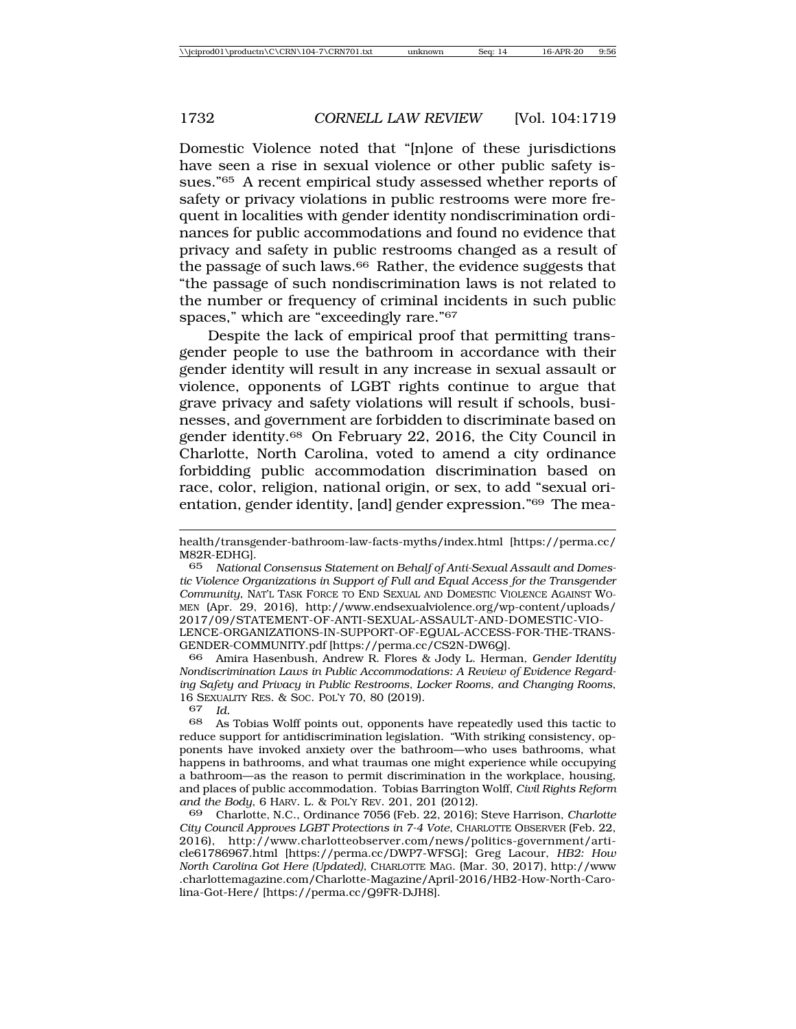Domestic Violence noted that "[n]one of these jurisdictions have seen a rise in sexual violence or other public safety issues."65 A recent empirical study assessed whether reports of safety or privacy violations in public restrooms were more frequent in localities with gender identity nondiscrimination ordinances for public accommodations and found no evidence that privacy and safety in public restrooms changed as a result of the passage of such laws.<sup>66</sup> Rather, the evidence suggests that "the passage of such nondiscrimination laws is not related to the number or frequency of criminal incidents in such public spaces," which are "exceedingly rare."67

Despite the lack of empirical proof that permitting transgender people to use the bathroom in accordance with their gender identity will result in any increase in sexual assault or violence, opponents of LGBT rights continue to argue that grave privacy and safety violations will result if schools, businesses, and government are forbidden to discriminate based on gender identity.68 On February 22, 2016, the City Council in Charlotte, North Carolina, voted to amend a city ordinance forbidding public accommodation discrimination based on race, color, religion, national origin, or sex, to add "sexual orientation, gender identity, [and] gender expression."69 The mea-

66 Amira Hasenbush, Andrew R. Flores & Jody L. Herman, *Gender Identity Nondiscrimination Laws in Public Accommodations: A Review of Evidence Regarding Safety and Privacy in Public Restrooms, Locker Rooms, and Changing Rooms*, 16 SEXUALITY RES. & Soc. POL'Y 70, 80 (2019).<br>67 Id

67 *Id.*

68 As Tobias Wolff points out, opponents have repeatedly used this tactic to reduce support for antidiscrimination legislation. "With striking consistency, opponents have invoked anxiety over the bathroom—who uses bathrooms, what happens in bathrooms, and what traumas one might experience while occupying a bathroom—as the reason to permit discrimination in the workplace, housing, and places of public accommodation. Tobias Barrington Wolff, *Civil Rights Reform and the Body*, 6 HARV. L. & POL'Y REV. 201, 201 (2012).

69 Charlotte, N.C., Ordinance 7056 (Feb. 22, 2016); Steve Harrison, *Charlotte City Council Approves LGBT Protections in 7-4 Vote*, CHARLOTTE OBSERVER (Feb. 22, 2016), http://www.charlotteobserver.com/news/politics-government/article61786967.html [https://perma.cc/DWP7-WFSG]; Greg Lacour, *HB2: How North Carolina Got Here (Updated)*, CHARLOTTE MAG. (Mar. 30, 2017), http://www .charlottemagazine.com/Charlotte-Magazine/April-2016/HB2-How-North-Carolina-Got-Here/ [https://perma.cc/Q9FR-DJH8].

health/transgender-bathroom-law-facts-myths/index.html [https://perma.cc/ M82R-EDHG].

<sup>65</sup> *National Consensus Statement on Behalf of Anti-Sexual Assault and Domestic Violence Organizations in Support of Full and Equal Access for the Transgender Community*, NAT'L TASK FORCE TO END SEXUAL AND DOMESTIC VIOLENCE AGAINST WO-MEN (Apr. 29, 2016), http://www.endsexualviolence.org/wp-content/uploads/ 2017/09/STATEMENT-OF-ANTI-SEXUAL-ASSAULT-AND-DOMESTIC-VIO-LENCE-ORGANIZATIONS-IN-SUPPORT-OF-EQUAL-ACCESS-FOR-THE-TRANS-GENDER-COMMUNITY.pdf [https://perma.cc/CS2N-DW6Q].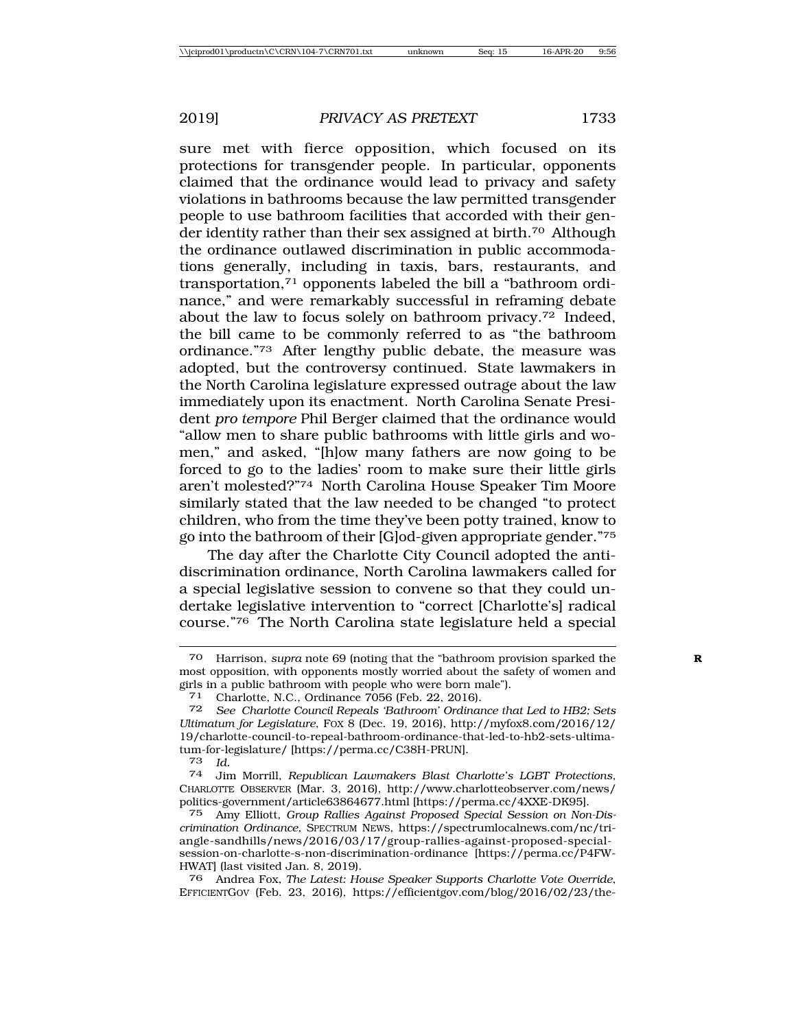sure met with fierce opposition, which focused on its protections for transgender people. In particular, opponents claimed that the ordinance would lead to privacy and safety violations in bathrooms because the law permitted transgender people to use bathroom facilities that accorded with their gender identity rather than their sex assigned at birth.70 Although the ordinance outlawed discrimination in public accommodations generally, including in taxis, bars, restaurants, and transportation,71 opponents labeled the bill a "bathroom ordinance," and were remarkably successful in reframing debate about the law to focus solely on bathroom privacy.72 Indeed, the bill came to be commonly referred to as "the bathroom ordinance."73 After lengthy public debate, the measure was adopted, but the controversy continued. State lawmakers in the North Carolina legislature expressed outrage about the law immediately upon its enactment. North Carolina Senate President *pro tempore* Phil Berger claimed that the ordinance would "allow men to share public bathrooms with little girls and women," and asked, "[h]ow many fathers are now going to be forced to go to the ladies' room to make sure their little girls aren't molested?"74 North Carolina House Speaker Tim Moore similarly stated that the law needed to be changed "to protect children, who from the time they've been potty trained, know to go into the bathroom of their [G]od-given appropriate gender."75

The day after the Charlotte City Council adopted the antidiscrimination ordinance, North Carolina lawmakers called for a special legislative session to convene so that they could undertake legislative intervention to "correct [Charlotte's] radical course."76 The North Carolina state legislature held a special

<sup>73</sup> *Id.* <sup>74</sup> Jim Morrill, *Republican Lawmakers Blast Charlotte's LGBT Protections*, CHARLOTTE OBSERVER (Mar. 3, 2016), http://www.charlotteobserver.com/news/ politics-government/article63864677.html [https://perma.cc/4XXE-DK95].

76 Andrea Fox, *The Latest: House Speaker Supports Charlotte Vote Override*, EFFICIENTGOV (Feb. 23, 2016), https://efficientgov.com/blog/2016/02/23/the-

Harrison, *supra* note 69 (noting that the "bathroom provision sparked the most opposition, with opponents mostly worried about the safety of women and girls in a public bathroom with people who were born male").<br>
<sup>71</sup> Charlotte, N.C., Ordinance 7056 (Feb. 22, 2016).

Charlotte, N.C., Ordinance 7056 (Feb. 22, 2016).

<sup>72</sup> *See Charlotte Council Repeals 'Bathroom' Ordinance that Led to HB2; Sets Ultimatum for Legislature*, FOX 8 (Dec. 19, 2016), http://myfox8.com/2016/12/ 19/charlotte-council-to-repeal-bathroom-ordinance-that-led-to-hb2-sets-ultimatum-for-legislature/ [https://perma.cc/C38H-PRUN].

<sup>75</sup> Amy Elliott, *Group Rallies Against Proposed Special Session on Non-Discrimination Ordinance*, SPECTRUM NEWS, https://spectrumlocalnews.com/nc/triangle-sandhills/news/2016/03/17/group-rallies-against-proposed-specialsession-on-charlotte-s-non-discrimination-ordinance [https://perma.cc/P4FW-HWAT] (last visited Jan. 8, 2019).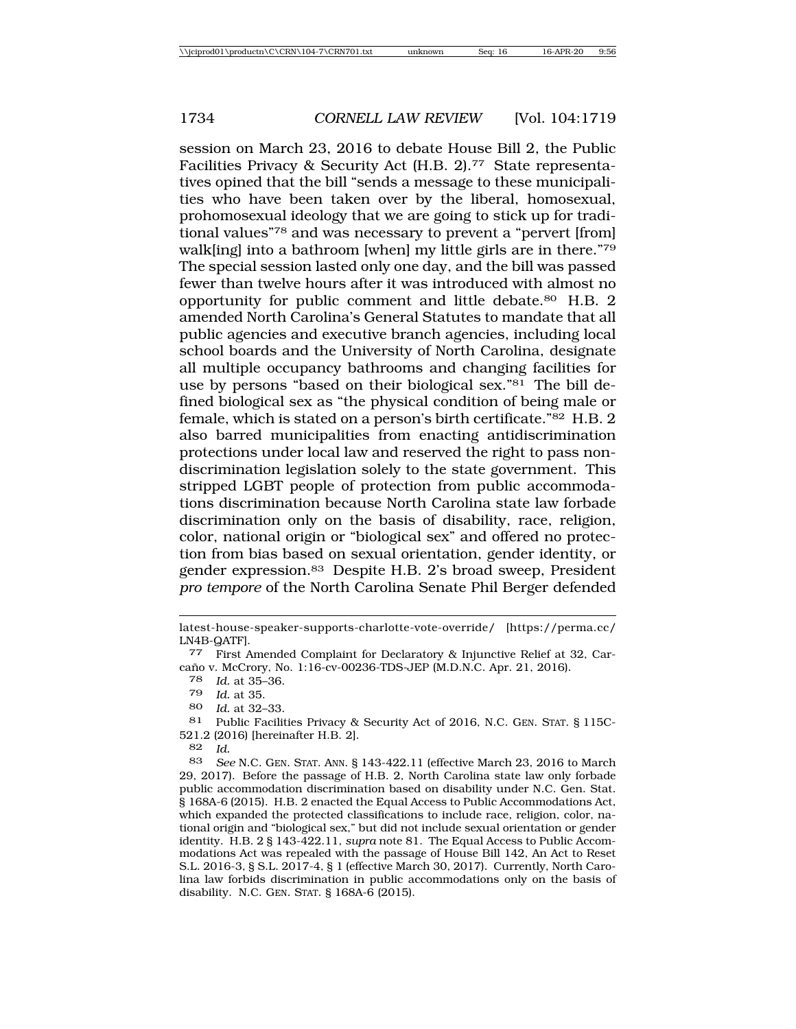session on March 23, 2016 to debate House Bill 2, the Public Facilities Privacy & Security Act (H.B. 2).<sup>77</sup> State representatives opined that the bill "sends a message to these municipalities who have been taken over by the liberal, homosexual, prohomosexual ideology that we are going to stick up for traditional values"78 and was necessary to prevent a "pervert [from] walk[ing] into a bathroom [when] my little girls are in there."79 The special session lasted only one day, and the bill was passed fewer than twelve hours after it was introduced with almost no opportunity for public comment and little debate.80 H.B. 2 amended North Carolina's General Statutes to mandate that all public agencies and executive branch agencies, including local school boards and the University of North Carolina, designate all multiple occupancy bathrooms and changing facilities for use by persons "based on their biological sex."<sup>81</sup> The bill defined biological sex as "the physical condition of being male or female, which is stated on a person's birth certificate."82 H.B. 2 also barred municipalities from enacting antidiscrimination protections under local law and reserved the right to pass nondiscrimination legislation solely to the state government. This stripped LGBT people of protection from public accommodations discrimination because North Carolina state law forbade discrimination only on the basis of disability, race, religion, color, national origin or "biological sex" and offered no protection from bias based on sexual orientation, gender identity, or gender expression.83 Despite H.B. 2's broad sweep, President *pro tempore* of the North Carolina Senate Phil Berger defended

latest-house-speaker-supports-charlotte-vote-override/ [https://perma.cc/ LN4B-QATF].

<sup>77</sup> First Amended Complaint for Declaratory & Injunctive Relief at 32, Carca˜no v. McCrory, No. 1:16-cv-00236-TDS-JEP (M.D.N.C. Apr. 21, 2016).

<sup>78</sup> *Id.* at 35–36.

<sup>79</sup> *Id.* at 35.

<sup>80</sup> *Id.* at 32–33.

<sup>81</sup> Public Facilities Privacy & Security Act of 2016, N.C. GEN. STAT. § 115C-521.2 (2016) [hereinafter H.B. 2].

<sup>82</sup> *Id.*

<sup>83</sup> *See* N.C. GEN. STAT. ANN. § 143-422.11 (effective March 23, 2016 to March 29, 2017). Before the passage of H.B. 2, North Carolina state law only forbade public accommodation discrimination based on disability under N.C. Gen. Stat. § 168A-6 (2015). H.B. 2 enacted the Equal Access to Public Accommodations Act, which expanded the protected classifications to include race, religion, color, national origin and "biological sex," but did not include sexual orientation or gender identity. H.B. 2 § 143-422.11, *supra* note 81. The Equal Access to Public Accommodations Act was repealed with the passage of House Bill 142, An Act to Reset S.L. 2016-3, § S.L. 2017-4, § 1 (effective March 30, 2017). Currently, North Carolina law forbids discrimination in public accommodations only on the basis of disability. N.C. GEN. STAT. § 168A-6 (2015).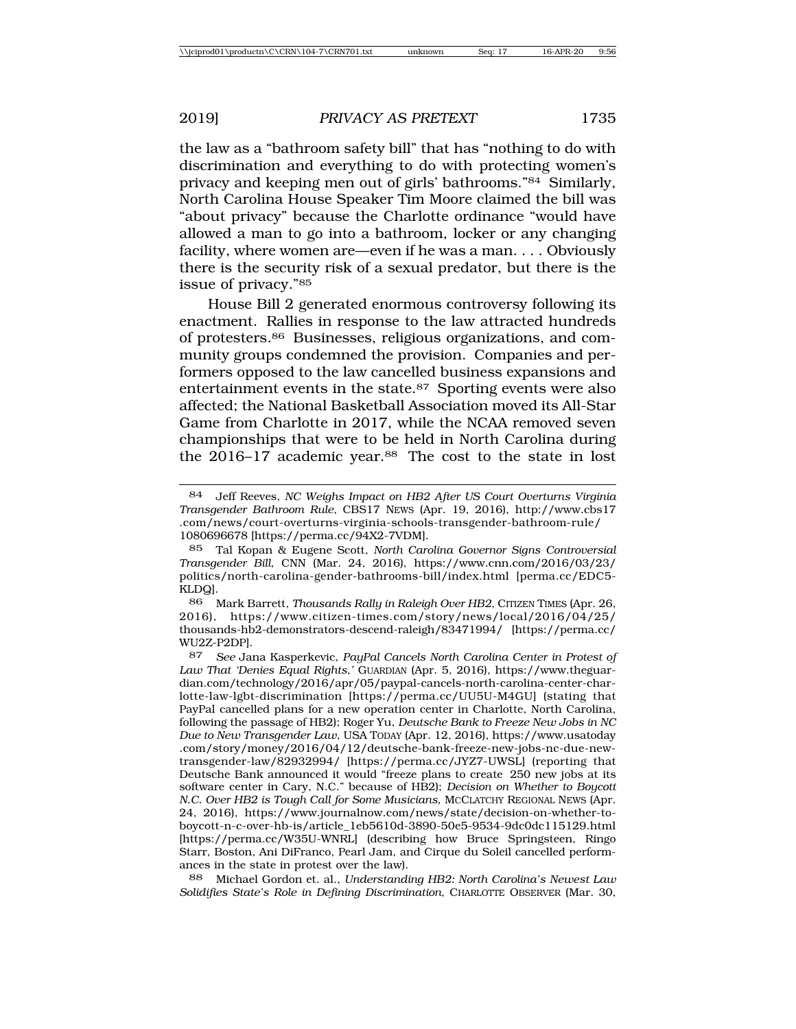the law as a "bathroom safety bill" that has "nothing to do with discrimination and everything to do with protecting women's privacy and keeping men out of girls' bathrooms."84 Similarly, North Carolina House Speaker Tim Moore claimed the bill was "about privacy" because the Charlotte ordinance "would have allowed a man to go into a bathroom, locker or any changing facility, where women are—even if he was a man. . . . Obviously there is the security risk of a sexual predator, but there is the issue of privacy."85

House Bill 2 generated enormous controversy following its enactment. Rallies in response to the law attracted hundreds of protesters.86 Businesses, religious organizations, and community groups condemned the provision. Companies and performers opposed to the law cancelled business expansions and entertainment events in the state.87 Sporting events were also affected; the National Basketball Association moved its All-Star Game from Charlotte in 2017, while the NCAA removed seven championships that were to be held in North Carolina during the 2016–17 academic year.<sup>88</sup> The cost to the state in lost

88 Michael Gordon et. al., *Understanding HB2: North Carolina's Newest Law Solidifies State's Role in Defining Discrimination*, CHARLOTTE OBSERVER (Mar. 30,

<sup>84</sup> Jeff Reeves, *NC Weighs Impact on HB2 After US Court Overturns Virginia Transgender Bathroom Rule,* CBS17 NEWS (Apr. 19, 2016), http://www.cbs17 .com/news/court-overturns-virginia-schools-transgender-bathroom-rule/ 1080696678 [https://perma.cc/94X2-7VDM].

<sup>85</sup> Tal Kopan & Eugene Scott, *North Carolina Governor Signs Controversial Transgender Bill*, CNN (Mar. 24, 2016), https://www.cnn.com/2016/03/23/ politics/north-carolina-gender-bathrooms-bill/index.html [perma.cc/EDC5- KLDQ].

<sup>86</sup> Mark Barrett, *Thousands Rally in Raleigh Over HB2*, CITIZEN TIMES (Apr. 26, 2016), https://www.citizen-times.com/story/news/local/2016/04/25/ thousands-hb2-demonstrators-descend-raleigh/83471994/ [https://perma.cc/ WU2Z-P2DP].

<sup>87</sup> *See* Jana Kasperkevic, *PayPal Cancels North Carolina Center in Protest of Law That 'Denies Equal Rights*,*'* GUARDIAN (Apr. 5, 2016), https://www.theguardian.com/technology/2016/apr/05/paypal-cancels-north-carolina-center-charlotte-law-lgbt-discrimination [https://perma.cc/UU5U-M4GU] (stating that PayPal cancelled plans for a new operation center in Charlotte, North Carolina, following the passage of HB2); Roger Yu, *Deutsche Bank to Freeze New Jobs in NC Due to New Transgender Law*, USA TODAY (Apr. 12, 2016), https://www.usatoday .com/story/money/2016/04/12/deutsche-bank-freeze-new-jobs-nc-due-newtransgender-law/82932994/ [https://perma.cc/JYZ7-UWSL] (reporting that Deutsche Bank announced it would "freeze plans to create 250 new jobs at its software center in Cary, N.C." because of HB2); *Decision on Whether to Boycott N.C. Over HB2 is Tough Call for Some Musicians*, MCCLATCHY REGIONAL NEWS (Apr. 24, 2016), https://www.journalnow.com/news/state/decision-on-whether-toboycott-n-c-over-hb-is/article\_1eb5610d-3890-50e5-9534-9dc0dc115129.html [https://perma.cc/W35U-WNRL] (describing how Bruce Springsteen, Ringo Starr, Boston, Ani DiFranco, Pearl Jam, and Cirque du Soleil cancelled performances in the state in protest over the law).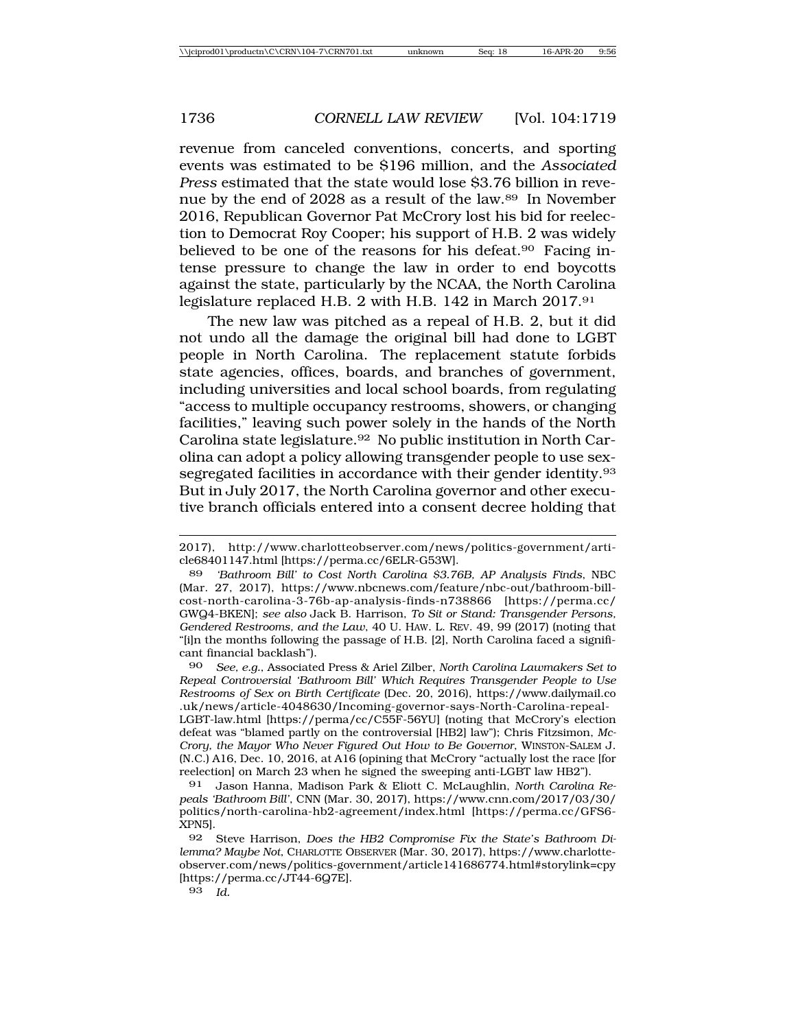revenue from canceled conventions, concerts, and sporting events was estimated to be \$196 million, and the *Associated Press* estimated that the state would lose \$3.76 billion in revenue by the end of 2028 as a result of the law.89 In November 2016, Republican Governor Pat McCrory lost his bid for reelection to Democrat Roy Cooper; his support of H.B. 2 was widely believed to be one of the reasons for his defeat.<sup>90</sup> Facing intense pressure to change the law in order to end boycotts against the state, particularly by the NCAA, the North Carolina legislature replaced H.B. 2 with H.B. 142 in March 2017.91

The new law was pitched as a repeal of H.B. 2, but it did not undo all the damage the original bill had done to LGBT people in North Carolina. The replacement statute forbids state agencies, offices, boards, and branches of government, including universities and local school boards, from regulating "access to multiple occupancy restrooms, showers, or changing facilities," leaving such power solely in the hands of the North Carolina state legislature.92 No public institution in North Carolina can adopt a policy allowing transgender people to use sexsegregated facilities in accordance with their gender identity.93 But in July 2017, the North Carolina governor and other executive branch officials entered into a consent decree holding that

90 *See, e.g.*, Associated Press & Ariel Zilber, *North Carolina Lawmakers Set to Repeal Controversial 'Bathroom Bill' Which Requires Transgender People to Use Restrooms of Sex on Birth Certificate* (Dec. 20, 2016), https://www.dailymail.co .uk/news/article-4048630/Incoming-governor-says-North-Carolina-repeal-LGBT-law.html [https://perma/cc/C55F-56YU] (noting that McCrory's election defeat was "blamed partly on the controversial [HB2] law"); Chris Fitzsimon, *Mc-Crory, the Mayor Who Never Figured Out How to Be Governor*, WINSTON-SALEM J. (N.C.) A16, Dec. 10, 2016, at A16 (opining that McCrory "actually lost the race [for reelection] on March 23 when he signed the sweeping anti-LGBT law HB2").

91 Jason Hanna, Madison Park & Eliott C. McLaughlin, *North Carolina Repeals 'Bathroom Bill'*, CNN (Mar. 30, 2017), https://www.cnn.com/2017/03/30/ politics/north-carolina-hb2-agreement/index.html [https://perma.cc/GFS6- XPN5].

92 Steve Harrison, *Does the HB2 Compromise Fix the State's Bathroom Dilemma? Maybe Not*, CHARLOTTE OBSERVER (Mar. 30, 2017), https://www.charlotteobserver.com/news/politics-government/article141686774.html#storylink=cpy [https://perma.cc/JT44-6Q7E].

<sup>2017),</sup> http://www.charlotteobserver.com/news/politics-government/article68401147.html [https://perma.cc/6ELR-G53W].

<sup>89</sup> *'Bathroom Bill' to Cost North Carolina \$3.76B, AP Analysis Finds*, NBC (Mar. 27, 2017), https://www.nbcnews.com/feature/nbc-out/bathroom-billcost-north-carolina-3-76b-ap-analysis-finds-n738866 [https://perma.cc/ GWQ4-BKEN]; *see also* Jack B. Harrison, *To Sit or Stand: Transgender Persons, Gendered Restrooms, and the Law*, 40 U. HAW. L. REV. 49, 99 (2017) (noting that "[i]n the months following the passage of H.B. [2], North Carolina faced a significant financial backlash").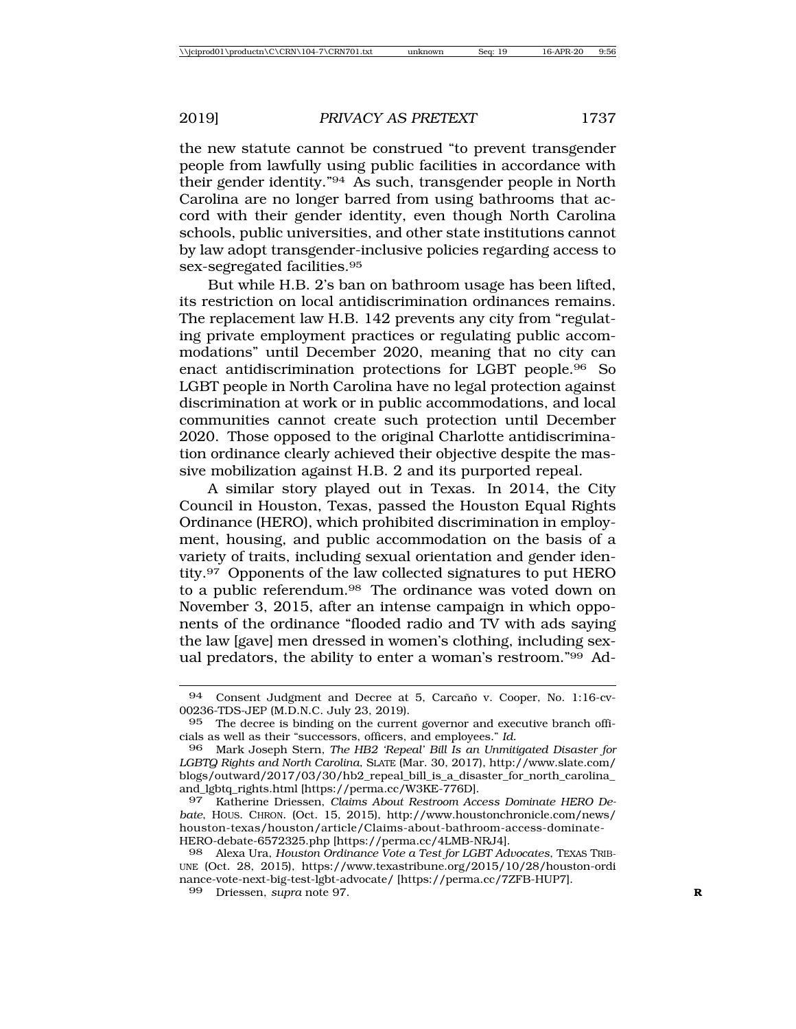the new statute cannot be construed "to prevent transgender people from lawfully using public facilities in accordance with their gender identity."94 As such, transgender people in North Carolina are no longer barred from using bathrooms that accord with their gender identity, even though North Carolina schools, public universities, and other state institutions cannot by law adopt transgender-inclusive policies regarding access to sex-segregated facilities.95

But while H.B. 2's ban on bathroom usage has been lifted, its restriction on local antidiscrimination ordinances remains. The replacement law H.B. 142 prevents any city from "regulating private employment practices or regulating public accommodations" until December 2020, meaning that no city can enact antidiscrimination protections for LGBT people.96 So LGBT people in North Carolina have no legal protection against discrimination at work or in public accommodations, and local communities cannot create such protection until December 2020. Those opposed to the original Charlotte antidiscrimination ordinance clearly achieved their objective despite the massive mobilization against H.B. 2 and its purported repeal.

A similar story played out in Texas. In 2014, the City Council in Houston, Texas, passed the Houston Equal Rights Ordinance (HERO), which prohibited discrimination in employment, housing, and public accommodation on the basis of a variety of traits, including sexual orientation and gender identity.97 Opponents of the law collected signatures to put HERO to a public referendum.98 The ordinance was voted down on November 3, 2015, after an intense campaign in which opponents of the ordinance "flooded radio and TV with ads saying the law [gave] men dressed in women's clothing, including sexual predators, the ability to enter a woman's restroom."99 Ad-

<sup>94</sup> Consent Judgment and Decree at 5, Carcaño v. Cooper, No. 1:16-cv-00236-TDS-JEP (M.D.N.C. July 23, 2019).

<sup>95</sup> The decree is binding on the current governor and executive branch officials as well as their "successors, officers, and employees." *Id.*

<sup>96</sup> Mark Joseph Stern, *The HB2 'Repeal' Bill Is an Unmitigated Disaster for LGBTQ Rights and North Carolina*, SLATE (Mar. 30, 2017), http://www.slate.com/ blogs/outward/2017/03/30/hb2\_repeal\_bill\_is\_a\_disaster\_for\_north\_carolina\_ and\_lgbtq\_rights.html [https://perma.cc/W3KE-776D].

<sup>97</sup> Katherine Driessen, *Claims About Restroom Access Dominate HERO Debate*, HOUS. CHRON. (Oct. 15, 2015), http://www.houstonchronicle.com/news/ houston-texas/houston/article/Claims-about-bathroom-access-dominate-HERO-debate-6572325.php [https://perma.cc/4LMB-NRJ4].

<sup>98</sup> Alexa Ura, *Houston Ordinance Vote a Test for LGBT Advocates*, TEXAS TRIB-UNE (Oct. 28, 2015), https://www.texastribune.org/2015/10/28/houston-ordi nance-vote-next-big-test-lgbt-advocate/ [https://perma.cc/7ZFB-HUP7].

<sup>99</sup> Driessen, *supra* note 97. **R**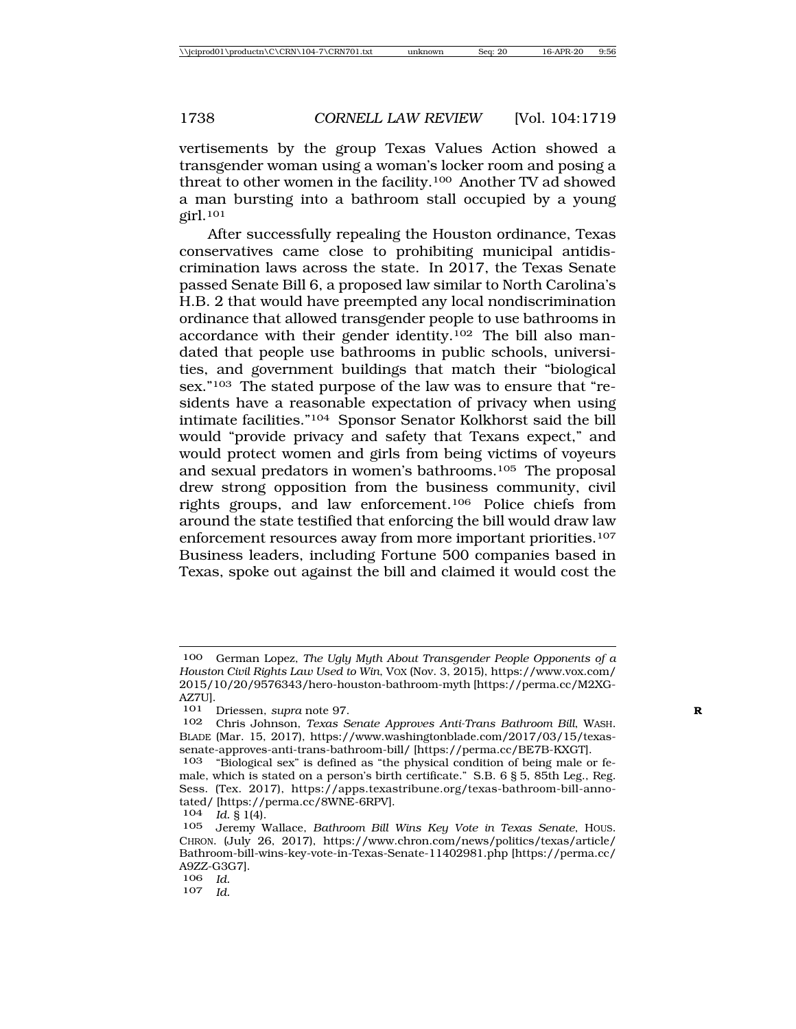vertisements by the group Texas Values Action showed a transgender woman using a woman's locker room and posing a threat to other women in the facility.100 Another TV ad showed a man bursting into a bathroom stall occupied by a young girl.101

After successfully repealing the Houston ordinance, Texas conservatives came close to prohibiting municipal antidiscrimination laws across the state. In 2017, the Texas Senate passed Senate Bill 6, a proposed law similar to North Carolina's H.B. 2 that would have preempted any local nondiscrimination ordinance that allowed transgender people to use bathrooms in accordance with their gender identity.102 The bill also mandated that people use bathrooms in public schools, universities, and government buildings that match their "biological sex."103 The stated purpose of the law was to ensure that "residents have a reasonable expectation of privacy when using intimate facilities."104 Sponsor Senator Kolkhorst said the bill would "provide privacy and safety that Texans expect," and would protect women and girls from being victims of voyeurs and sexual predators in women's bathrooms.105 The proposal drew strong opposition from the business community, civil rights groups, and law enforcement.106 Police chiefs from around the state testified that enforcing the bill would draw law enforcement resources away from more important priorities.107 Business leaders, including Fortune 500 companies based in Texas, spoke out against the bill and claimed it would cost the

<sup>100</sup> German Lopez, *The Ugly Myth About Transgender People Opponents of a Houston Civil Rights Law Used to Win*, VOX (Nov. 3, 2015), https://www.vox.com/ 2015/10/20/9576343/hero-houston-bathroom-myth [https://perma.cc/M2XG-AZ7U].

Driessen, *supra* note 97.

<sup>102</sup> Chris Johnson, *Texas Senate Approves Anti-Trans Bathroom Bill*, WASH. BLADE (Mar. 15, 2017), https://www.washingtonblade.com/2017/03/15/texassenate-approves-anti-trans-bathroom-bill/ [https://perma.cc/BE7B-KXGT].

<sup>103</sup> "Biological sex" is defined as "the physical condition of being male or female, which is stated on a person's birth certificate." S.B. 6 § 5, 85th Leg., Reg. Sess. (Tex. 2017), https://apps.texastribune.org/texas-bathroom-bill-annotated/ [https://perma.cc/8WNE-6RPV].

<sup>104</sup> *Id.* § 1(4).<br>105 *Jeremy W* 

<sup>105</sup> Jeremy Wallace, *Bathroom Bill Wins Key Vote in Texas Senate*, HOUS. CHRON. (July 26, 2017), https://www.chron.com/news/politics/texas/article/ Bathroom-bill-wins-key-vote-in-Texas-Senate-11402981.php [https://perma.cc/ A9ZZ-G3G7].

<sup>107</sup> *Id.*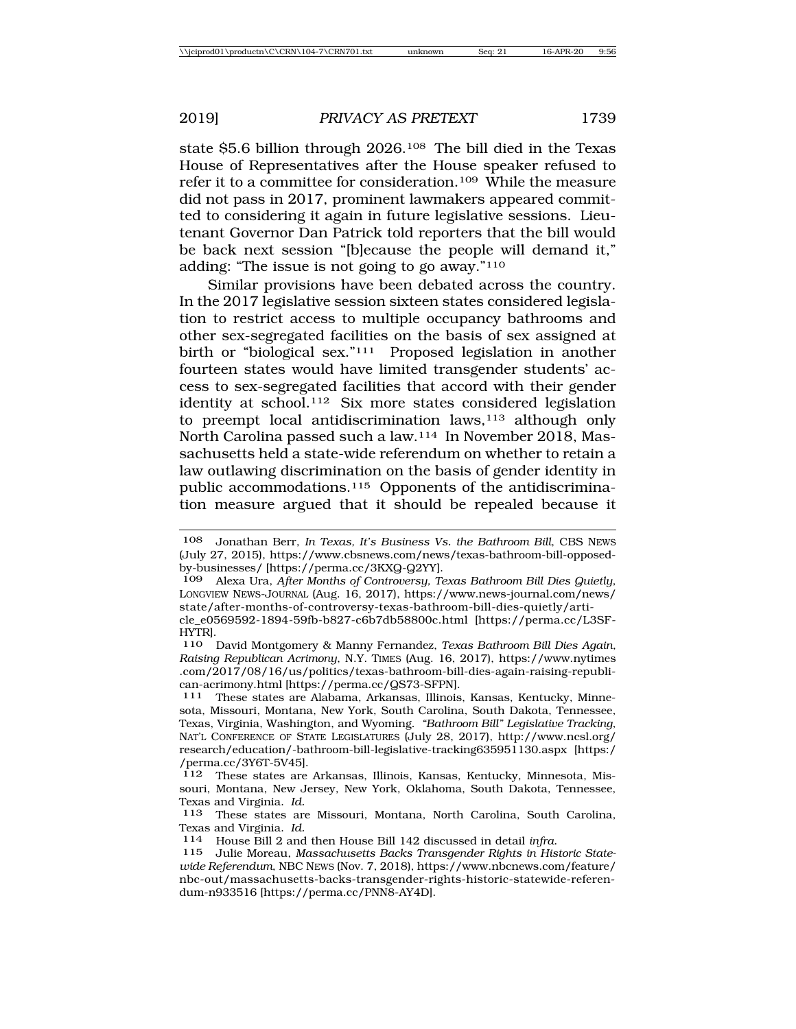state \$5.6 billion through 2026.108 The bill died in the Texas House of Representatives after the House speaker refused to refer it to a committee for consideration.<sup>109</sup> While the measure did not pass in 2017, prominent lawmakers appeared committed to considering it again in future legislative sessions. Lieutenant Governor Dan Patrick told reporters that the bill would be back next session "[b]ecause the people will demand it," adding: "The issue is not going to go away."110

Similar provisions have been debated across the country. In the 2017 legislative session sixteen states considered legislation to restrict access to multiple occupancy bathrooms and other sex-segregated facilities on the basis of sex assigned at birth or "biological sex."111 Proposed legislation in another fourteen states would have limited transgender students' access to sex-segregated facilities that accord with their gender identity at school.112 Six more states considered legislation to preempt local antidiscrimination laws, $113$  although only North Carolina passed such a law.114 In November 2018, Massachusetts held a state-wide referendum on whether to retain a law outlawing discrimination on the basis of gender identity in public accommodations.115 Opponents of the antidiscrimination measure argued that it should be repealed because it

<sup>108</sup> Jonathan Berr, *In Texas, It's Business Vs. the Bathroom Bill*, CBS NEWS (July 27, 2015), https://www.cbsnews.com/news/texas-bathroom-bill-opposedby-businesses/ [https://perma.cc/3KXQ-Q2YY].<br>109 Alexa Ura, After Months of Controversu, Te

<sup>109</sup> Alexa Ura, *After Months of Controversy, Texas Bathroom Bill Dies Quietly*, LONGVIEW NEWS-JOURNAL (Aug. 16, 2017), https://www.news-journal.com/news/ state/after-months-of-controversy-texas-bathroom-bill-dies-quietly/article\_e0569592-1894-59fb-b827-c6b7db58800c.html [https://perma.cc/L3SF-

HYTR].<br>110 110 David Montgomery & Manny Fernandez, *Texas Bathroom Bill Dies Again, Raising Republican Acrimony*, N.Y. TIMES (Aug. 16, 2017), https://www.nytimes .com/2017/08/16/us/politics/texas-bathroom-bill-dies-again-raising-republican-acrimony.html [https://perma.cc/QS73-SFPN].<br>111 These states are Alabama. Arkansas. Illinois

<sup>111</sup> These states are Alabama, Arkansas, Illinois, Kansas, Kentucky, Minnesota, Missouri, Montana, New York, South Carolina, South Dakota, Tennessee, Texas, Virginia, Washington, and Wyoming. *"Bathroom Bill" Legislative Tracking*, NAT'L CONFERENCE OF STATE LEGISLATURES (July 28, 2017), http://www.ncsl.org/ research/education/-bathroom-bill-legislative-tracking635951130.aspx [https:/ /perma.cc/3Y6T-5V45].<br>112 These states are

These states are Arkansas, Illinois, Kansas, Kentucky, Minnesota, Missouri, Montana, New Jersey, New York, Oklahoma, South Dakota, Tennessee, Texas and Virginia. *Id.*

<sup>113</sup> These states are Missouri, Montana, North Carolina, South Carolina, Texas and Virginia. *Id.* <sup>114</sup> House Bill 2 and then House Bill 142 discussed in detail *infra*. <sup>115</sup> Julie Moreau, *Massachusetts Backs Transgender Rights in Historic State-*

*wide Referendum*, NBC NEWS (Nov. 7, 2018), https://www.nbcnews.com/feature/ nbc-out/massachusetts-backs-transgender-rights-historic-statewide-referendum-n933516 [https://perma.cc/PNN8-AY4D].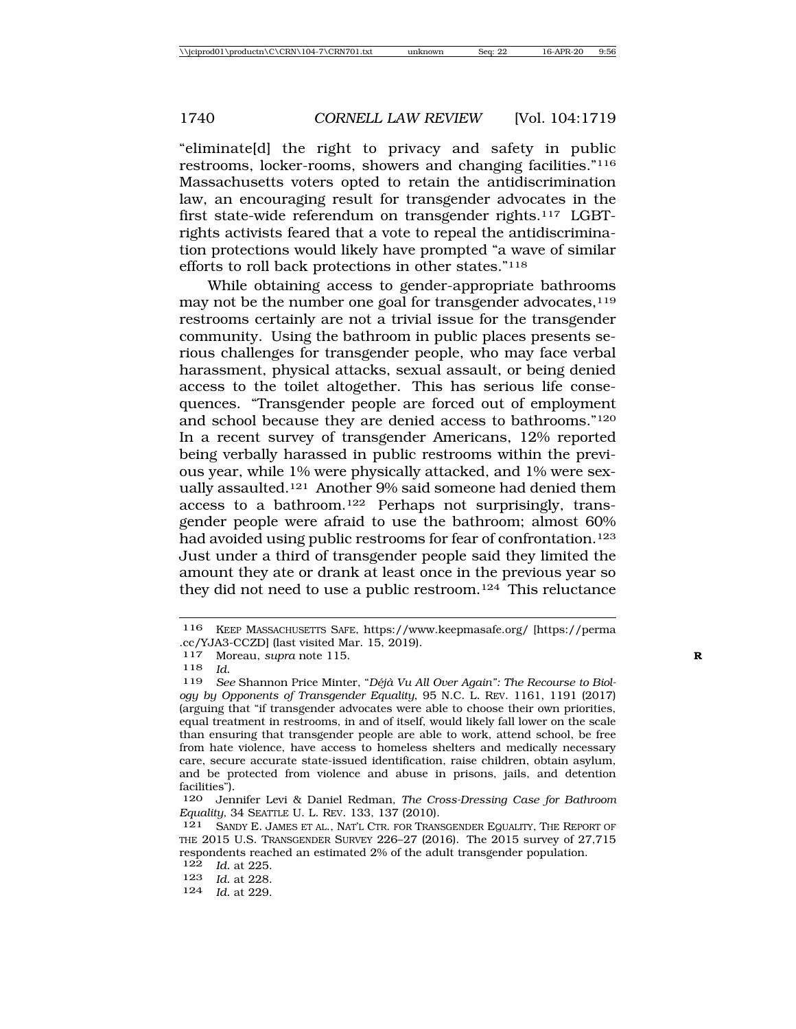"eliminate[d] the right to privacy and safety in public restrooms, locker-rooms, showers and changing facilities."116 Massachusetts voters opted to retain the antidiscrimination law, an encouraging result for transgender advocates in the first state-wide referendum on transgender rights.117 LGBTrights activists feared that a vote to repeal the antidiscrimination protections would likely have prompted "a wave of similar efforts to roll back protections in other states."118

While obtaining access to gender-appropriate bathrooms may not be the number one goal for transgender advocates,  $119$ restrooms certainly are not a trivial issue for the transgender community. Using the bathroom in public places presents serious challenges for transgender people, who may face verbal harassment, physical attacks, sexual assault, or being denied access to the toilet altogether. This has serious life consequences. "Transgender people are forced out of employment and school because they are denied access to bathrooms."120 In a recent survey of transgender Americans, 12% reported being verbally harassed in public restrooms within the previous year, while 1% were physically attacked, and 1% were sexually assaulted.121 Another 9% said someone had denied them access to a bathroom.122 Perhaps not surprisingly, transgender people were afraid to use the bathroom; almost 60% had avoided using public restrooms for fear of confrontation.<sup>123</sup> Just under a third of transgender people said they limited the amount they ate or drank at least once in the previous year so they did not need to use a public restroom.124 This reluctance

<sup>116</sup> KEEP MASSACHUSETTS SAFE, https://www.keepmasafe.org/ [https://perma .cc/YJA3-CCZD] (last visited Mar. 15, 2019).

<sup>117</sup> Moreau, *supra* note 115. **R**

<sup>118</sup> *Id.*

<sup>119</sup> See Shannon Price Minter, "Déjà Vu All Over Again": The Recourse to Biol*ogy by Opponents of Transgender Equality*, 95 N.C. L. REV. 1161, 1191 (2017) (arguing that "if transgender advocates were able to choose their own priorities, equal treatment in restrooms, in and of itself, would likely fall lower on the scale than ensuring that transgender people are able to work, attend school, be free from hate violence, have access to homeless shelters and medically necessary care, secure accurate state-issued identification, raise children, obtain asylum, and be protected from violence and abuse in prisons, jails, and detention facilities").<br>120 Jen

<sup>120</sup> Jennifer Levi & Daniel Redman, *The Cross-Dressing Case for Bathroom Equality,* 34 SEATTLE U. L. REV. 133, 137 (2010).

<sup>121</sup> SANDY E. JAMES ET AL., NAT'L CTR. FOR TRANSGENDER EQUALITY, THE REPORT OF THE 2015 U.S. TRANSGENDER SURVEY 226–27 (2016). The 2015 survey of 27,715 respondents reached an estimated 2% of the adult transgender population.

<sup>122</sup> *Id.* at 225.

*Id.* at 228.

<sup>124</sup> *Id.* at 229.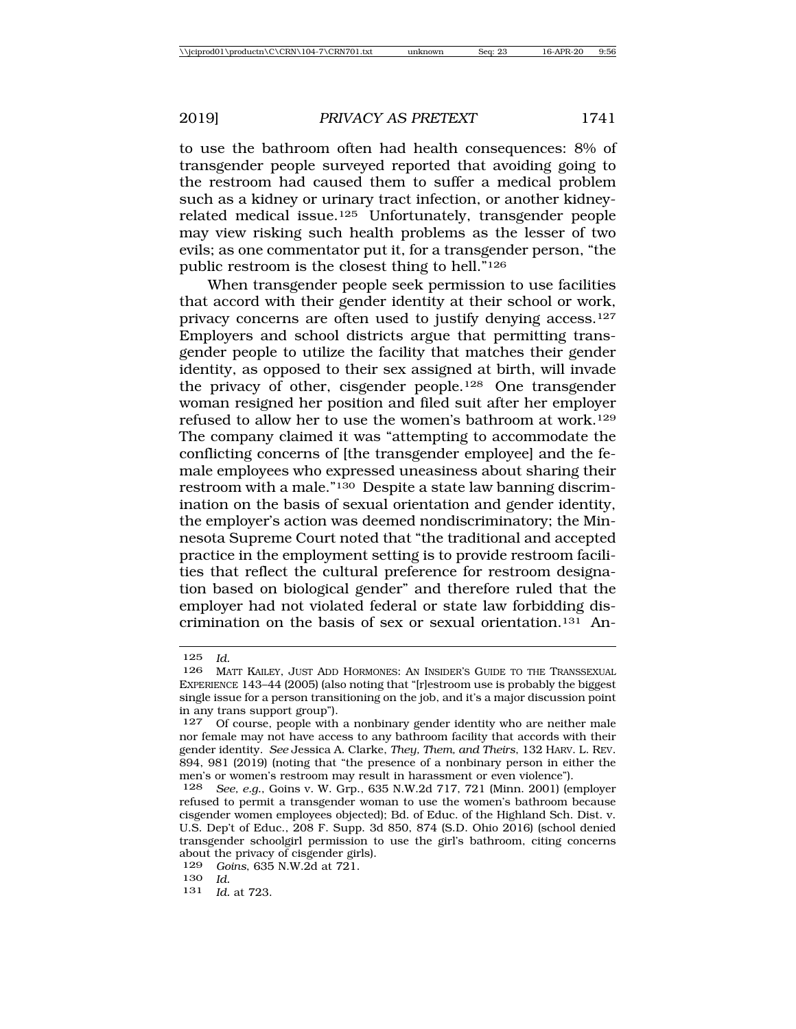to use the bathroom often had health consequences: 8% of transgender people surveyed reported that avoiding going to the restroom had caused them to suffer a medical problem such as a kidney or urinary tract infection, or another kidneyrelated medical issue.125 Unfortunately, transgender people may view risking such health problems as the lesser of two evils; as one commentator put it, for a transgender person, "the public restroom is the closest thing to hell."126

When transgender people seek permission to use facilities that accord with their gender identity at their school or work, privacy concerns are often used to justify denying access.127 Employers and school districts argue that permitting transgender people to utilize the facility that matches their gender identity, as opposed to their sex assigned at birth, will invade the privacy of other, cisgender people.128 One transgender woman resigned her position and filed suit after her employer refused to allow her to use the women's bathroom at work.129 The company claimed it was "attempting to accommodate the conflicting concerns of [the transgender employee] and the female employees who expressed uneasiness about sharing their restroom with a male."<sup>130</sup> Despite a state law banning discrimination on the basis of sexual orientation and gender identity, the employer's action was deemed nondiscriminatory; the Minnesota Supreme Court noted that "the traditional and accepted practice in the employment setting is to provide restroom facilities that reflect the cultural preference for restroom designation based on biological gender" and therefore ruled that the employer had not violated federal or state law forbidding discrimination on the basis of sex or sexual orientation.131 An-

129 *Goins*, 635 N.W.2d at 721.

<sup>125</sup> *Id.*

<sup>126</sup> MATT KAILEY, JUST ADD HORMONES: AN INSIDER'S GUIDE TO THE TRANSSEXUAL EXPERIENCE 143–44 (2005) (also noting that "[r]estroom use is probably the biggest single issue for a person transitioning on the job, and it's a major discussion point in any trans support group").

<sup>127</sup> Of course, people with a nonbinary gender identity who are neither male nor female may not have access to any bathroom facility that accords with their gender identity. *See* Jessica A. Clarke, *They, Them, and Theirs*, 132 HARV. L. REV. 894, 981 (2019) (noting that "the presence of a nonbinary person in either the men's or women's restroom may result in harassment or even violence").

<sup>128</sup> *See, e.g.*, Goins v. W. Grp., 635 N.W.2d 717, 721 (Minn. 2001) (employer refused to permit a transgender woman to use the women's bathroom because cisgender women employees objected); Bd. of Educ. of the Highland Sch. Dist. v. U.S. Dep't of Educ., 208 F. Supp. 3d 850, 874 (S.D. Ohio 2016) (school denied transgender schoolgirl permission to use the girl's bathroom, citing concerns about the privacy of cisgender girls).

<sup>130</sup> *Id.*

*Id.* at 723.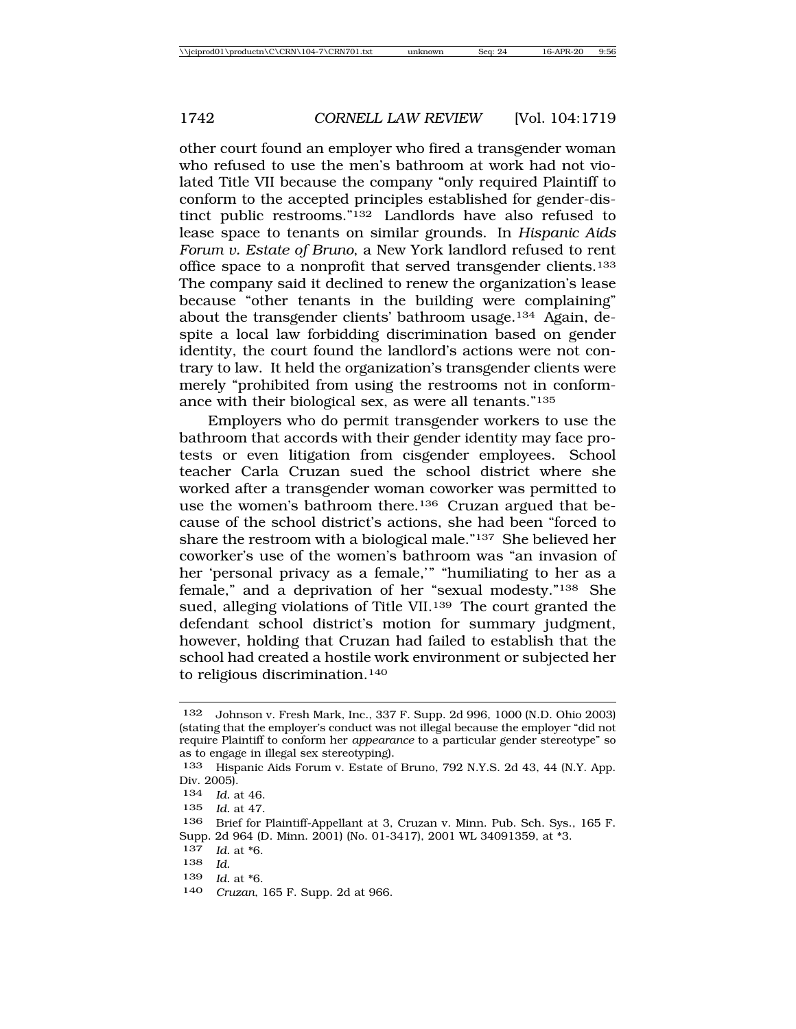other court found an employer who fired a transgender woman who refused to use the men's bathroom at work had not violated Title VII because the company "only required Plaintiff to conform to the accepted principles established for gender-distinct public restrooms."132 Landlords have also refused to lease space to tenants on similar grounds. In *Hispanic Aids Forum v. Estate of Bruno*, a New York landlord refused to rent office space to a nonprofit that served transgender clients.133 The company said it declined to renew the organization's lease because "other tenants in the building were complaining" about the transgender clients' bathroom usage.134 Again, despite a local law forbidding discrimination based on gender identity, the court found the landlord's actions were not contrary to law. It held the organization's transgender clients were merely "prohibited from using the restrooms not in conformance with their biological sex, as were all tenants."135

Employers who do permit transgender workers to use the bathroom that accords with their gender identity may face protests or even litigation from cisgender employees. School teacher Carla Cruzan sued the school district where she worked after a transgender woman coworker was permitted to use the women's bathroom there.<sup>136</sup> Cruzan argued that because of the school district's actions, she had been "forced to share the restroom with a biological male."137 She believed her coworker's use of the women's bathroom was "an invasion of her 'personal privacy as a female,'" "humiliating to her as a female," and a deprivation of her "sexual modesty."138 She sued, alleging violations of Title VII.<sup>139</sup> The court granted the defendant school district's motion for summary judgment, however, holding that Cruzan had failed to establish that the school had created a hostile work environment or subjected her to religious discrimination.140

<sup>132</sup> Johnson v. Fresh Mark, Inc., 337 F. Supp. 2d 996, 1000 (N.D. Ohio 2003) (stating that the employer's conduct was not illegal because the employer "did not require Plaintiff to conform her *appearance* to a particular gender stereotype" so as to engage in illegal sex stereotyping).

<sup>133</sup> Hispanic Aids Forum v. Estate of Bruno, 792 N.Y.S. 2d 43, 44 (N.Y. App. Div. 2005).

<sup>134</sup> *Id.* at 46.

<sup>135</sup> *Id.* at 47.

<sup>136</sup> Brief for Plaintiff-Appellant at 3, Cruzan v. Minn. Pub. Sch. Sys., 165 F. Supp. 2d 964 (D. Minn. 2001) (No. 01-3417), 2001 WL 34091359, at \*3.

<sup>137</sup> *Id.* at \*6.

<sup>138</sup> *Id.*

<sup>139</sup> *Id.* at \*6.

<sup>140</sup> *Cruzan*, 165 F. Supp. 2d at 966.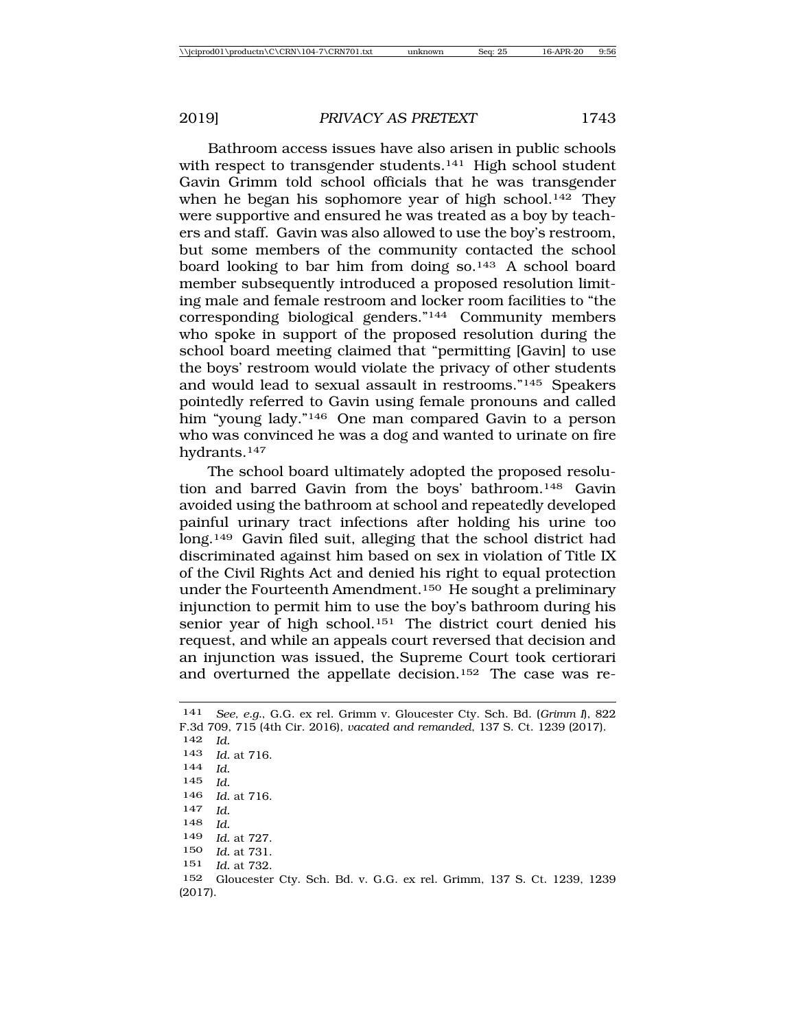Bathroom access issues have also arisen in public schools with respect to transgender students.<sup>141</sup> High school student Gavin Grimm told school officials that he was transgender when he began his sophomore year of high school.<sup>142</sup> They were supportive and ensured he was treated as a boy by teachers and staff. Gavin was also allowed to use the boy's restroom, but some members of the community contacted the school board looking to bar him from doing so.143 A school board member subsequently introduced a proposed resolution limiting male and female restroom and locker room facilities to "the corresponding biological genders."144 Community members who spoke in support of the proposed resolution during the school board meeting claimed that "permitting [Gavin] to use the boys' restroom would violate the privacy of other students and would lead to sexual assault in restrooms."145 Speakers pointedly referred to Gavin using female pronouns and called him "young lady."146 One man compared Gavin to a person who was convinced he was a dog and wanted to urinate on fire hydrants.147

The school board ultimately adopted the proposed resolution and barred Gavin from the boys' bathroom.148 Gavin avoided using the bathroom at school and repeatedly developed painful urinary tract infections after holding his urine too long.149 Gavin filed suit, alleging that the school district had discriminated against him based on sex in violation of Title IX of the Civil Rights Act and denied his right to equal protection under the Fourteenth Amendment.150 He sought a preliminary injunction to permit him to use the boy's bathroom during his senior year of high school.<sup>151</sup> The district court denied his request, and while an appeals court reversed that decision and an injunction was issued, the Supreme Court took certiorari and overturned the appellate decision.152 The case was re-

141 *See, e.g.*, G.G. ex rel. Grimm v. Gloucester Cty. Sch. Bd. (*Grimm I*), 822 F.3d 709, 715 (4th Cir. 2016), *vacated and remanded*, 137 S. Ct. 1239 (2017). 142 *Id.* 143 *Id.* at 716. 144 *Id.* 145 *Id.* 146 *Id.* at 716. 147 *Id.* 148 *Id.* 149 *Id.* at 727. 150 *Id.* at 731. 151 *Id.* at 732. 152 Gloucester Cty. Sch. Bd. v. G.G. ex rel. Grimm, 137 S. Ct. 1239, 1239 (2017).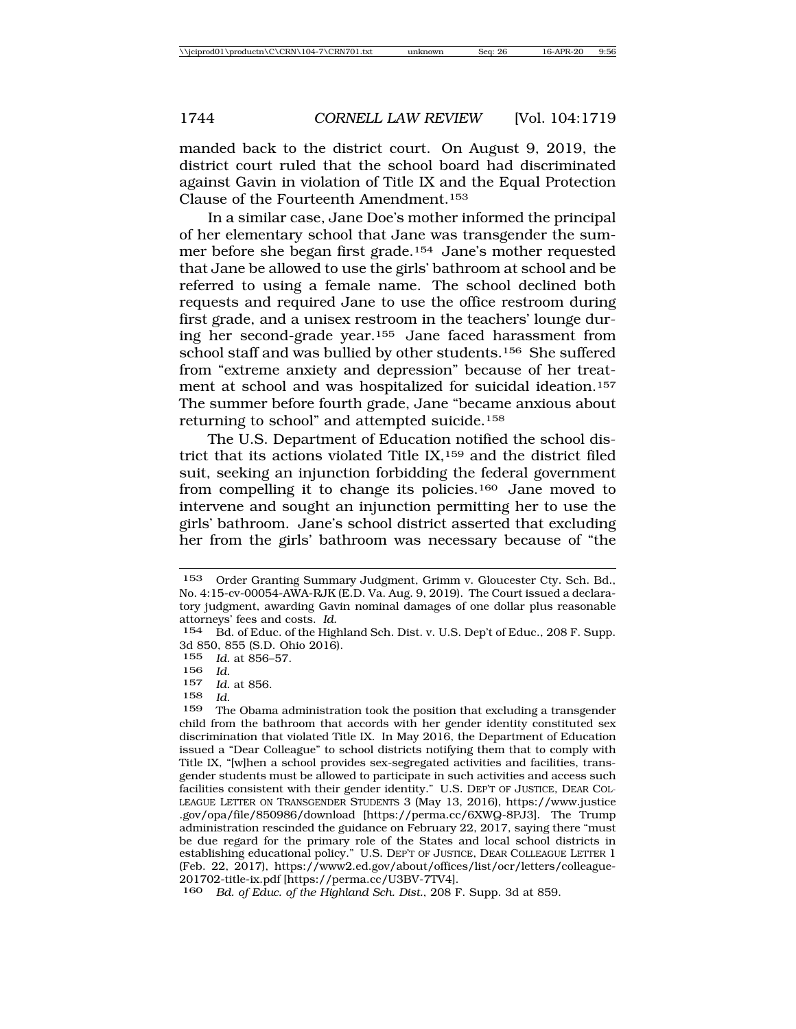manded back to the district court. On August 9, 2019, the district court ruled that the school board had discriminated against Gavin in violation of Title IX and the Equal Protection Clause of the Fourteenth Amendment.153

In a similar case, Jane Doe's mother informed the principal of her elementary school that Jane was transgender the summer before she began first grade.154 Jane's mother requested that Jane be allowed to use the girls' bathroom at school and be referred to using a female name. The school declined both requests and required Jane to use the office restroom during first grade, and a unisex restroom in the teachers' lounge during her second-grade year.155 Jane faced harassment from school staff and was bullied by other students.156 She suffered from "extreme anxiety and depression" because of her treatment at school and was hospitalized for suicidal ideation.157 The summer before fourth grade, Jane "became anxious about returning to school" and attempted suicide.158

The U.S. Department of Education notified the school district that its actions violated Title IX,159 and the district filed suit, seeking an injunction forbidding the federal government from compelling it to change its policies.160 Jane moved to intervene and sought an injunction permitting her to use the girls' bathroom. Jane's school district asserted that excluding her from the girls' bathroom was necessary because of "the

<sup>153</sup> Order Granting Summary Judgment, Grimm v. Gloucester Cty. Sch. Bd., No. 4:15-cv-00054-AWA-RJK (E.D. Va. Aug. 9, 2019). The Court issued a declaratory judgment, awarding Gavin nominal damages of one dollar plus reasonable attorneys' fees and costs. *Id.*

<sup>154</sup> Bd. of Educ. of the Highland Sch. Dist. v. U.S. Dep't of Educ., 208 F. Supp. 3d 850, 855 (S.D. Ohio 2016).

<sup>155</sup> *Id.* at 856–57.

<sup>156</sup> *Id.*

*Id.* at 856.

<sup>&</sup>lt;sup>159</sup> The Obama administration took the position that excluding a transgender child from the bathroom that accords with her gender identity constituted sex discrimination that violated Title IX. In May 2016, the Department of Education issued a "Dear Colleague" to school districts notifying them that to comply with Title IX, "[w]hen a school provides sex-segregated activities and facilities, transgender students must be allowed to participate in such activities and access such facilities consistent with their gender identity." U.S. DEP'T OF JUSTICE, DEAR COL-LEAGUE LETTER ON TRANSGENDER STUDENTS 3 (May 13, 2016), https://www.justice .gov/opa/file/850986/download [https://perma.cc/6XWQ-8PJ3]. The Trump administration rescinded the guidance on February 22, 2017, saying there "must be due regard for the primary role of the States and local school districts in establishing educational policy." U.S. DEP'T OF JUSTICE, DEAR COLLEAGUE LETTER 1 (Feb. 22, 2017), https://www2.ed.gov/about/offices/list/ocr/letters/colleague-201702-title-ix.pdf [https://perma.cc/U3BV-7TV4].

<sup>160</sup> *Bd. of Educ. of the Highland Sch. Dist.*, 208 F. Supp. 3d at 859.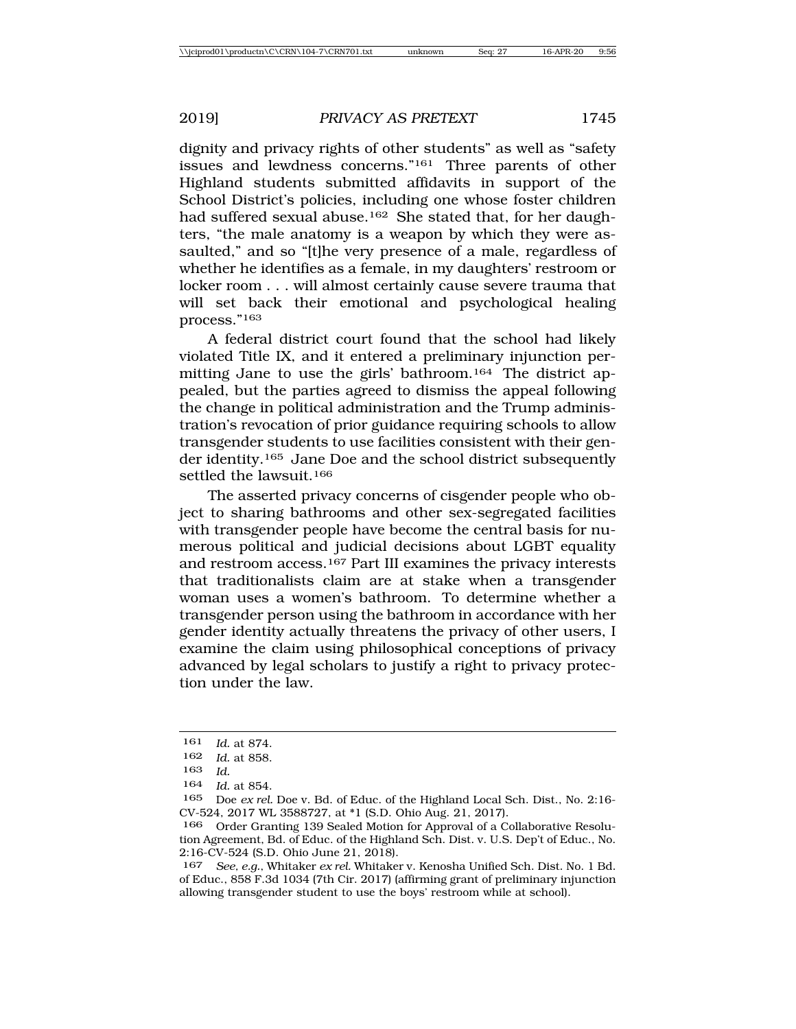dignity and privacy rights of other students" as well as "safety issues and lewdness concerns."161 Three parents of other Highland students submitted affidavits in support of the School District's policies, including one whose foster children had suffered sexual abuse.162 She stated that, for her daughters, "the male anatomy is a weapon by which they were assaulted," and so "[t]he very presence of a male, regardless of whether he identifies as a female, in my daughters' restroom or locker room . . . will almost certainly cause severe trauma that will set back their emotional and psychological healing process."163

A federal district court found that the school had likely violated Title IX, and it entered a preliminary injunction permitting Jane to use the girls' bathroom.164 The district appealed, but the parties agreed to dismiss the appeal following the change in political administration and the Trump administration's revocation of prior guidance requiring schools to allow transgender students to use facilities consistent with their gender identity.165 Jane Doe and the school district subsequently settled the lawsuit.<sup>166</sup>

The asserted privacy concerns of cisgender people who object to sharing bathrooms and other sex-segregated facilities with transgender people have become the central basis for numerous political and judicial decisions about LGBT equality and restroom access.167 Part III examines the privacy interests that traditionalists claim are at stake when a transgender woman uses a women's bathroom. To determine whether a transgender person using the bathroom in accordance with her gender identity actually threatens the privacy of other users, I examine the claim using philosophical conceptions of privacy advanced by legal scholars to justify a right to privacy protection under the law.

<sup>161</sup> *Id.* at 874.

<sup>162</sup> *Id.* at 858.

<sup>163</sup> *Id.*

<sup>164</sup> *Id.* at 854.<br>165 Doe ex rel

Doe ex rel. Doe v. Bd. of Educ. of the Highland Local Sch. Dist., No. 2:16-CV-524, 2017 WL 3588727, at \*1 (S.D. Ohio Aug. 21, 2017).

<sup>166</sup> Order Granting 139 Sealed Motion for Approval of a Collaborative Resolution Agreement, Bd. of Educ. of the Highland Sch. Dist. v. U.S. Dep't of Educ., No. 2:16-CV-524 (S.D. Ohio June 21, 2018).

<sup>167</sup> *See, e.g.*, Whitaker *ex rel.* Whitaker v. Kenosha Unified Sch. Dist. No. 1 Bd. of Educ., 858 F.3d 1034 (7th Cir. 2017) (affirming grant of preliminary injunction allowing transgender student to use the boys' restroom while at school).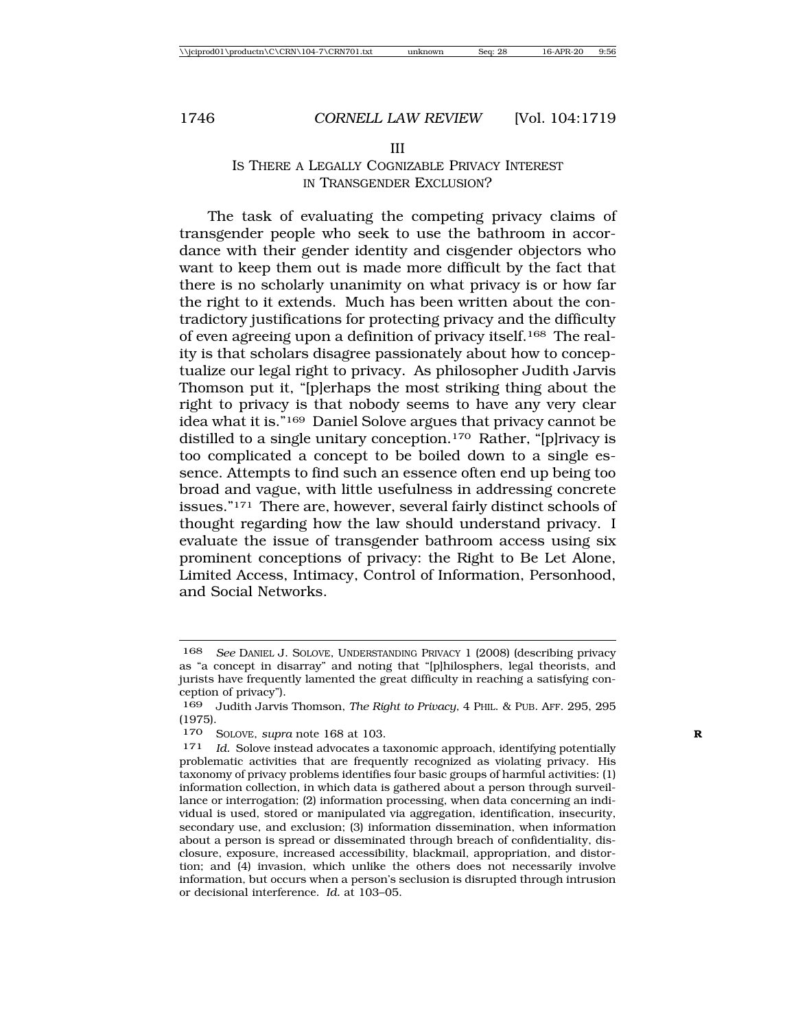#### III

## IS THERE A LEGALLY COGNIZABLE PRIVACY INTEREST IN TRANSGENDER EXCLUSION?

The task of evaluating the competing privacy claims of transgender people who seek to use the bathroom in accordance with their gender identity and cisgender objectors who want to keep them out is made more difficult by the fact that there is no scholarly unanimity on what privacy is or how far the right to it extends. Much has been written about the contradictory justifications for protecting privacy and the difficulty of even agreeing upon a definition of privacy itself.168 The reality is that scholars disagree passionately about how to conceptualize our legal right to privacy. As philosopher Judith Jarvis Thomson put it, "[p]erhaps the most striking thing about the right to privacy is that nobody seems to have any very clear idea what it is."169 Daniel Solove argues that privacy cannot be distilled to a single unitary conception.170 Rather, "[p]rivacy is too complicated a concept to be boiled down to a single essence. Attempts to find such an essence often end up being too broad and vague, with little usefulness in addressing concrete issues."171 There are, however, several fairly distinct schools of thought regarding how the law should understand privacy. I evaluate the issue of transgender bathroom access using six prominent conceptions of privacy: the Right to Be Let Alone, Limited Access, Intimacy, Control of Information, Personhood, and Social Networks.

<sup>168</sup> *See* DANIEL J. SOLOVE, UNDERSTANDING PRIVACY 1 (2008) (describing privacy as "a concept in disarray" and noting that "[p]hilosphers, legal theorists, and jurists have frequently lamented the great difficulty in reaching a satisfying conception of privacy").

<sup>169</sup> Judith Jarvis Thomson, *The Right to Privacy,* 4 PHIL. & PUB. AFF. 295, 295 (1975).

<sup>170</sup> SOLOVE, *supra* note 168 at 103. **R**

<sup>171</sup> *Id.* Solove instead advocates a taxonomic approach, identifying potentially problematic activities that are frequently recognized as violating privacy. His taxonomy of privacy problems identifies four basic groups of harmful activities: (1) information collection, in which data is gathered about a person through surveillance or interrogation; (2) information processing, when data concerning an individual is used, stored or manipulated via aggregation, identification, insecurity, secondary use, and exclusion; (3) information dissemination, when information about a person is spread or disseminated through breach of confidentiality, disclosure, exposure, increased accessibility, blackmail, appropriation, and distortion; and (4) invasion, which unlike the others does not necessarily involve information, but occurs when a person's seclusion is disrupted through intrusion or decisional interference. *Id.* at 103–05.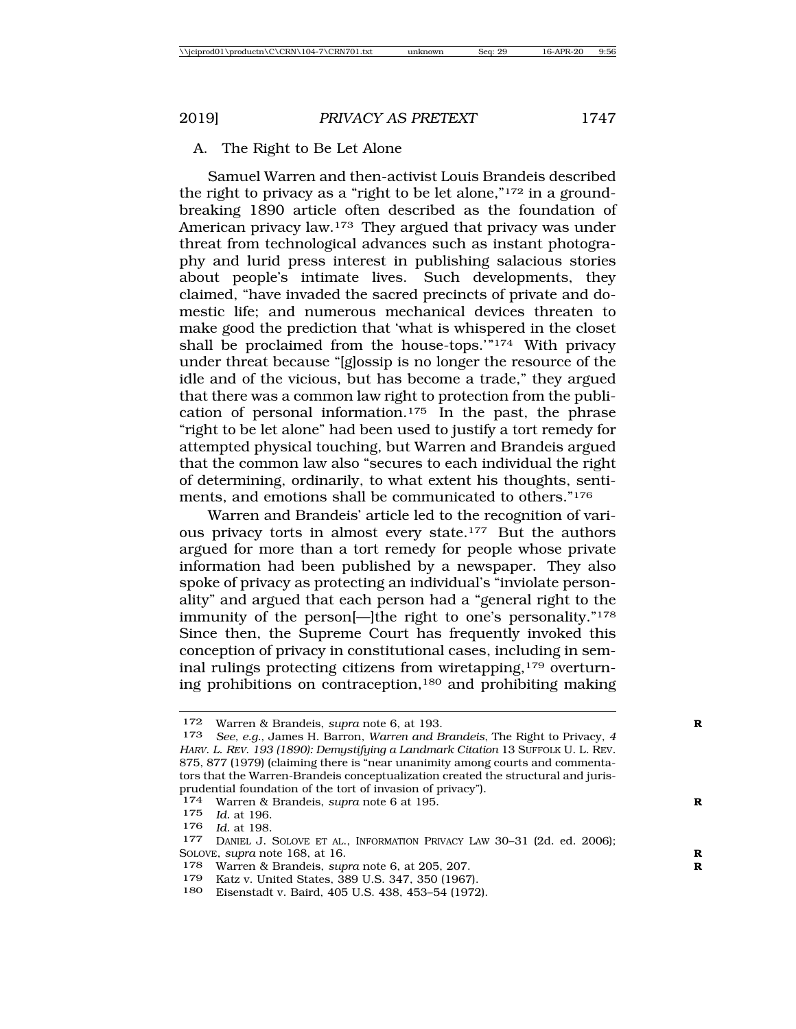### A. The Right to Be Let Alone

Samuel Warren and then-activist Louis Brandeis described the right to privacy as a "right to be let alone,"172 in a groundbreaking 1890 article often described as the foundation of American privacy law.<sup>173</sup> They argued that privacy was under threat from technological advances such as instant photography and lurid press interest in publishing salacious stories about people's intimate lives. Such developments, they claimed, "have invaded the sacred precincts of private and domestic life; and numerous mechanical devices threaten to make good the prediction that 'what is whispered in the closet shall be proclaimed from the house-tops.'"174 With privacy under threat because "[g]ossip is no longer the resource of the idle and of the vicious, but has become a trade," they argued that there was a common law right to protection from the publication of personal information.175 In the past, the phrase "right to be let alone" had been used to justify a tort remedy for attempted physical touching, but Warren and Brandeis argued that the common law also "secures to each individual the right of determining, ordinarily, to what extent his thoughts, sentiments, and emotions shall be communicated to others."176

Warren and Brandeis' article led to the recognition of various privacy torts in almost every state.177 But the authors argued for more than a tort remedy for people whose private information had been published by a newspaper. They also spoke of privacy as protecting an individual's "inviolate personality" and argued that each person had a "general right to the immunity of the person[—]the right to one's personality."178 Since then, the Supreme Court has frequently invoked this conception of privacy in constitutional cases, including in seminal rulings protecting citizens from wiretapping,<sup>179</sup> overturning prohibitions on contraception,180 and prohibiting making

<sup>172</sup> Warren & Brandeis, *supra* note 6, at 193.<br>173 *See e.g.* James H. Barron, *Warren and B.* 

<sup>173</sup> *See, e.g.*, James H. Barron, *Warren and Brandeis*, The Right to Privacy, <sup>4</sup> <sup>H</sup>ARV. L. REV. *193 (1890): Demystifying a Landmark Citation* 13 SUFFOLK U. L. REV. 875, 877 (1979) (claiming there is "near unanimity among courts and commentators that the Warren-Brandeis conceptualization created the structural and jurisprudential foundation of the tort of invasion of privacy").

<sup>174</sup> Warren & Brandeis, *supra* note 6 at 195.<br>175 *Id* at 196.

<sup>175</sup> *Id.* at 196.

<sup>177</sup> DANIEL J. SOLOVE ET AL., INFORMATION PRIVACY LAW 30-31 (2d. ed. 2006); SOLOVE, *supra* note 168, at 16. **R**

<sup>178</sup> Warren & Brandeis, *supra* note 6, at 205, 207. **R**

<sup>179</sup> Katz v. United States, 389 U.S. 347, 350 (1967).

<sup>180</sup> Eisenstadt v. Baird, 405 U.S. 438, 453–54 (1972).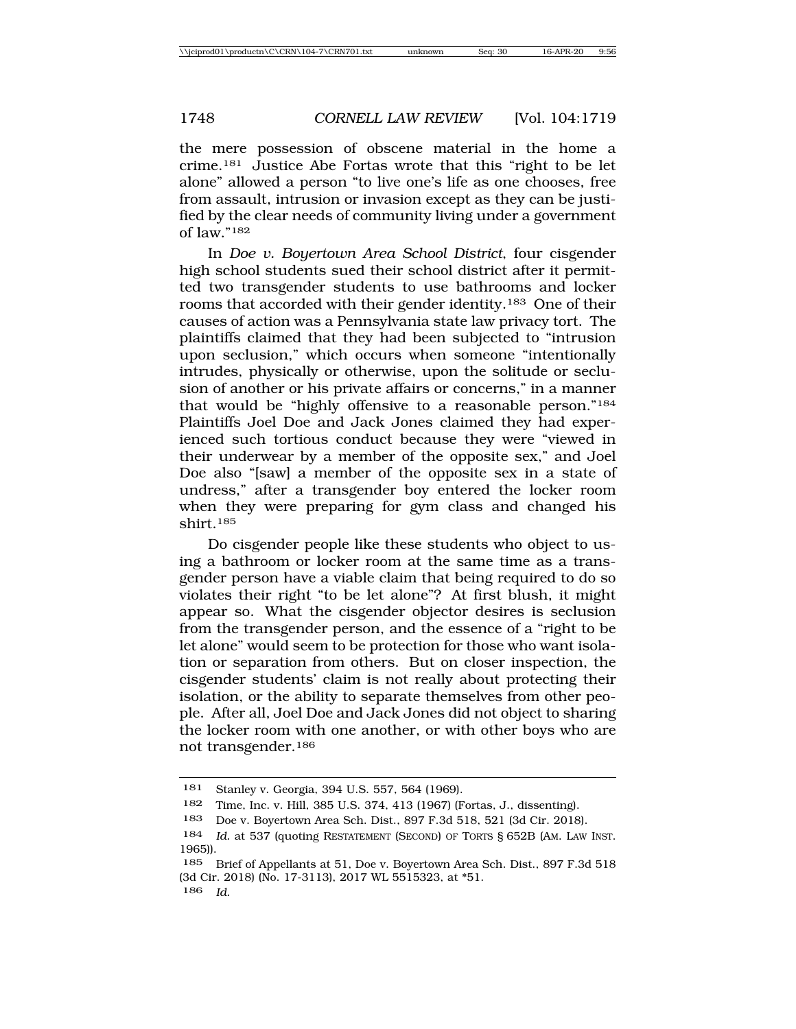the mere possession of obscene material in the home a crime.181 Justice Abe Fortas wrote that this "right to be let alone" allowed a person "to live one's life as one chooses, free from assault, intrusion or invasion except as they can be justified by the clear needs of community living under a government of law."182

In *Doe v. Boyertown Area School District*, four cisgender high school students sued their school district after it permitted two transgender students to use bathrooms and locker rooms that accorded with their gender identity.183 One of their causes of action was a Pennsylvania state law privacy tort. The plaintiffs claimed that they had been subjected to "intrusion upon seclusion," which occurs when someone "intentionally intrudes, physically or otherwise, upon the solitude or seclusion of another or his private affairs or concerns," in a manner that would be "highly offensive to a reasonable person."184 Plaintiffs Joel Doe and Jack Jones claimed they had experienced such tortious conduct because they were "viewed in their underwear by a member of the opposite sex," and Joel Doe also "[saw] a member of the opposite sex in a state of undress," after a transgender boy entered the locker room when they were preparing for gym class and changed his shirt.185

Do cisgender people like these students who object to using a bathroom or locker room at the same time as a transgender person have a viable claim that being required to do so violates their right "to be let alone"? At first blush, it might appear so. What the cisgender objector desires is seclusion from the transgender person, and the essence of a "right to be let alone" would seem to be protection for those who want isolation or separation from others. But on closer inspection, the cisgender students' claim is not really about protecting their isolation, or the ability to separate themselves from other people. After all, Joel Doe and Jack Jones did not object to sharing the locker room with one another, or with other boys who are not transgender.186

<sup>181</sup> Stanley v. Georgia, 394 U.S. 557, 564 (1969).

<sup>182</sup> Time, Inc. v. Hill, 385 U.S. 374, 413 (1967) (Fortas, J., dissenting).

<sup>183</sup> Doe v. Boyertown Area Sch. Dist., 897 F.3d 518, 521 (3d Cir. 2018).

<sup>184</sup> *Id.* at 537 (quoting RESTATEMENT (SECOND) OF TORTS § 652B (AM. LAW INST. 1965)).

<sup>185</sup> Brief of Appellants at 51, Doe v. Boyertown Area Sch. Dist., 897 F.3d 518 (3d Cir. 2018) (No. 17-3113), 2017 WL 5515323, at \*51.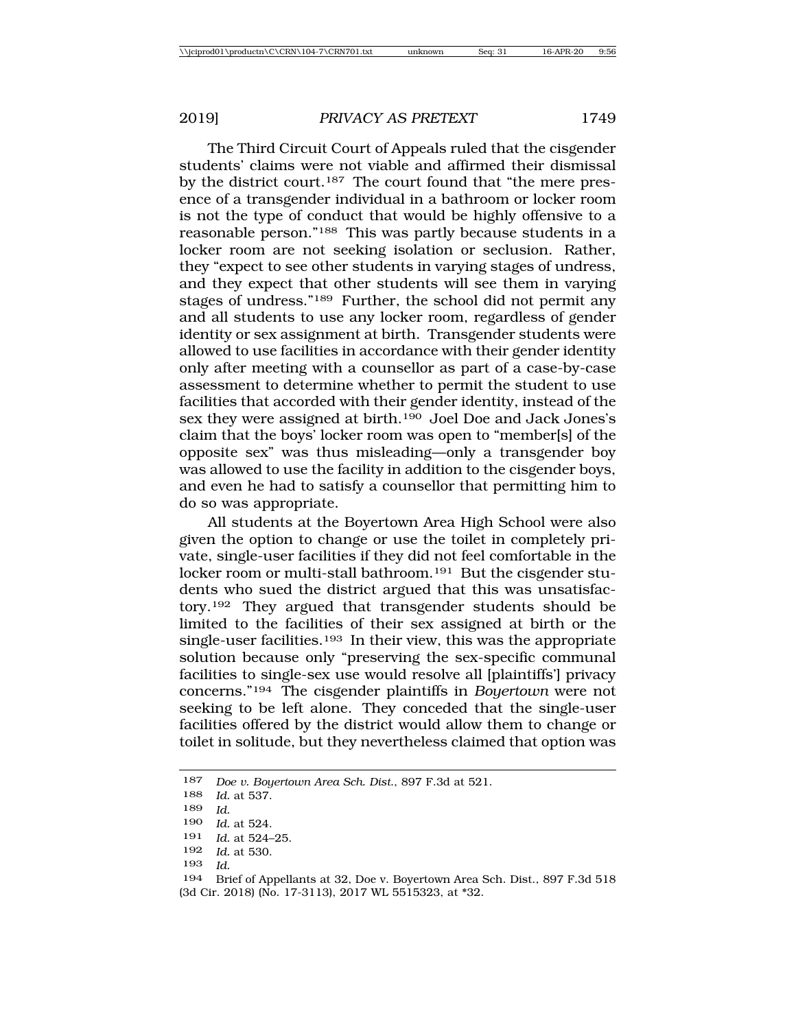The Third Circuit Court of Appeals ruled that the cisgender students' claims were not viable and affirmed their dismissal by the district court.187 The court found that "the mere presence of a transgender individual in a bathroom or locker room is not the type of conduct that would be highly offensive to a reasonable person."188 This was partly because students in a locker room are not seeking isolation or seclusion. Rather, they "expect to see other students in varying stages of undress, and they expect that other students will see them in varying stages of undress."189 Further, the school did not permit any and all students to use any locker room, regardless of gender identity or sex assignment at birth. Transgender students were allowed to use facilities in accordance with their gender identity only after meeting with a counsellor as part of a case-by-case assessment to determine whether to permit the student to use facilities that accorded with their gender identity, instead of the sex they were assigned at birth.190 Joel Doe and Jack Jones's claim that the boys' locker room was open to "member[s] of the opposite sex" was thus misleading—only a transgender boy was allowed to use the facility in addition to the cisgender boys, and even he had to satisfy a counsellor that permitting him to do so was appropriate.

All students at the Boyertown Area High School were also given the option to change or use the toilet in completely private, single-user facilities if they did not feel comfortable in the locker room or multi-stall bathroom.<sup>191</sup> But the cisgender students who sued the district argued that this was unsatisfactory.192 They argued that transgender students should be limited to the facilities of their sex assigned at birth or the single-user facilities.193 In their view, this was the appropriate solution because only "preserving the sex-specific communal facilities to single-sex use would resolve all [plaintiffs'] privacy concerns."194 The cisgender plaintiffs in *Boyertown* were not seeking to be left alone. They conceded that the single-user facilities offered by the district would allow them to change or toilet in solitude, but they nevertheless claimed that option was

<sup>187</sup> *Doe v. Boyertown Area Sch. Dist*., 897 F.3d at 521.

<sup>188</sup> *Id.* at 537.

<sup>189</sup> *Id.*

<sup>190</sup> *Id.* at 524.

<sup>191</sup> *Id.* at 524–25.

<sup>192</sup> *Id.* at 530.

<sup>194</sup> Brief of Appellants at 32, Doe v. Boyertown Area Sch. Dist., 897 F.3d 518 (3d Cir. 2018) (No. 17-3113), 2017 WL 5515323, at \*32.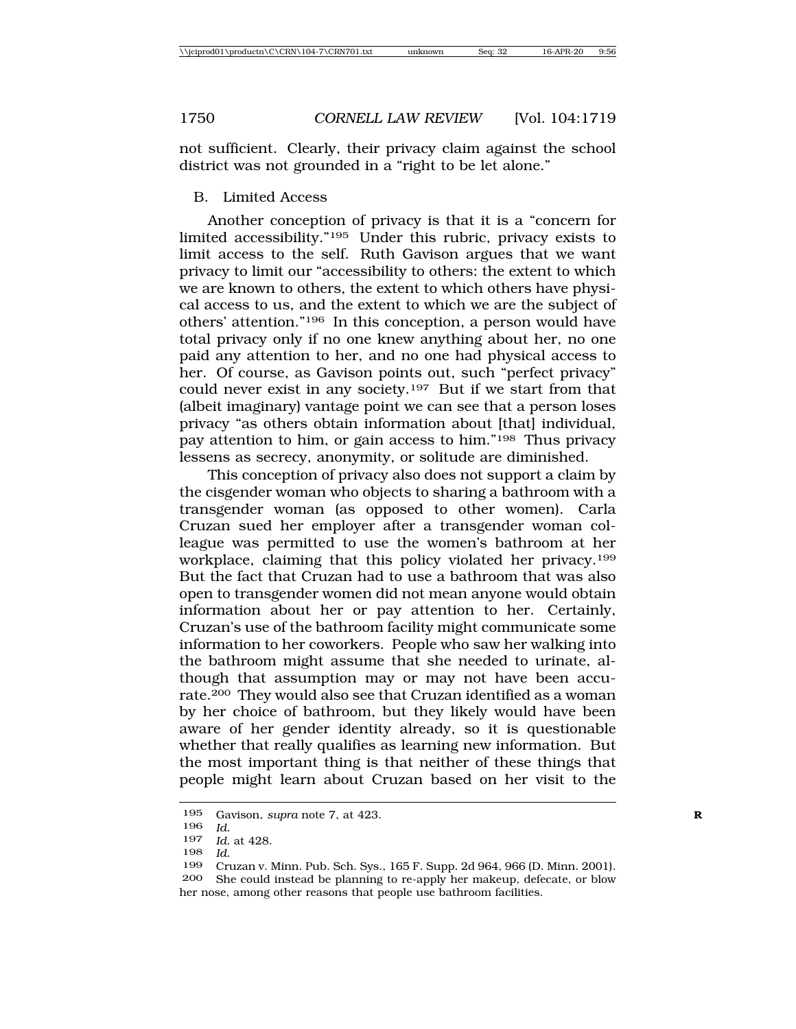not sufficient. Clearly, their privacy claim against the school district was not grounded in a "right to be let alone."

# B. Limited Access

Another conception of privacy is that it is a "concern for limited accessibility."195 Under this rubric, privacy exists to limit access to the self. Ruth Gavison argues that we want privacy to limit our "accessibility to others: the extent to which we are known to others, the extent to which others have physical access to us, and the extent to which we are the subject of others' attention."196 In this conception, a person would have total privacy only if no one knew anything about her, no one paid any attention to her, and no one had physical access to her. Of course, as Gavison points out, such "perfect privacy" could never exist in any society.197 But if we start from that (albeit imaginary) vantage point we can see that a person loses privacy "as others obtain information about [that] individual, pay attention to him, or gain access to him."<sup>198</sup> Thus privacy lessens as secrecy, anonymity, or solitude are diminished.

This conception of privacy also does not support a claim by the cisgender woman who objects to sharing a bathroom with a transgender woman (as opposed to other women). Carla Cruzan sued her employer after a transgender woman colleague was permitted to use the women's bathroom at her workplace, claiming that this policy violated her privacy.199 But the fact that Cruzan had to use a bathroom that was also open to transgender women did not mean anyone would obtain information about her or pay attention to her. Certainly, Cruzan's use of the bathroom facility might communicate some information to her coworkers. People who saw her walking into the bathroom might assume that she needed to urinate, although that assumption may or may not have been accurate.200 They would also see that Cruzan identified as a woman by her choice of bathroom, but they likely would have been aware of her gender identity already, so it is questionable whether that really qualifies as learning new information. But the most important thing is that neither of these things that people might learn about Cruzan based on her visit to the

<sup>195</sup> Gavison, *supra* note 7, at 423. **R**

<sup>196</sup> *Id.*

<sup>197</sup> *Id.* at 428.

<sup>199</sup> Cruzan v. Minn. Pub. Sch. Sys., 165 F. Supp. 2d 964, 966 (D. Minn. 2001). 200 She could instead be planning to re-apply her makeup, defecate, or blow her nose, among other reasons that people use bathroom facilities.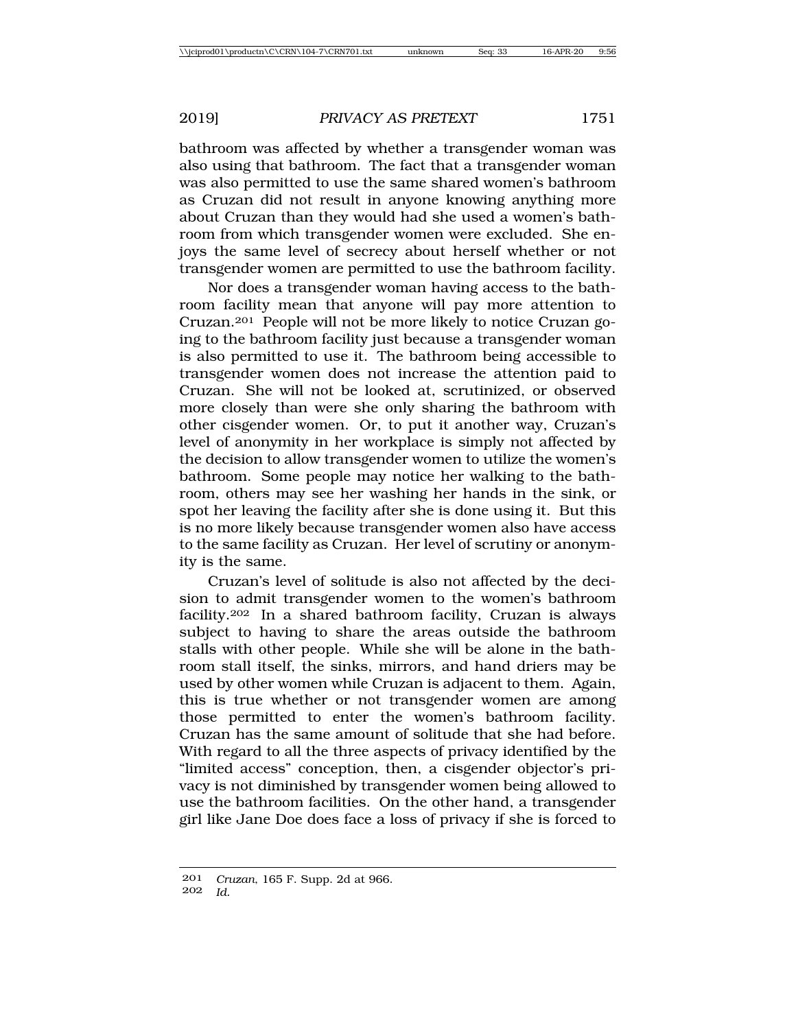bathroom was affected by whether a transgender woman was also using that bathroom. The fact that a transgender woman was also permitted to use the same shared women's bathroom as Cruzan did not result in anyone knowing anything more about Cruzan than they would had she used a women's bathroom from which transgender women were excluded. She enjoys the same level of secrecy about herself whether or not transgender women are permitted to use the bathroom facility.

Nor does a transgender woman having access to the bathroom facility mean that anyone will pay more attention to Cruzan.201 People will not be more likely to notice Cruzan going to the bathroom facility just because a transgender woman is also permitted to use it. The bathroom being accessible to transgender women does not increase the attention paid to Cruzan. She will not be looked at, scrutinized, or observed more closely than were she only sharing the bathroom with other cisgender women. Or, to put it another way, Cruzan's level of anonymity in her workplace is simply not affected by the decision to allow transgender women to utilize the women's bathroom. Some people may notice her walking to the bathroom, others may see her washing her hands in the sink, or spot her leaving the facility after she is done using it. But this is no more likely because transgender women also have access to the same facility as Cruzan. Her level of scrutiny or anonymity is the same.

Cruzan's level of solitude is also not affected by the decision to admit transgender women to the women's bathroom facility.202 In a shared bathroom facility, Cruzan is always subject to having to share the areas outside the bathroom stalls with other people. While she will be alone in the bathroom stall itself, the sinks, mirrors, and hand driers may be used by other women while Cruzan is adjacent to them. Again, this is true whether or not transgender women are among those permitted to enter the women's bathroom facility. Cruzan has the same amount of solitude that she had before. With regard to all the three aspects of privacy identified by the "limited access" conception, then, a cisgender objector's privacy is not diminished by transgender women being allowed to use the bathroom facilities. On the other hand, a transgender girl like Jane Doe does face a loss of privacy if she is forced to

<sup>201</sup> *Cruzan*, 165 F. Supp. 2d at 966. 202 *Id.*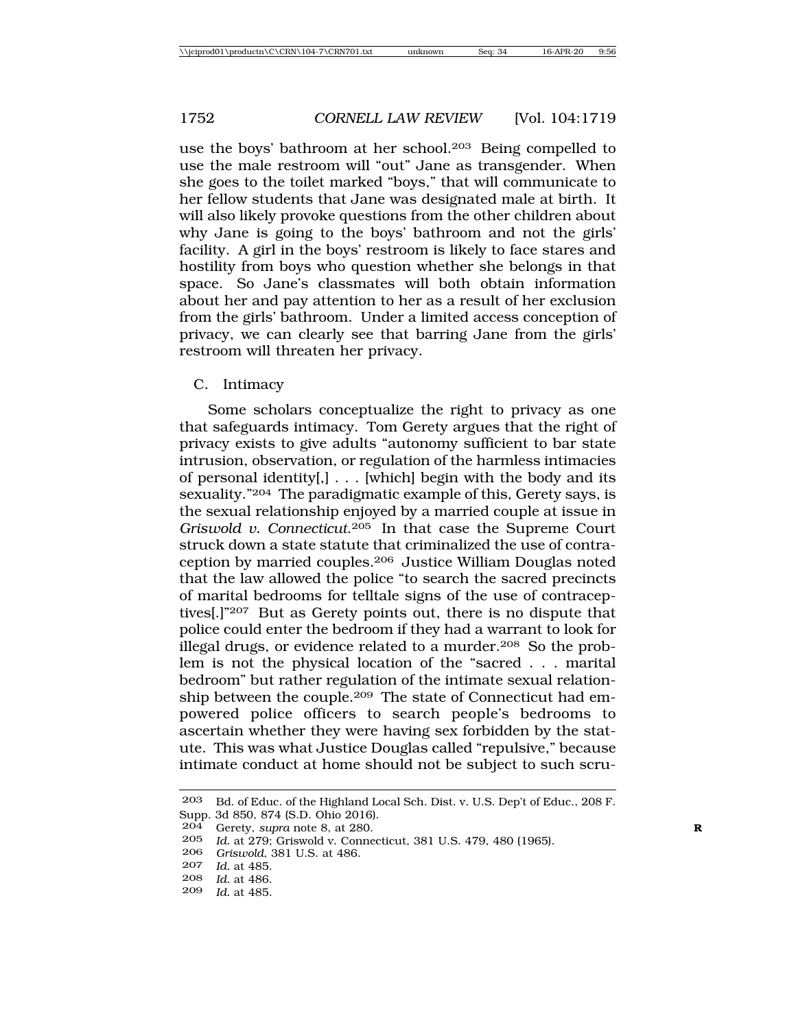use the boys' bathroom at her school.203 Being compelled to use the male restroom will "out" Jane as transgender. When she goes to the toilet marked "boys," that will communicate to her fellow students that Jane was designated male at birth. It will also likely provoke questions from the other children about why Jane is going to the boys' bathroom and not the girls' facility. A girl in the boys' restroom is likely to face stares and hostility from boys who question whether she belongs in that space. So Jane's classmates will both obtain information about her and pay attention to her as a result of her exclusion from the girls' bathroom. Under a limited access conception of privacy, we can clearly see that barring Jane from the girls' restroom will threaten her privacy.

## C. Intimacy

Some scholars conceptualize the right to privacy as one that safeguards intimacy. Tom Gerety argues that the right of privacy exists to give adults "autonomy sufficient to bar state intrusion, observation, or regulation of the harmless intimacies of personal identity[,]  $\ldots$  [which] begin with the body and its sexuality."204 The paradigmatic example of this, Gerety says, is the sexual relationship enjoyed by a married couple at issue in *Griswold v. Connecticut*.205 In that case the Supreme Court struck down a state statute that criminalized the use of contraception by married couples.206 Justice William Douglas noted that the law allowed the police "to search the sacred precincts of marital bedrooms for telltale signs of the use of contraceptives[.]"207 But as Gerety points out, there is no dispute that police could enter the bedroom if they had a warrant to look for illegal drugs, or evidence related to a murder.208 So the problem is not the physical location of the "sacred . . . marital bedroom" but rather regulation of the intimate sexual relationship between the couple.209 The state of Connecticut had empowered police officers to search people's bedrooms to ascertain whether they were having sex forbidden by the statute. This was what Justice Douglas called "repulsive," because intimate conduct at home should not be subject to such scru-

- 206 *Griswold*, 381 U.S. at 486.
- 207 *Id.* at 485.
- 208 *Id.* at 486.
- 209 *Id.* at 485.

<sup>203</sup> Bd. of Educ. of the Highland Local Sch. Dist. v. U.S. Dep't of Educ., 208 F. Supp. 3d 850, 874 (S.D. Ohio 2016).

<sup>204</sup> Gerety, *supra* note 8, at 280. **R**

<sup>205</sup> *Id.* at 279; Griswold v. Connecticut, 381 U.S. 479, 480 (1965).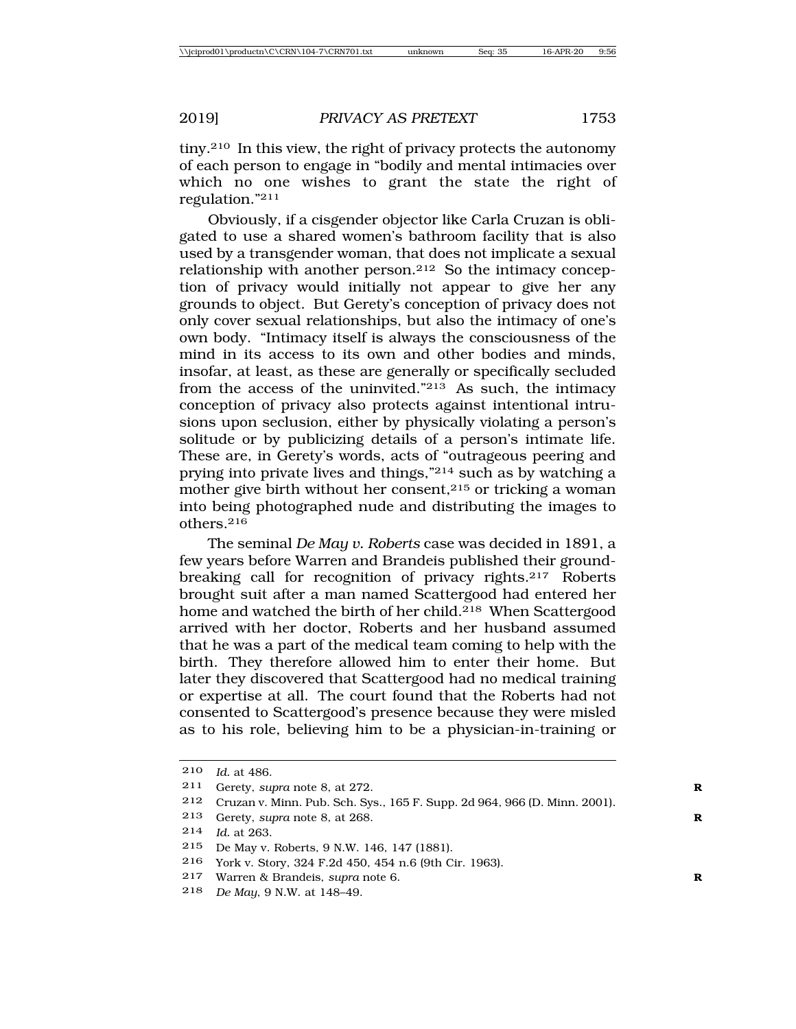tiny.210 In this view, the right of privacy protects the autonomy of each person to engage in "bodily and mental intimacies over which no one wishes to grant the state the right of regulation."211

Obviously, if a cisgender objector like Carla Cruzan is obligated to use a shared women's bathroom facility that is also used by a transgender woman, that does not implicate a sexual relationship with another person.212 So the intimacy conception of privacy would initially not appear to give her any grounds to object. But Gerety's conception of privacy does not only cover sexual relationships, but also the intimacy of one's own body. "Intimacy itself is always the consciousness of the mind in its access to its own and other bodies and minds, insofar, at least, as these are generally or specifically secluded from the access of the uninvited."213 As such, the intimacy conception of privacy also protects against intentional intrusions upon seclusion, either by physically violating a person's solitude or by publicizing details of a person's intimate life. These are, in Gerety's words, acts of "outrageous peering and prying into private lives and things,"214 such as by watching a mother give birth without her consent,215 or tricking a woman into being photographed nude and distributing the images to others.216

The seminal *De May v. Roberts* case was decided in 1891, a few years before Warren and Brandeis published their groundbreaking call for recognition of privacy rights.217 Roberts brought suit after a man named Scattergood had entered her home and watched the birth of her child.<sup>218</sup> When Scattergood arrived with her doctor, Roberts and her husband assumed that he was a part of the medical team coming to help with the birth. They therefore allowed him to enter their home. But later they discovered that Scattergood had no medical training or expertise at all. The court found that the Roberts had not consented to Scattergood's presence because they were misled as to his role, believing him to be a physician-in-training or

<sup>210</sup> *Id.* at 486.

<sup>211</sup> Gerety, *supra* note 8, at 272. **R**

<sup>212</sup> Cruzan v. Minn. Pub. Sch. Sys., 165 F. Supp. 2d 964, 966 (D. Minn. 2001).

<sup>213</sup> Gerety, *supra* note 8, at 268. **R**

<sup>214</sup> *Id.* at 263.

<sup>215</sup> De May v. Roberts, 9 N.W. 146, 147 (1881).

<sup>216</sup> York v. Story, 324 F.2d 450, 454 n.6 (9th Cir. 1963).

<sup>217</sup> Warren & Brandeis, *supra* note 6. **R**

<sup>218</sup> *De May*, 9 N.W. at 148–49.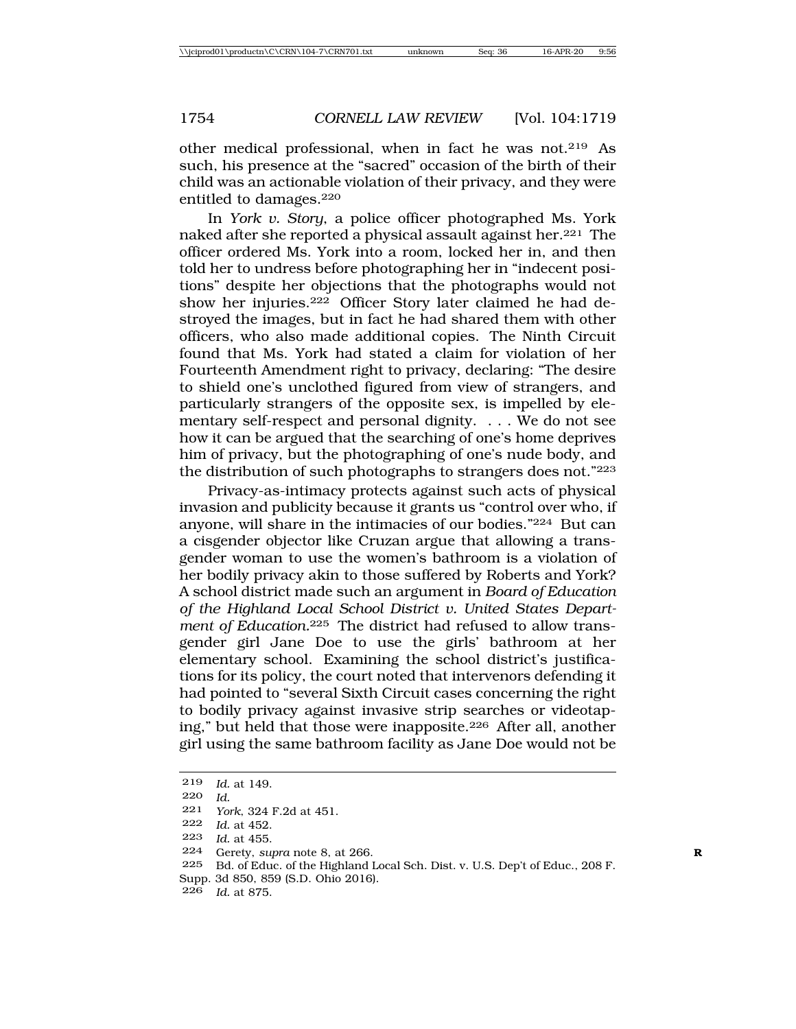other medical professional, when in fact he was not.219 As such, his presence at the "sacred" occasion of the birth of their child was an actionable violation of their privacy, and they were entitled to damages.220

In *York v. Story*, a police officer photographed Ms. York naked after she reported a physical assault against her.221 The officer ordered Ms. York into a room, locked her in, and then told her to undress before photographing her in "indecent positions" despite her objections that the photographs would not show her injuries.222 Officer Story later claimed he had destroyed the images, but in fact he had shared them with other officers, who also made additional copies. The Ninth Circuit found that Ms. York had stated a claim for violation of her Fourteenth Amendment right to privacy, declaring: "The desire to shield one's unclothed figured from view of strangers, and particularly strangers of the opposite sex, is impelled by elementary self-respect and personal dignity. . . . We do not see how it can be argued that the searching of one's home deprives him of privacy, but the photographing of one's nude body, and the distribution of such photographs to strangers does not."223

Privacy-as-intimacy protects against such acts of physical invasion and publicity because it grants us "control over who, if anyone, will share in the intimacies of our bodies."224 But can a cisgender objector like Cruzan argue that allowing a transgender woman to use the women's bathroom is a violation of her bodily privacy akin to those suffered by Roberts and York? A school district made such an argument in *Board of Education of the Highland Local School District v. United States Department of Education.*225 The district had refused to allow transgender girl Jane Doe to use the girls' bathroom at her elementary school. Examining the school district's justifications for its policy, the court noted that intervenors defending it had pointed to "several Sixth Circuit cases concerning the right to bodily privacy against invasive strip searches or videotaping," but held that those were inapposite.226 After all, another girl using the same bathroom facility as Jane Doe would not be

219 *Id.* at 149.

224 Gerety, *supra* note 8, at 266. **R**

<sup>220</sup> *Id.*

<sup>221</sup> *York*, 324 F.2d at 451.

<sup>222</sup> *Id.* at 452.

<sup>223</sup> *Id.* at 455.

<sup>225</sup> Bd. of Educ. of the Highland Local Sch. Dist. v. U.S. Dep't of Educ., 208 F.

Supp. 3d 850, 859 (S.D. Ohio 2016).

<sup>226</sup> *Id.* at 875.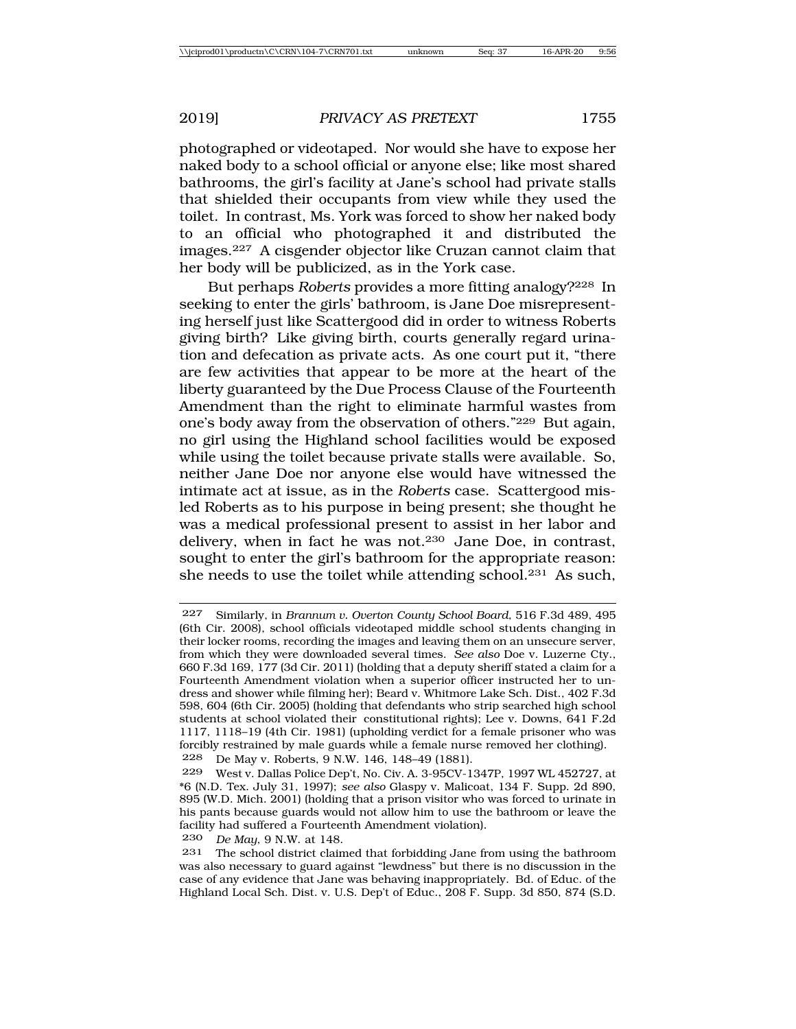photographed or videotaped. Nor would she have to expose her naked body to a school official or anyone else; like most shared bathrooms, the girl's facility at Jane's school had private stalls that shielded their occupants from view while they used the toilet. In contrast, Ms. York was forced to show her naked body to an official who photographed it and distributed the images.227 A cisgender objector like Cruzan cannot claim that her body will be publicized, as in the York case.

But perhaps *Roberts* provides a more fitting analogy?228 In seeking to enter the girls' bathroom, is Jane Doe misrepresenting herself just like Scattergood did in order to witness Roberts giving birth? Like giving birth, courts generally regard urination and defecation as private acts. As one court put it, "there are few activities that appear to be more at the heart of the liberty guaranteed by the Due Process Clause of the Fourteenth Amendment than the right to eliminate harmful wastes from one's body away from the observation of others."229 But again, no girl using the Highland school facilities would be exposed while using the toilet because private stalls were available. So, neither Jane Doe nor anyone else would have witnessed the intimate act at issue, as in the *Roberts* case. Scattergood misled Roberts as to his purpose in being present; she thought he was a medical professional present to assist in her labor and delivery, when in fact he was not.230 Jane Doe, in contrast, sought to enter the girl's bathroom for the appropriate reason: she needs to use the toilet while attending school.231 As such,

230 *De May*, 9 N.W. at 148.

<sup>227</sup> Similarly, in *Brannum v. Overton County School Board*, 516 F.3d 489, 495 (6th Cir. 2008), school officials videotaped middle school students changing in their locker rooms, recording the images and leaving them on an unsecure server, from which they were downloaded several times. *See also* Doe v. Luzerne Cty., 660 F.3d 169, 177 (3d Cir. 2011) (holding that a deputy sheriff stated a claim for a Fourteenth Amendment violation when a superior officer instructed her to undress and shower while filming her); Beard v. Whitmore Lake Sch. Dist., 402 F.3d 598, 604 (6th Cir. 2005) (holding that defendants who strip searched high school students at school violated their constitutional rights); Lee v. Downs, 641 F.2d 1117, 1118–19 (4th Cir. 1981) (upholding verdict for a female prisoner who was forcibly restrained by male guards while a female nurse removed her clothing).<br>228 De May v Roberts 9 N W 146 148-49 (1881) De May v. Roberts, 9 N.W. 146, 148-49 (1881).

<sup>229</sup> West v. Dallas Police Dep't, No. Civ. A. 3-95CV-1347P, 1997 WL 452727, at \*6 (N.D. Tex. July 31, 1997); *see also* Glaspy v. Malicoat, 134 F. Supp. 2d 890, 895 (W.D. Mich. 2001) (holding that a prison visitor who was forced to urinate in his pants because guards would not allow him to use the bathroom or leave the facility had suffered a Fourteenth Amendment violation).

The school district claimed that forbidding Jane from using the bathroom was also necessary to guard against "lewdness" but there is no discussion in the case of any evidence that Jane was behaving inappropriately. Bd. of Educ. of the Highland Local Sch. Dist. v. U.S. Dep't of Educ., 208 F. Supp. 3d 850, 874 (S.D.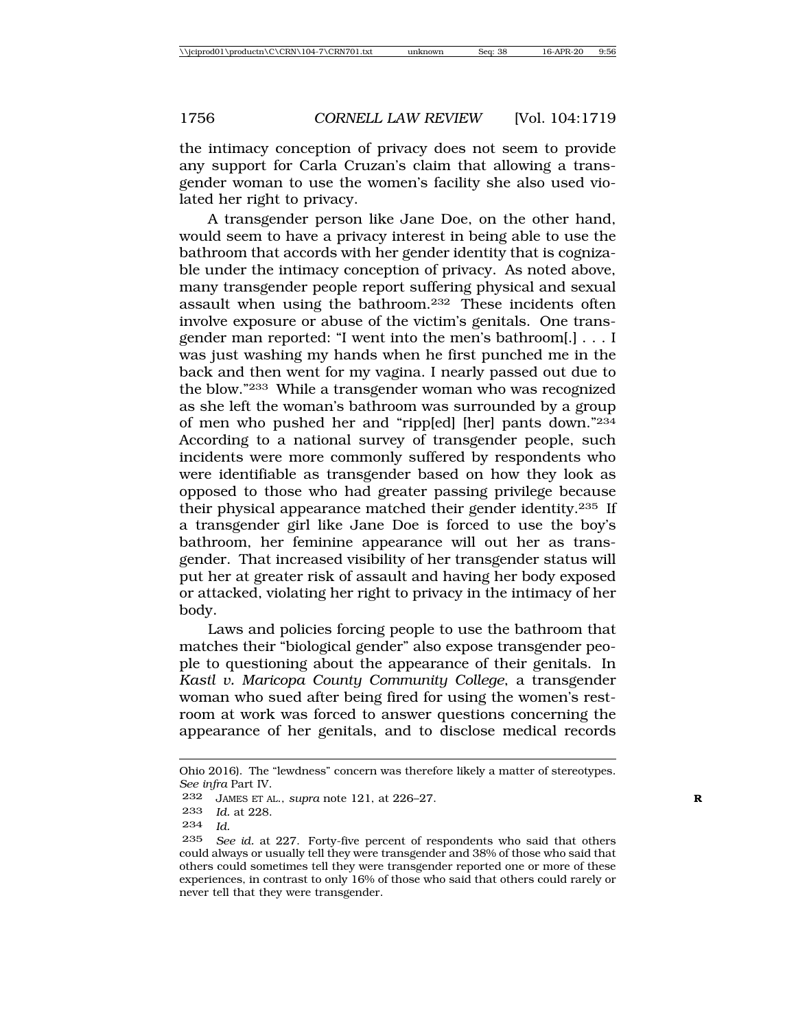the intimacy conception of privacy does not seem to provide any support for Carla Cruzan's claim that allowing a transgender woman to use the women's facility she also used violated her right to privacy.

A transgender person like Jane Doe, on the other hand, would seem to have a privacy interest in being able to use the bathroom that accords with her gender identity that is cognizable under the intimacy conception of privacy. As noted above, many transgender people report suffering physical and sexual assault when using the bathroom.232 These incidents often involve exposure or abuse of the victim's genitals. One transgender man reported: "I went into the men's bathroom[.] . . . I was just washing my hands when he first punched me in the back and then went for my vagina. I nearly passed out due to the blow."233 While a transgender woman who was recognized as she left the woman's bathroom was surrounded by a group of men who pushed her and "ripp[ed] [her] pants down."234 According to a national survey of transgender people, such incidents were more commonly suffered by respondents who were identifiable as transgender based on how they look as opposed to those who had greater passing privilege because their physical appearance matched their gender identity.235 If a transgender girl like Jane Doe is forced to use the boy's bathroom, her feminine appearance will out her as transgender. That increased visibility of her transgender status will put her at greater risk of assault and having her body exposed or attacked, violating her right to privacy in the intimacy of her body.

Laws and policies forcing people to use the bathroom that matches their "biological gender" also expose transgender people to questioning about the appearance of their genitals. In *Kastl v. Maricopa County Community College*, a transgender woman who sued after being fired for using the women's restroom at work was forced to answer questions concerning the appearance of her genitals, and to disclose medical records

Ohio 2016). The "lewdness" concern was therefore likely a matter of stereotypes. *See infra* Part IV.

<sup>232</sup> JAMES ET AL., *supra* note 121, at 226–27. **R**

<sup>233</sup> *Id.* at 228.

<sup>234</sup> *Id.*

<sup>235</sup> *See id.* at 227. Forty-five percent of respondents who said that others could always or usually tell they were transgender and 38% of those who said that others could sometimes tell they were transgender reported one or more of these experiences, in contrast to only 16% of those who said that others could rarely or never tell that they were transgender.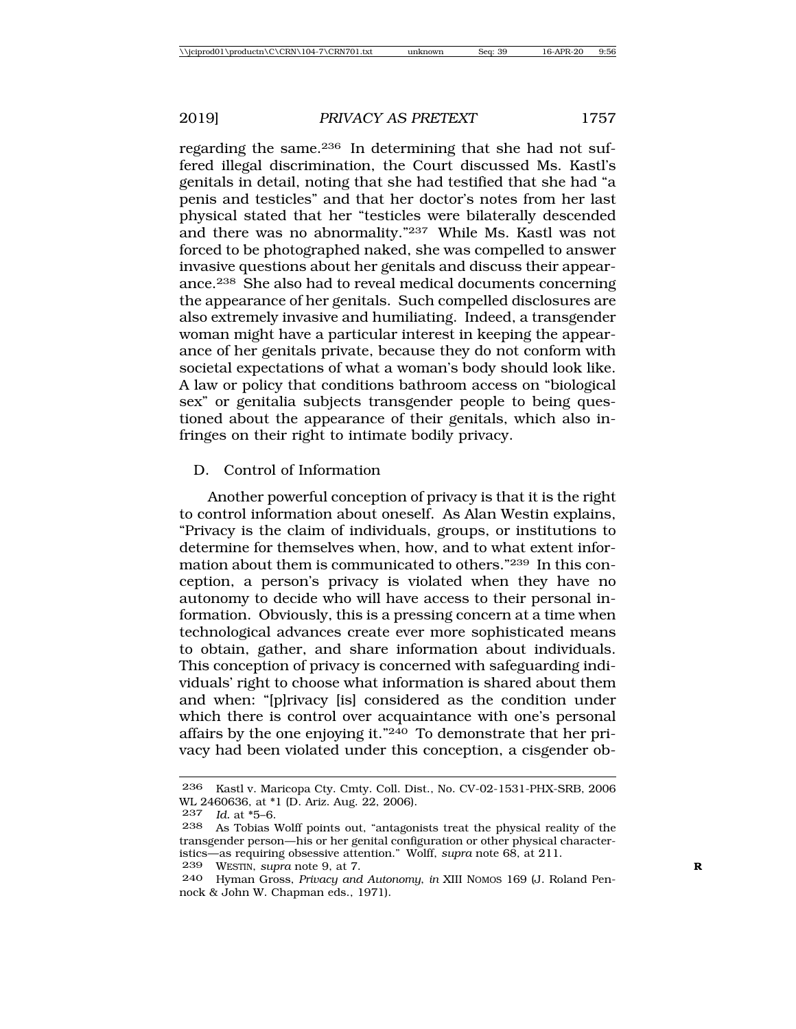regarding the same.236 In determining that she had not suffered illegal discrimination, the Court discussed Ms. Kastl's genitals in detail, noting that she had testified that she had "a penis and testicles" and that her doctor's notes from her last physical stated that her "testicles were bilaterally descended and there was no abnormality."237 While Ms. Kastl was not forced to be photographed naked, she was compelled to answer invasive questions about her genitals and discuss their appearance.238 She also had to reveal medical documents concerning the appearance of her genitals. Such compelled disclosures are also extremely invasive and humiliating. Indeed, a transgender woman might have a particular interest in keeping the appearance of her genitals private, because they do not conform with societal expectations of what a woman's body should look like. A law or policy that conditions bathroom access on "biological sex" or genitalia subjects transgender people to being questioned about the appearance of their genitals, which also infringes on their right to intimate bodily privacy.

## D. Control of Information

Another powerful conception of privacy is that it is the right to control information about oneself. As Alan Westin explains, "Privacy is the claim of individuals, groups, or institutions to determine for themselves when, how, and to what extent information about them is communicated to others."239 In this conception, a person's privacy is violated when they have no autonomy to decide who will have access to their personal information. Obviously, this is a pressing concern at a time when technological advances create ever more sophisticated means to obtain, gather, and share information about individuals. This conception of privacy is concerned with safeguarding individuals' right to choose what information is shared about them and when: "[p]rivacy [is] considered as the condition under which there is control over acquaintance with one's personal affairs by the one enjoying it."240 To demonstrate that her privacy had been violated under this conception, a cisgender ob-

<sup>236</sup> Kastl v. Maricopa Cty. Cmty. Coll. Dist., No. CV-02-1531-PHX-SRB, 2006 WL 2460636, at \*1 (D. Ariz. Aug. 22, 2006).<br>237 Id at \*5-6

<sup>237</sup> *Id.* at \*5–6.

As Tobias Wolff points out, "antagonists treat the physical reality of the transgender person—his or her genital configuration or other physical characteristics—as requiring obsessive attention." Wolff, *supra* note 68, at 211.

<sup>239</sup> WESTIN, *supra* note 9, at 7. **R**

<sup>240</sup> Hyman Gross, *Privacy and Autonomy*, *in* XIII NOMOS 169 (J. Roland Pennock & John W. Chapman eds., 1971).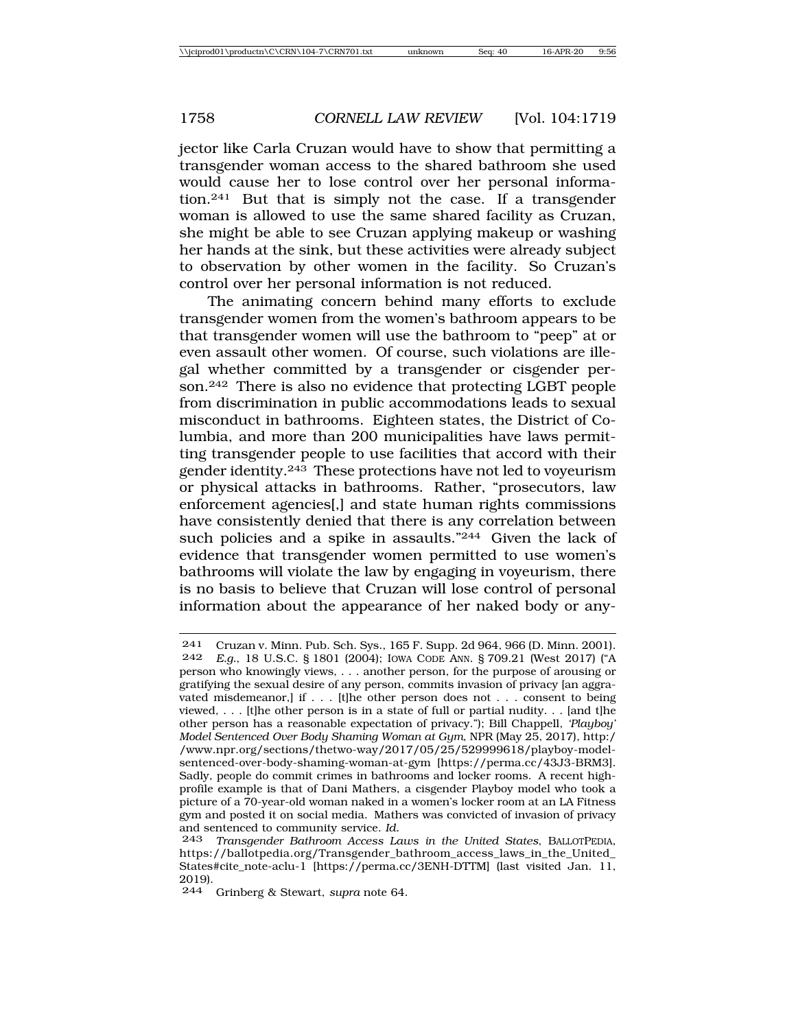jector like Carla Cruzan would have to show that permitting a transgender woman access to the shared bathroom she used would cause her to lose control over her personal information.241 But that is simply not the case. If a transgender woman is allowed to use the same shared facility as Cruzan, she might be able to see Cruzan applying makeup or washing her hands at the sink, but these activities were already subject to observation by other women in the facility. So Cruzan's control over her personal information is not reduced.

The animating concern behind many efforts to exclude transgender women from the women's bathroom appears to be that transgender women will use the bathroom to "peep" at or even assault other women. Of course, such violations are illegal whether committed by a transgender or cisgender person.242 There is also no evidence that protecting LGBT people from discrimination in public accommodations leads to sexual misconduct in bathrooms. Eighteen states, the District of Columbia, and more than 200 municipalities have laws permitting transgender people to use facilities that accord with their gender identity.243 These protections have not led to voyeurism or physical attacks in bathrooms. Rather, "prosecutors, law enforcement agencies[,] and state human rights commissions have consistently denied that there is any correlation between such policies and a spike in assaults."244 Given the lack of evidence that transgender women permitted to use women's bathrooms will violate the law by engaging in voyeurism, there is no basis to believe that Cruzan will lose control of personal information about the appearance of her naked body or any-

<sup>241</sup> Cruzan v. Minn. Pub. Sch. Sys., 165 F. Supp. 2d 964, 966 (D. Minn. 2001).<br>242 E.a. 18 U.S.C. 8 1801 (2004): Jowa CODE ANN. 8 709 21 (West 2017) ("A E.g., 18 U.S.C. § 1801 (2004); IOWA CODE ANN. § 709.21 (West 2017) ("A person who knowingly views, . . . another person, for the purpose of arousing or gratifying the sexual desire of any person, commits invasion of privacy [an aggravated misdemeanor,] if . . . [t]he other person does not . . . consent to being viewed, . . . [t]he other person is in a state of full or partial nudity. . . [and t]he other person has a reasonable expectation of privacy."); Bill Chappell, *'Playboy' Model Sentenced Over Body Shaming Woman at Gym*, NPR (May 25, 2017), http:/ /www.npr.org/sections/thetwo-way/2017/05/25/529999618/playboy-modelsentenced-over-body-shaming-woman-at-gym [https://perma.cc/43J3-BRM3]. Sadly, people do commit crimes in bathrooms and locker rooms. A recent highprofile example is that of Dani Mathers, a cisgender Playboy model who took a picture of a 70-year-old woman naked in a women's locker room at an LA Fitness gym and posted it on social media. Mathers was convicted of invasion of privacy and sentenced to community service. *Id.*

<sup>243</sup> *Transgender Bathroom Access Laws in the United States*, BALLOTPEDIA, https://ballotpedia.org/Transgender\_bathroom\_access\_laws\_in\_the\_United\_ States#cite\_note-aclu-1 [https://perma.cc/3ENH-DTTM] (last visited Jan. 11, 2019).

<sup>244</sup> Grinberg & Stewart, *supra* note 64.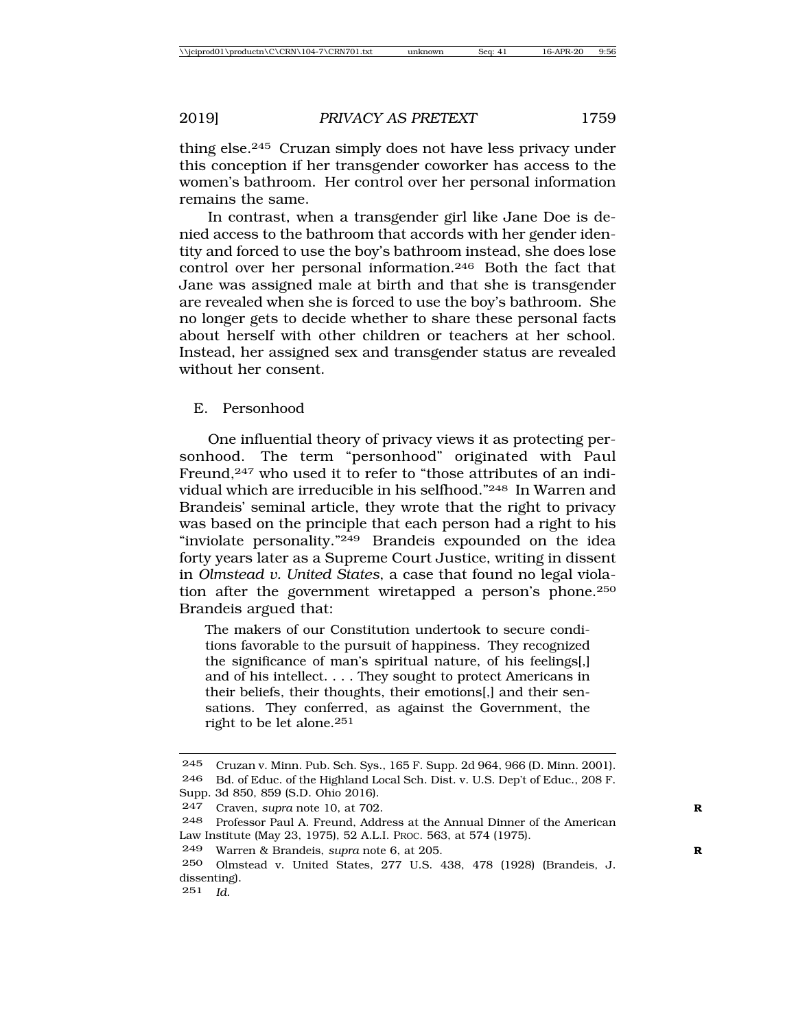thing else.245 Cruzan simply does not have less privacy under

this conception if her transgender coworker has access to the women's bathroom. Her control over her personal information remains the same.

In contrast, when a transgender girl like Jane Doe is denied access to the bathroom that accords with her gender identity and forced to use the boy's bathroom instead, she does lose control over her personal information.246 Both the fact that Jane was assigned male at birth and that she is transgender are revealed when she is forced to use the boy's bathroom. She no longer gets to decide whether to share these personal facts about herself with other children or teachers at her school. Instead, her assigned sex and transgender status are revealed without her consent.

E. Personhood

One influential theory of privacy views it as protecting personhood. The term "personhood" originated with Paul Freund,<sup>247</sup> who used it to refer to "those attributes of an individual which are irreducible in his selfhood."248 In Warren and Brandeis' seminal article, they wrote that the right to privacy was based on the principle that each person had a right to his "inviolate personality."249 Brandeis expounded on the idea forty years later as a Supreme Court Justice, writing in dissent in *Olmstead v. United States*, a case that found no legal violation after the government wiretapped a person's phone.250 Brandeis argued that:

The makers of our Constitution undertook to secure conditions favorable to the pursuit of happiness. They recognized the significance of man's spiritual nature, of his feelings[,] and of his intellect. . . . They sought to protect Americans in their beliefs, their thoughts, their emotions[,] and their sensations. They conferred, as against the Government, the right to be let alone.251

<sup>245</sup> Cruzan v. Minn. Pub. Sch. Sys., 165 F. Supp. 2d 964, 966 (D. Minn. 2001). 246 Bd. of Educ. of the Highland Local Sch. Dist. v. U.S. Dep't of Educ., 208 F. Supp. 3d 850, 859 (S.D. Ohio 2016).

<sup>247</sup> Craven, *supra* note 10, at 702. **R**

<sup>248</sup> Professor Paul A. Freund, Address at the Annual Dinner of the American Law Institute (May 23, 1975), 52 A.L.I. PROC. 563, at 574 (1975).

<sup>249</sup> Warren & Brandeis, *supra* note 6, at 205. **R**

<sup>250</sup> Olmstead v. United States, 277 U.S. 438, 478 (1928) (Brandeis, J. dissenting).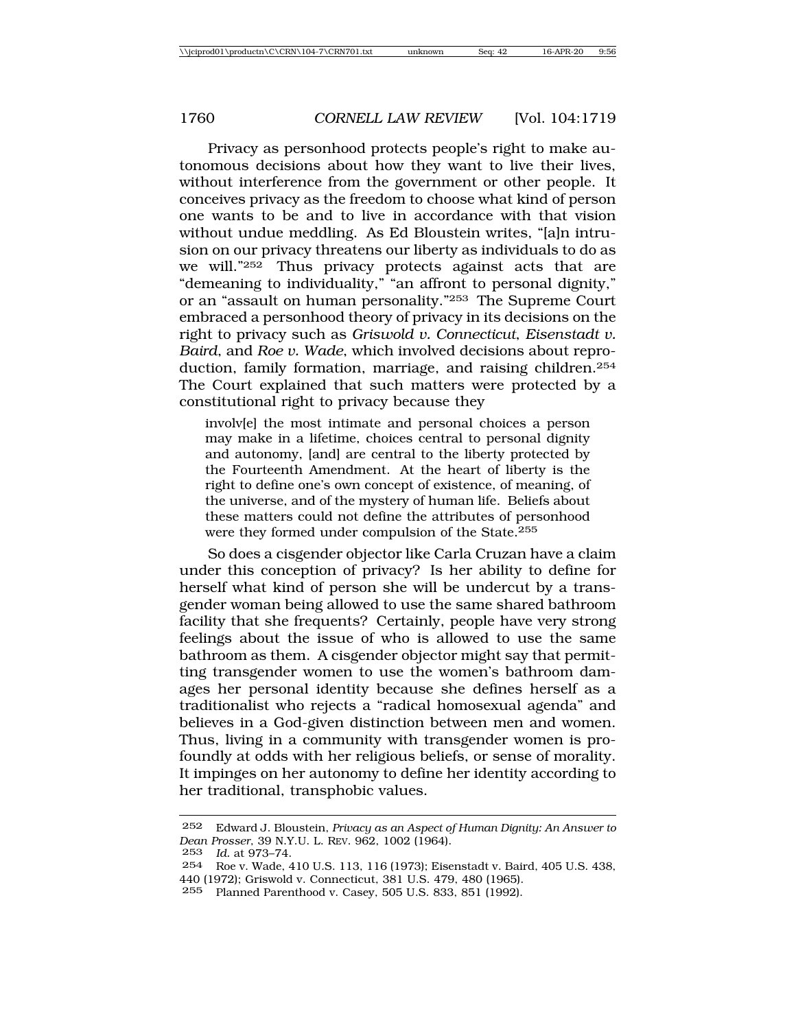Privacy as personhood protects people's right to make autonomous decisions about how they want to live their lives, without interference from the government or other people. It conceives privacy as the freedom to choose what kind of person one wants to be and to live in accordance with that vision without undue meddling. As Ed Bloustein writes, "[a]n intrusion on our privacy threatens our liberty as individuals to do as we will."252 Thus privacy protects against acts that are "demeaning to individuality," "an affront to personal dignity," or an "assault on human personality."253 The Supreme Court embraced a personhood theory of privacy in its decisions on the right to privacy such as *Griswold v. Connecticut*, *Eisenstadt v. Baird*, and *Roe v. Wade*, which involved decisions about reproduction, family formation, marriage, and raising children.254 The Court explained that such matters were protected by a constitutional right to privacy because they

involv[e] the most intimate and personal choices a person may make in a lifetime, choices central to personal dignity and autonomy, [and] are central to the liberty protected by the Fourteenth Amendment. At the heart of liberty is the right to define one's own concept of existence, of meaning, of the universe, and of the mystery of human life. Beliefs about these matters could not define the attributes of personhood were they formed under compulsion of the State.255

So does a cisgender objector like Carla Cruzan have a claim under this conception of privacy? Is her ability to define for herself what kind of person she will be undercut by a transgender woman being allowed to use the same shared bathroom facility that she frequents? Certainly, people have very strong feelings about the issue of who is allowed to use the same bathroom as them. A cisgender objector might say that permitting transgender women to use the women's bathroom damages her personal identity because she defines herself as a traditionalist who rejects a "radical homosexual agenda" and believes in a God-given distinction between men and women. Thus, living in a community with transgender women is profoundly at odds with her religious beliefs, or sense of morality. It impinges on her autonomy to define her identity according to her traditional, transphobic values.

<sup>252</sup> Edward J. Bloustein, *Privacy as an Aspect of Human Dignity: An Answer to Dean Prosser*, 39 N.Y.U. L. REV. 962, 1002 (1964).

<sup>253</sup> *Id.* at 973–74.

<sup>254</sup> Roe v. Wade, 410 U.S. 113, 116 (1973); Eisenstadt v. Baird, 405 U.S. 438, 440 (1972); Griswold v. Connecticut, 381 U.S. 479, 480 (1965).

<sup>255</sup> Planned Parenthood v. Casey, 505 U.S. 833, 851 (1992).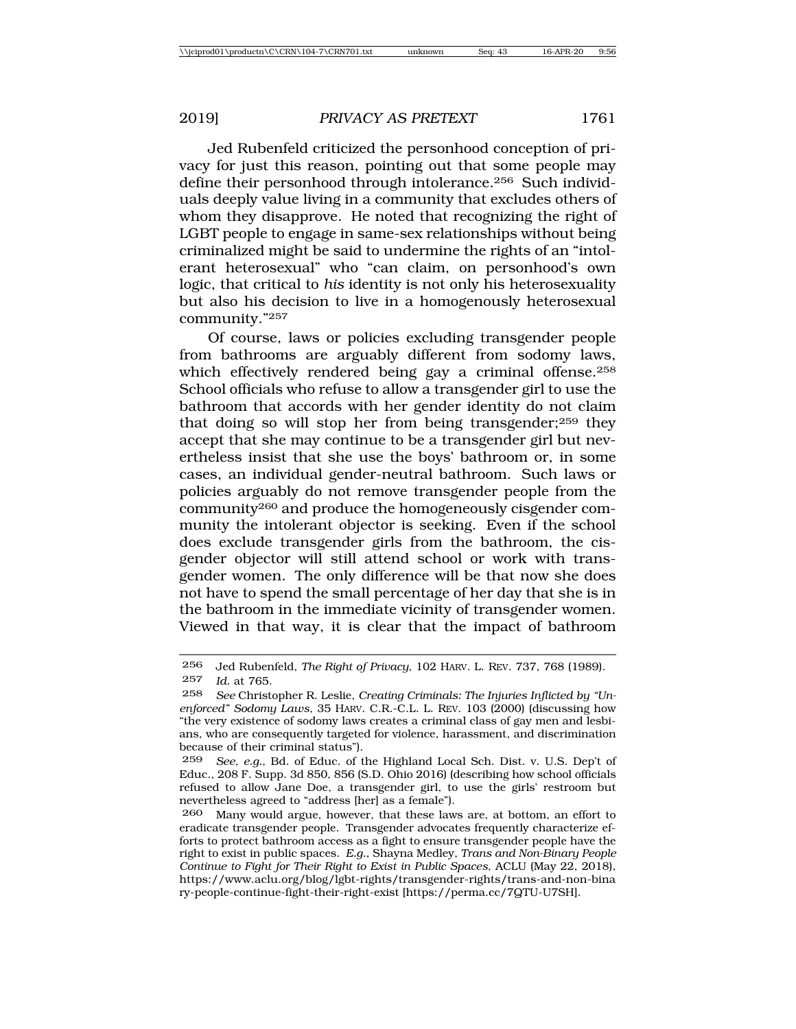Jed Rubenfeld criticized the personhood conception of privacy for just this reason, pointing out that some people may define their personhood through intolerance.256 Such individuals deeply value living in a community that excludes others of whom they disapprove. He noted that recognizing the right of LGBT people to engage in same-sex relationships without being criminalized might be said to undermine the rights of an "intolerant heterosexual" who "can claim, on personhood's own logic, that critical to *his* identity is not only his heterosexuality but also his decision to live in a homogenously heterosexual community."257

Of course, laws or policies excluding transgender people from bathrooms are arguably different from sodomy laws, which effectively rendered being gay a criminal offense.258 School officials who refuse to allow a transgender girl to use the bathroom that accords with her gender identity do not claim that doing so will stop her from being transgender;259 they accept that she may continue to be a transgender girl but nevertheless insist that she use the boys' bathroom or, in some cases, an individual gender-neutral bathroom. Such laws or policies arguably do not remove transgender people from the community260 and produce the homogeneously cisgender community the intolerant objector is seeking. Even if the school does exclude transgender girls from the bathroom, the cisgender objector will still attend school or work with transgender women. The only difference will be that now she does not have to spend the small percentage of her day that she is in the bathroom in the immediate vicinity of transgender women. Viewed in that way, it is clear that the impact of bathroom

<sup>256</sup> Jed Rubenfeld, *The Right of Privacy*, 102 HARV. L. REV. 737, 768 (1989). 257 *Id.* at 765.

<sup>258</sup> *See* Christopher R. Leslie, *Creating Criminals: The Injuries Inflicted by "Unenforced" Sodomy Laws*, 35 HARV. C.R.-C.L. L. REV. 103 (2000) (discussing how "the very existence of sodomy laws creates a criminal class of gay men and lesbians, who are consequently targeted for violence, harassment, and discrimination because of their criminal status").

<sup>259</sup> *See, e.g.*, Bd. of Educ. of the Highland Local Sch. Dist. v. U.S. Dep't of Educ., 208 F. Supp. 3d 850, 856 (S.D. Ohio 2016) (describing how school officials refused to allow Jane Doe, a transgender girl, to use the girls' restroom but nevertheless agreed to "address [her] as a female").

<sup>260</sup> Many would argue, however, that these laws are, at bottom, an effort to eradicate transgender people. Transgender advocates frequently characterize efforts to protect bathroom access as a fight to ensure transgender people have the right to exist in public spaces. *E.g.*, Shayna Medley, *Trans and Non-Binary People Continue to Fight for Their Right to Exist in Public Spaces*, ACLU (May 22, 2018), https://www.aclu.org/blog/lgbt-rights/transgender-rights/trans-and-non-bina ry-people-continue-fight-their-right-exist [https://perma.cc/7QTU-U7SH].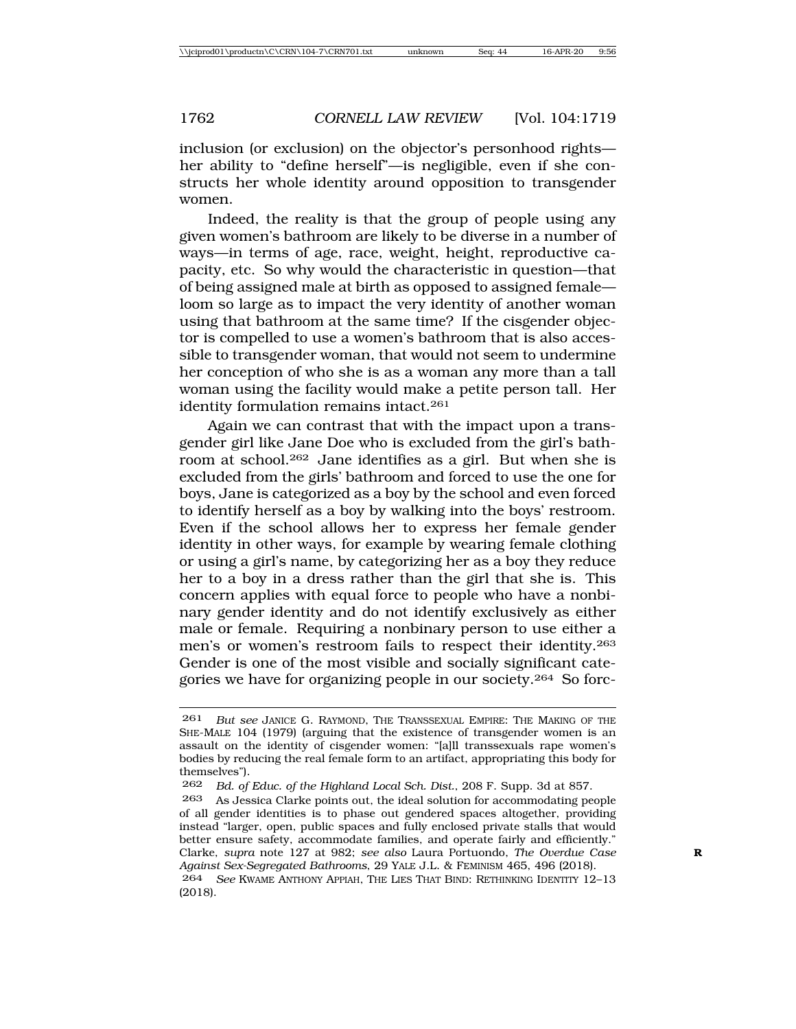inclusion (or exclusion) on the objector's personhood rights her ability to "define herself"—is negligible, even if she constructs her whole identity around opposition to transgender women.

Indeed, the reality is that the group of people using any given women's bathroom are likely to be diverse in a number of ways—in terms of age, race, weight, height, reproductive capacity, etc. So why would the characteristic in question—that of being assigned male at birth as opposed to assigned female loom so large as to impact the very identity of another woman using that bathroom at the same time? If the cisgender objector is compelled to use a women's bathroom that is also accessible to transgender woman, that would not seem to undermine her conception of who she is as a woman any more than a tall woman using the facility would make a petite person tall. Her identity formulation remains intact.261

Again we can contrast that with the impact upon a transgender girl like Jane Doe who is excluded from the girl's bathroom at school.262 Jane identifies as a girl. But when she is excluded from the girls' bathroom and forced to use the one for boys, Jane is categorized as a boy by the school and even forced to identify herself as a boy by walking into the boys' restroom. Even if the school allows her to express her female gender identity in other ways, for example by wearing female clothing or using a girl's name, by categorizing her as a boy they reduce her to a boy in a dress rather than the girl that she is. This concern applies with equal force to people who have a nonbinary gender identity and do not identify exclusively as either male or female. Requiring a nonbinary person to use either a men's or women's restroom fails to respect their identity.263 Gender is one of the most visible and socially significant categories we have for organizing people in our society.264 So forc-

<sup>261</sup> *But see* JANICE G. RAYMOND, THE TRANSSEXUAL EMPIRE: THE MAKING OF THE SHE-MALE 104 (1979) (arguing that the existence of transgender women is an assault on the identity of cisgender women: "[a]ll transsexuals rape women's bodies by reducing the real female form to an artifact, appropriating this body for themselves").

<sup>262</sup> *Bd. of Educ. of the Highland Local Sch. Dist.*, 208 F. Supp. 3d at 857.

<sup>263</sup> As Jessica Clarke points out, the ideal solution for accommodating people of all gender identities is to phase out gendered spaces altogether, providing instead "larger, open, public spaces and fully enclosed private stalls that would better ensure safety, accommodate families, and operate fairly and efficiently." Clarke, *supra* note 127 at 982; *see also* Laura Portuondo, *The Overdue Case* **R** *Against Sex-Segregated Bathrooms*, 29 YALE J.L. & FEMINISM 465, 496 (2018).

<sup>264</sup> *See* KWAME ANTHONY APPIAH, THE LIES THAT BIND: RETHINKING IDENTITY 12–13 (2018).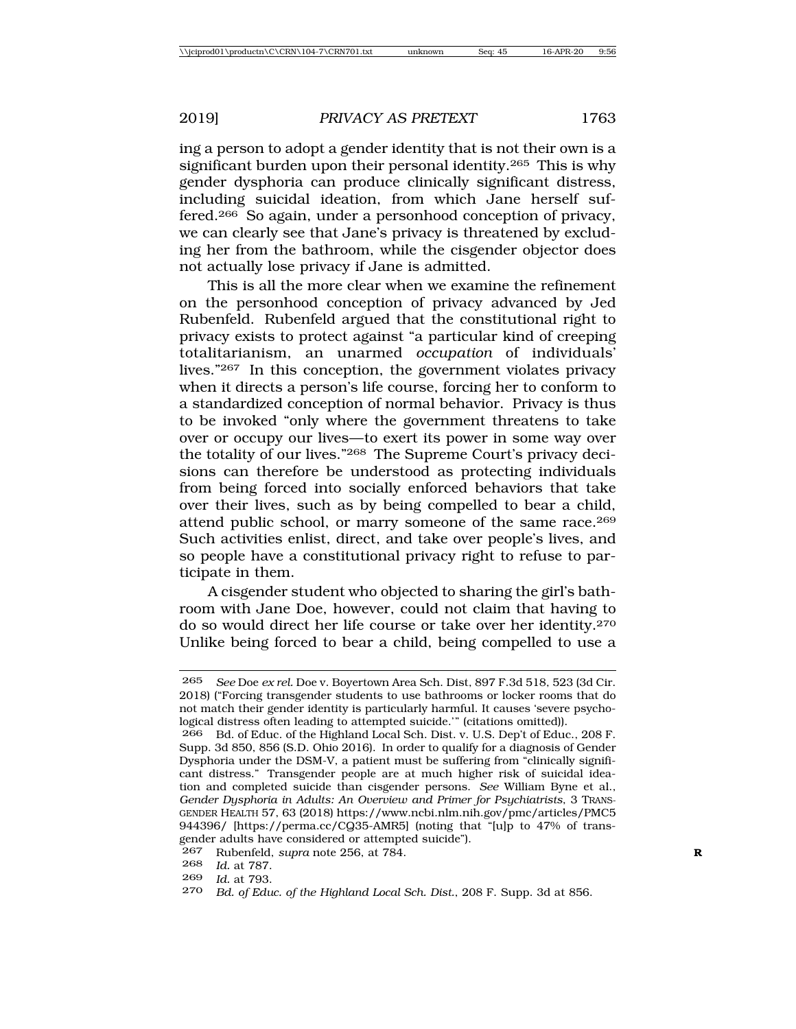ing a person to adopt a gender identity that is not their own is a significant burden upon their personal identity.<sup>265</sup> This is why gender dysphoria can produce clinically significant distress, including suicidal ideation, from which Jane herself suffered.266 So again, under a personhood conception of privacy, we can clearly see that Jane's privacy is threatened by excluding her from the bathroom, while the cisgender objector does not actually lose privacy if Jane is admitted.

This is all the more clear when we examine the refinement on the personhood conception of privacy advanced by Jed Rubenfeld. Rubenfeld argued that the constitutional right to privacy exists to protect against "a particular kind of creeping totalitarianism, an unarmed *occupation* of individuals' lives."267 In this conception, the government violates privacy when it directs a person's life course, forcing her to conform to a standardized conception of normal behavior. Privacy is thus to be invoked "only where the government threatens to take over or occupy our lives—to exert its power in some way over the totality of our lives."268 The Supreme Court's privacy decisions can therefore be understood as protecting individuals from being forced into socially enforced behaviors that take over their lives, such as by being compelled to bear a child, attend public school, or marry someone of the same race.269 Such activities enlist, direct, and take over people's lives, and so people have a constitutional privacy right to refuse to participate in them.

A cisgender student who objected to sharing the girl's bathroom with Jane Doe, however, could not claim that having to do so would direct her life course or take over her identity.270 Unlike being forced to bear a child, being compelled to use a

<sup>265</sup> *See* Doe *ex rel.* Doe v. Boyertown Area Sch. Dist, 897 F.3d 518, 523 (3d Cir. 2018) ("Forcing transgender students to use bathrooms or locker rooms that do not match their gender identity is particularly harmful. It causes 'severe psychological distress often leading to attempted suicide.'" (citations omitted)).

<sup>266</sup> Bd. of Educ. of the Highland Local Sch. Dist. v. U.S. Dep't of Educ., 208 F. Supp. 3d 850, 856 (S.D. Ohio 2016). In order to qualify for a diagnosis of Gender Dysphoria under the DSM-V, a patient must be suffering from "clinically significant distress." Transgender people are at much higher risk of suicidal ideation and completed suicide than cisgender persons. *See* William Byne et al., *Gender Dysphoria in Adults: An Overview and Primer for Psychiatrists*, 3 TRANS-GENDER HEALTH 57, 63 (2018) https://www.ncbi.nlm.nih.gov/pmc/articles/PMC5 944396/ [https://perma.cc/CQ35-AMR5] (noting that "[u]p to 47% of transgender adults have considered or attempted suicide").

<sup>267</sup> Rubenfeld, *supra* note 256, at 784. **R**

<sup>268</sup> *Id.* at 787.

*Id.* at 793.

<sup>270</sup> *Bd. of Educ. of the Highland Local Sch. Dist.*, 208 F. Supp. 3d at 856.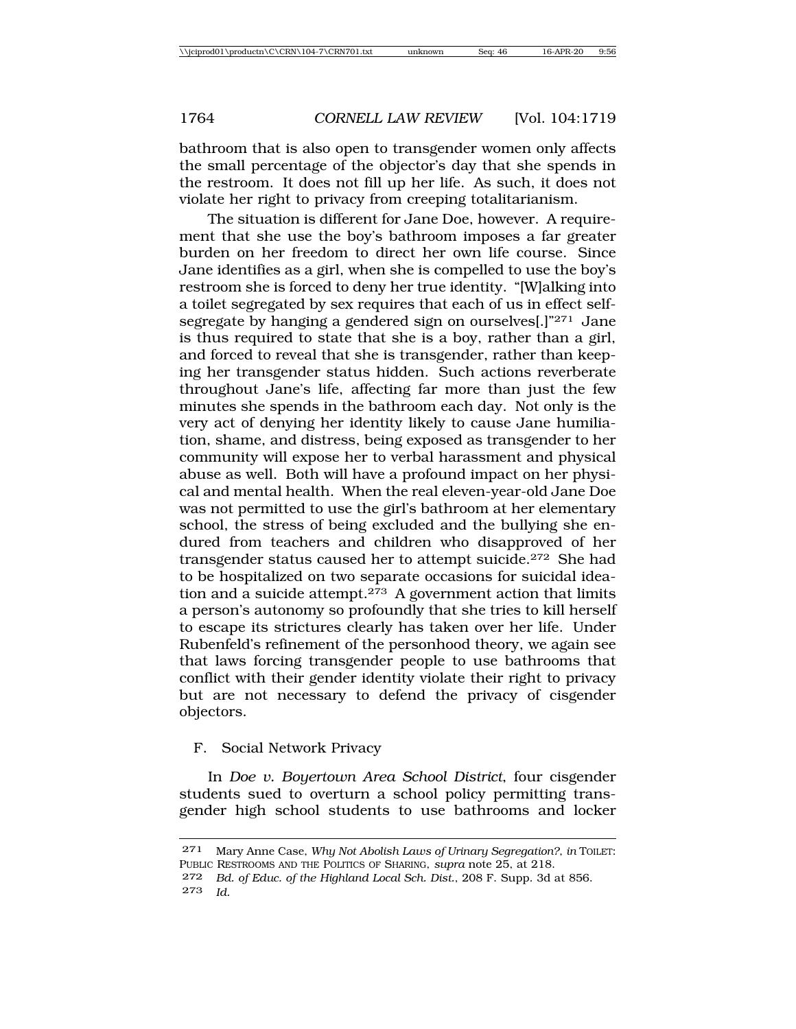bathroom that is also open to transgender women only affects the small percentage of the objector's day that she spends in the restroom. It does not fill up her life. As such, it does not violate her right to privacy from creeping totalitarianism.

The situation is different for Jane Doe, however. A requirement that she use the boy's bathroom imposes a far greater burden on her freedom to direct her own life course. Since Jane identifies as a girl, when she is compelled to use the boy's restroom she is forced to deny her true identity. "[W]alking into a toilet segregated by sex requires that each of us in effect selfsegregate by hanging a gendered sign on ourselves[.]"271 Jane is thus required to state that she is a boy, rather than a girl, and forced to reveal that she is transgender, rather than keeping her transgender status hidden. Such actions reverberate throughout Jane's life, affecting far more than just the few minutes she spends in the bathroom each day. Not only is the very act of denying her identity likely to cause Jane humiliation, shame, and distress, being exposed as transgender to her community will expose her to verbal harassment and physical abuse as well. Both will have a profound impact on her physical and mental health. When the real eleven-year-old Jane Doe was not permitted to use the girl's bathroom at her elementary school, the stress of being excluded and the bullying she endured from teachers and children who disapproved of her transgender status caused her to attempt suicide.272 She had to be hospitalized on two separate occasions for suicidal ideation and a suicide attempt.<sup>273</sup> A government action that limits a person's autonomy so profoundly that she tries to kill herself to escape its strictures clearly has taken over her life. Under Rubenfeld's refinement of the personhood theory, we again see that laws forcing transgender people to use bathrooms that conflict with their gender identity violate their right to privacy but are not necessary to defend the privacy of cisgender objectors.

## F. Social Network Privacy

In *Doe v. Boyertown Area School District*, four cisgender students sued to overturn a school policy permitting transgender high school students to use bathrooms and locker

<sup>271</sup> Mary Anne Case, *Why Not Abolish Laws of Urinary Segregation?*, *in* TOILET: PUBLIC RESTROOMS AND THE POLITICS OF SHARING, *supra* note 25, at 218.

<sup>272</sup> *Bd. of Educ. of the Highland Local Sch. Dist.*, 208 F. Supp. 3d at 856. 273 *Id.*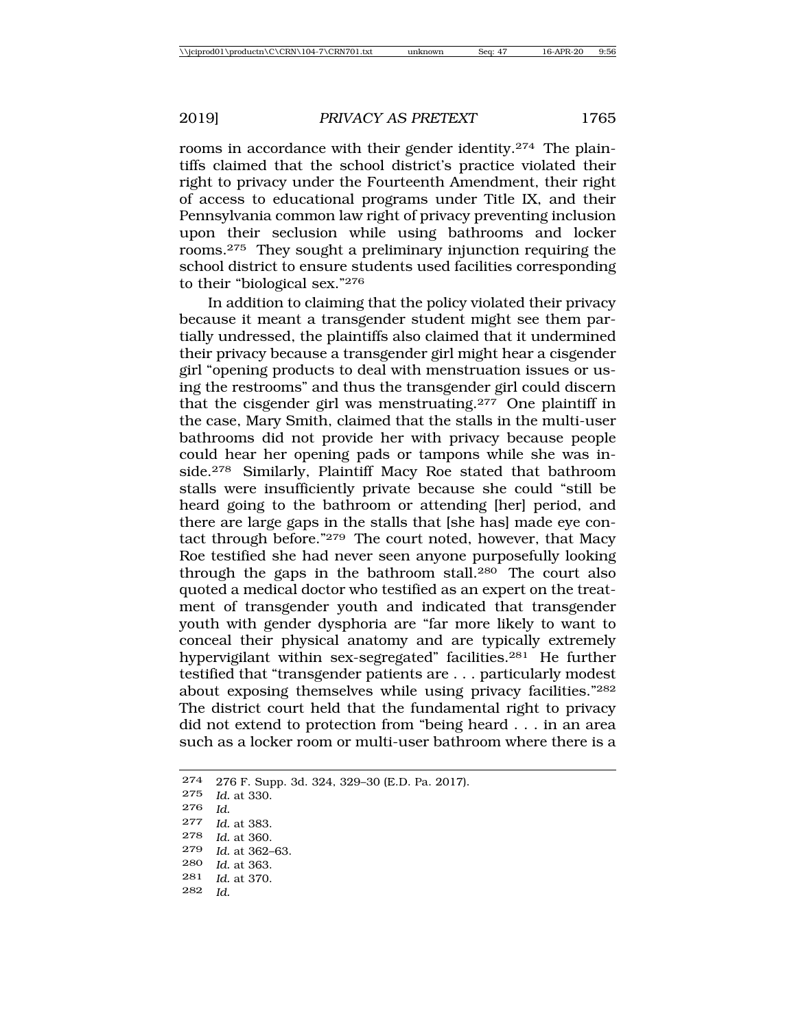rooms in accordance with their gender identity.274 The plaintiffs claimed that the school district's practice violated their right to privacy under the Fourteenth Amendment, their right of access to educational programs under Title IX, and their Pennsylvania common law right of privacy preventing inclusion upon their seclusion while using bathrooms and locker rooms.275 They sought a preliminary injunction requiring the school district to ensure students used facilities corresponding to their "biological sex."276

In addition to claiming that the policy violated their privacy because it meant a transgender student might see them partially undressed, the plaintiffs also claimed that it undermined their privacy because a transgender girl might hear a cisgender girl "opening products to deal with menstruation issues or using the restrooms" and thus the transgender girl could discern that the cisgender girl was menstruating.277 One plaintiff in the case, Mary Smith, claimed that the stalls in the multi-user bathrooms did not provide her with privacy because people could hear her opening pads or tampons while she was inside.278 Similarly, Plaintiff Macy Roe stated that bathroom stalls were insufficiently private because she could "still be heard going to the bathroom or attending [her] period, and there are large gaps in the stalls that [she has] made eye contact through before."279 The court noted, however, that Macy Roe testified she had never seen anyone purposefully looking through the gaps in the bathroom stall.<sup>280</sup> The court also quoted a medical doctor who testified as an expert on the treatment of transgender youth and indicated that transgender youth with gender dysphoria are "far more likely to want to conceal their physical anatomy and are typically extremely hypervigilant within sex-segregated" facilities.281 He further testified that "transgender patients are . . . particularly modest about exposing themselves while using privacy facilities."282 The district court held that the fundamental right to privacy did not extend to protection from "being heard . . . in an area such as a locker room or multi-user bathroom where there is a

<sup>274</sup> 276 F. Supp. 3d. 324, 329–30 (E.D. Pa. 2017). 275 *Id.* at 330. 276 *Id.* 277 *Id.* at 383. 278 *Id.* at 360. 279 *Id.* at 362–63. 280 *Id.* at 363. 281 *Id.* at 370. 282 *Id.*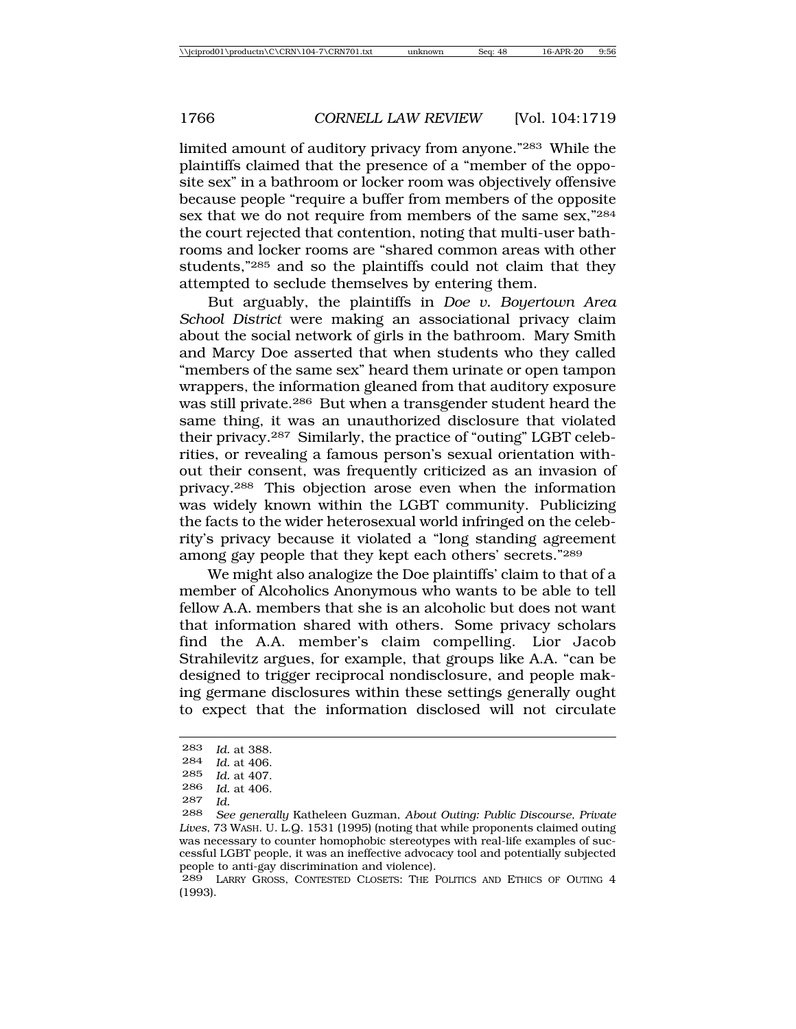limited amount of auditory privacy from anyone."283 While the plaintiffs claimed that the presence of a "member of the opposite sex" in a bathroom or locker room was objectively offensive because people "require a buffer from members of the opposite sex that we do not require from members of the same sex,"284 the court rejected that contention, noting that multi-user bathrooms and locker rooms are "shared common areas with other students,"285 and so the plaintiffs could not claim that they attempted to seclude themselves by entering them.

But arguably, the plaintiffs in *Doe v. Boyertown Area School District* were making an associational privacy claim about the social network of girls in the bathroom. Mary Smith and Marcy Doe asserted that when students who they called "members of the same sex" heard them urinate or open tampon wrappers, the information gleaned from that auditory exposure was still private.286 But when a transgender student heard the same thing, it was an unauthorized disclosure that violated their privacy.287 Similarly, the practice of "outing" LGBT celebrities, or revealing a famous person's sexual orientation without their consent, was frequently criticized as an invasion of privacy.288 This objection arose even when the information was widely known within the LGBT community. Publicizing the facts to the wider heterosexual world infringed on the celebrity's privacy because it violated a "long standing agreement among gay people that they kept each others' secrets."289

We might also analogize the Doe plaintiffs' claim to that of a member of Alcoholics Anonymous who wants to be able to tell fellow A.A. members that she is an alcoholic but does not want that information shared with others. Some privacy scholars find the A.A. member's claim compelling. Lior Jacob Strahilevitz argues, for example, that groups like A.A. "can be designed to trigger reciprocal nondisclosure, and people making germane disclosures within these settings generally ought to expect that the information disclosed will not circulate

<sup>283</sup> *Id.* at 388.

<sup>284</sup> *Id.* at 406.<br>285 *Id.* at 407

*Id.* at 407.

<sup>286</sup> *Id.* at 406.

<sup>287</sup> *Id.*

<sup>288</sup> *See generally* Katheleen Guzman, *About Outing: Public Discourse, Private Lives*, 73 WASH. U. L.Q. 1531 (1995) (noting that while proponents claimed outing was necessary to counter homophobic stereotypes with real-life examples of successful LGBT people, it was an ineffective advocacy tool and potentially subjected people to anti-gay discrimination and violence).

<sup>289</sup> LARRY GROSS, CONTESTED CLOSETS: THE POLITICS AND ETHICS OF OUTING 4 (1993).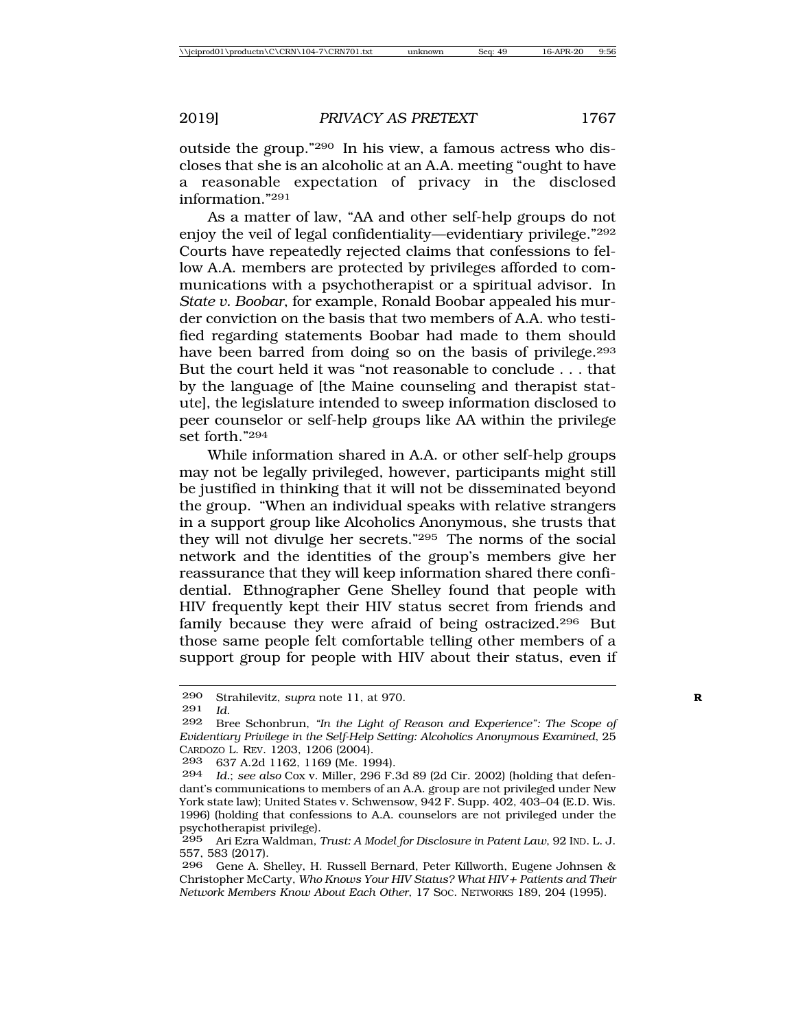outside the group."290 In his view, a famous actress who discloses that she is an alcoholic at an A.A. meeting "ought to have a reasonable expectation of privacy in the disclosed information."291

As a matter of law, "AA and other self-help groups do not enjoy the veil of legal confidentiality—evidentiary privilege."292 Courts have repeatedly rejected claims that confessions to fellow A.A. members are protected by privileges afforded to communications with a psychotherapist or a spiritual advisor. In *State v. Boobar*, for example, Ronald Boobar appealed his murder conviction on the basis that two members of A.A. who testified regarding statements Boobar had made to them should have been barred from doing so on the basis of privilege.<sup>293</sup> But the court held it was "not reasonable to conclude . . . that by the language of [the Maine counseling and therapist statute], the legislature intended to sweep information disclosed to peer counselor or self-help groups like AA within the privilege set forth."294

While information shared in A.A. or other self-help groups may not be legally privileged, however, participants might still be justified in thinking that it will not be disseminated beyond the group. "When an individual speaks with relative strangers in a support group like Alcoholics Anonymous, she trusts that they will not divulge her secrets."295 The norms of the social network and the identities of the group's members give her reassurance that they will keep information shared there confidential. Ethnographer Gene Shelley found that people with HIV frequently kept their HIV status secret from friends and family because they were afraid of being ostracized.296 But those same people felt comfortable telling other members of a support group for people with HIV about their status, even if

<sup>290</sup> Strahilevitz, *supra* note 11, at 970. **R**

<sup>291</sup> *Id.*

<sup>292</sup> Bree Schonbrun, *"In the Light of Reason and Experience": The Scope of Evidentiary Privilege in the Self-Help Setting: Alcoholics Anonymous Examined*, 25 CARDOZO L. REV. 1203, 1206 (2004).

<sup>293 637</sup> A.2d 1162, 1169 (Me. 1994).<br>294 Id: see also Cox y Miller 296 F.

<sup>294</sup> *Id.*; *see also* Cox v. Miller, 296 F.3d 89 (2d Cir. 2002) (holding that defendant's communications to members of an A.A. group are not privileged under New York state law); United States v. Schwensow, 942 F. Supp. 402, 403–04 (E.D. Wis. 1996) (holding that confessions to A.A. counselors are not privileged under the psychotherapist privilege).

<sup>295</sup> Ari Ezra Waldman, *Trust: A Model for Disclosure in Patent Law*, 92 IND. L. J. 557, 583 (2017).

<sup>296</sup> Gene A. Shelley, H. Russell Bernard, Peter Killworth, Eugene Johnsen & Christopher McCarty, *Who Knows Your HIV Status? What HIV Patients and Their Network Members Know About Each Other*, 17 SOC. NETWORKS 189, 204 (1995).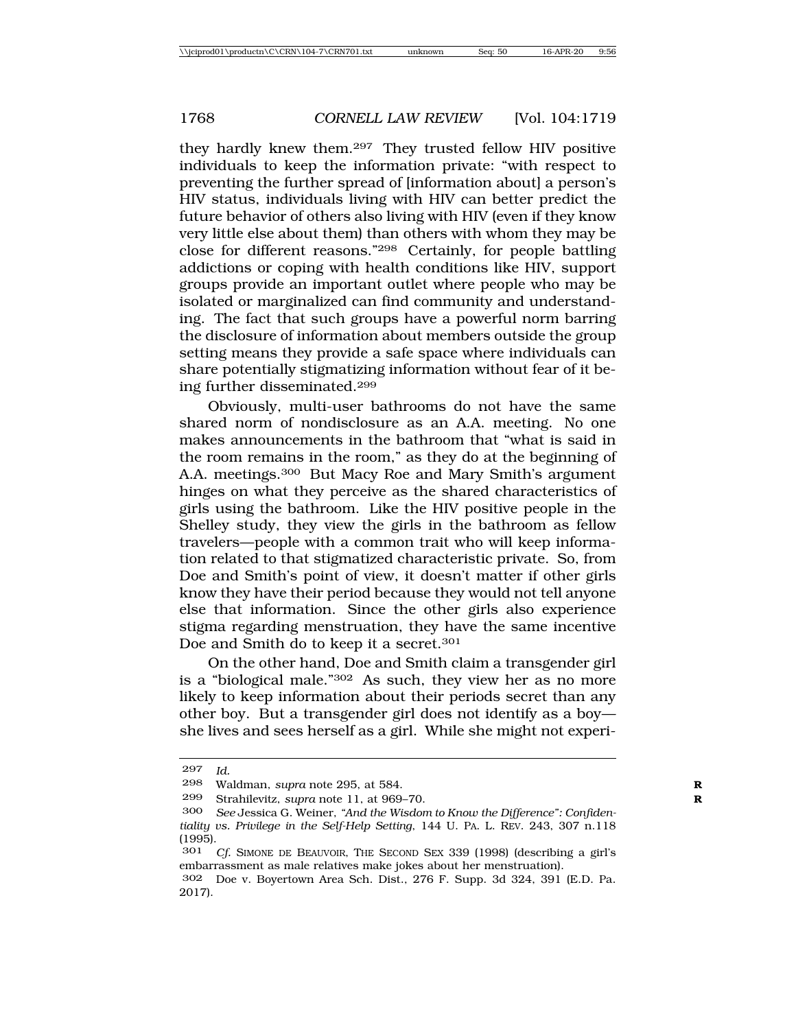they hardly knew them.297 They trusted fellow HIV positive individuals to keep the information private: "with respect to preventing the further spread of [information about] a person's HIV status, individuals living with HIV can better predict the future behavior of others also living with HIV (even if they know very little else about them) than others with whom they may be close for different reasons."298 Certainly, for people battling addictions or coping with health conditions like HIV, support groups provide an important outlet where people who may be isolated or marginalized can find community and understanding. The fact that such groups have a powerful norm barring the disclosure of information about members outside the group setting means they provide a safe space where individuals can share potentially stigmatizing information without fear of it being further disseminated.299

Obviously, multi-user bathrooms do not have the same shared norm of nondisclosure as an A.A. meeting. No one makes announcements in the bathroom that "what is said in the room remains in the room," as they do at the beginning of A.A. meetings.300 But Macy Roe and Mary Smith's argument hinges on what they perceive as the shared characteristics of girls using the bathroom. Like the HIV positive people in the Shelley study, they view the girls in the bathroom as fellow travelers—people with a common trait who will keep information related to that stigmatized characteristic private. So, from Doe and Smith's point of view, it doesn't matter if other girls know they have their period because they would not tell anyone else that information. Since the other girls also experience stigma regarding menstruation, they have the same incentive Doe and Smith do to keep it a secret.<sup>301</sup>

On the other hand, Doe and Smith claim a transgender girl is a "biological male."302 As such, they view her as no more likely to keep information about their periods secret than any other boy. But a transgender girl does not identify as a boy she lives and sees herself as a girl. While she might not experi-

<sup>297</sup> *Id.*

<sup>298</sup> Waldman, *supra* note 295, at 584. **R**

Strahilevitz, *supra* note 11, at 969-70.

<sup>300</sup> *See* Jessica G. Weiner, *"And the Wisdom to Know the Difference": Confidentiality vs. Privilege in the Self-Help Setting*, 144 U. PA. L. REV. 243, 307 n.118 (1995).

<sup>301</sup> *Cf.* SIMONE DE BEAUVOIR, THE SECOND SEX 339 (1998) (describing a girl's embarrassment as male relatives make jokes about her menstruation).

<sup>302</sup> Doe v. Boyertown Area Sch. Dist., 276 F. Supp. 3d 324, 391 (E.D. Pa. 2017).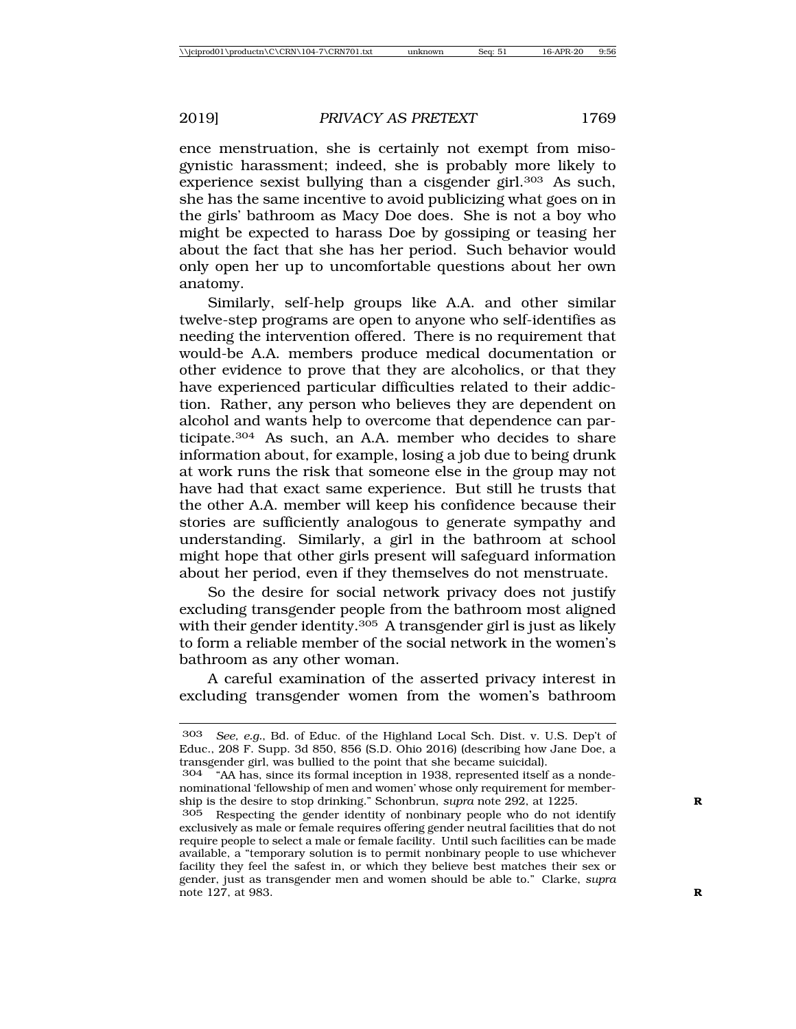ence menstruation, she is certainly not exempt from misogynistic harassment; indeed, she is probably more likely to experience sexist bullying than a cisgender girl.303 As such, she has the same incentive to avoid publicizing what goes on in the girls' bathroom as Macy Doe does. She is not a boy who might be expected to harass Doe by gossiping or teasing her about the fact that she has her period. Such behavior would only open her up to uncomfortable questions about her own anatomy.

Similarly, self-help groups like A.A. and other similar twelve-step programs are open to anyone who self-identifies as needing the intervention offered. There is no requirement that would-be A.A. members produce medical documentation or other evidence to prove that they are alcoholics, or that they have experienced particular difficulties related to their addiction. Rather, any person who believes they are dependent on alcohol and wants help to overcome that dependence can participate.304 As such, an A.A. member who decides to share information about, for example, losing a job due to being drunk at work runs the risk that someone else in the group may not have had that exact same experience. But still he trusts that the other A.A. member will keep his confidence because their stories are sufficiently analogous to generate sympathy and understanding. Similarly, a girl in the bathroom at school might hope that other girls present will safeguard information about her period, even if they themselves do not menstruate.

So the desire for social network privacy does not justify excluding transgender people from the bathroom most aligned with their gender identity.<sup>305</sup> A transgender girl is just as likely to form a reliable member of the social network in the women's bathroom as any other woman.

A careful examination of the asserted privacy interest in excluding transgender women from the women's bathroom

<sup>303</sup> *See, e.g.*, Bd. of Educ. of the Highland Local Sch. Dist. v. U.S. Dep't of Educ., 208 F. Supp. 3d 850, 856 (S.D. Ohio 2016) (describing how Jane Doe, a transgender girl, was bullied to the point that she became suicidal).

<sup>304</sup> "AA has, since its formal inception in 1938, represented itself as a nondenominational 'fellowship of men and women' whose only requirement for membership is the desire to stop drinking." Schonbrun, *supra* note 292, at 1225. **R**

<sup>305</sup> Respecting the gender identity of nonbinary people who do not identify exclusively as male or female requires offering gender neutral facilities that do not require people to select a male or female facility. Until such facilities can be made available, a "temporary solution is to permit nonbinary people to use whichever facility they feel the safest in, or which they believe best matches their sex or gender, just as transgender men and women should be able to." Clarke, *supra* note 127, at 983. **R**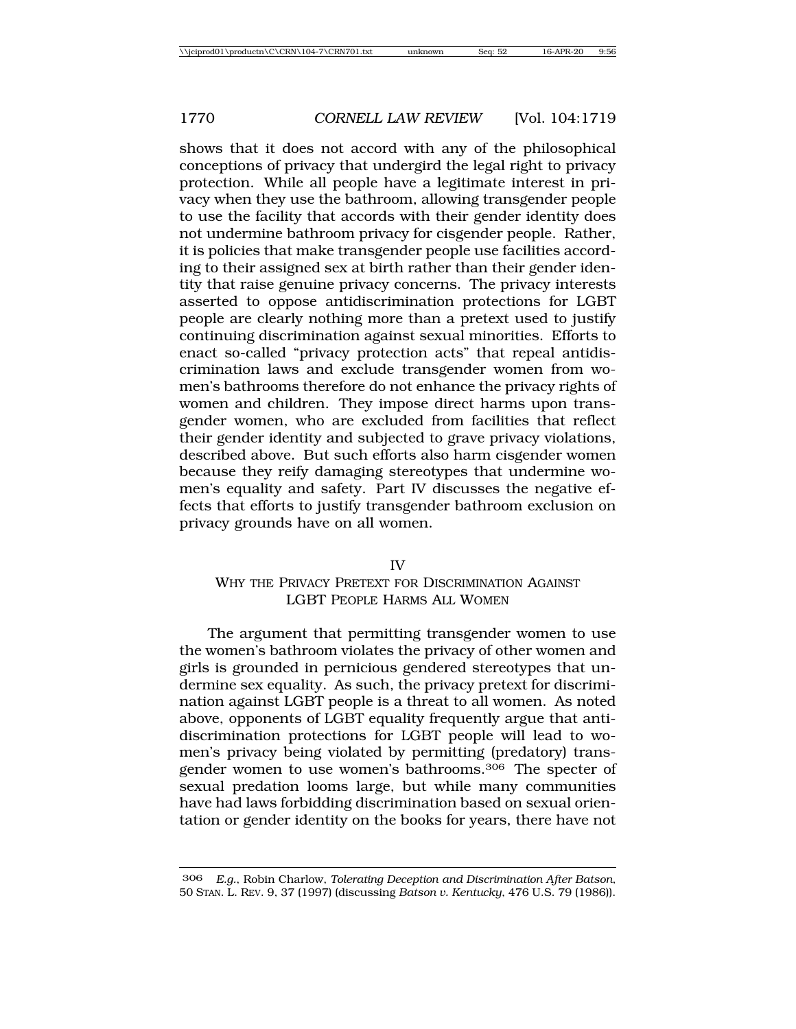shows that it does not accord with any of the philosophical conceptions of privacy that undergird the legal right to privacy protection. While all people have a legitimate interest in privacy when they use the bathroom, allowing transgender people to use the facility that accords with their gender identity does not undermine bathroom privacy for cisgender people. Rather, it is policies that make transgender people use facilities according to their assigned sex at birth rather than their gender identity that raise genuine privacy concerns. The privacy interests asserted to oppose antidiscrimination protections for LGBT people are clearly nothing more than a pretext used to justify continuing discrimination against sexual minorities. Efforts to enact so-called "privacy protection acts" that repeal antidiscrimination laws and exclude transgender women from women's bathrooms therefore do not enhance the privacy rights of women and children. They impose direct harms upon transgender women, who are excluded from facilities that reflect their gender identity and subjected to grave privacy violations, described above. But such efforts also harm cisgender women because they reify damaging stereotypes that undermine women's equality and safety. Part IV discusses the negative effects that efforts to justify transgender bathroom exclusion on privacy grounds have on all women.

IV

## WHY THE PRIVACY PRETEXT FOR DISCRIMINATION AGAINST LGBT PEOPLE HARMS ALL WOMEN

The argument that permitting transgender women to use the women's bathroom violates the privacy of other women and girls is grounded in pernicious gendered stereotypes that undermine sex equality. As such, the privacy pretext for discrimination against LGBT people is a threat to all women. As noted above, opponents of LGBT equality frequently argue that antidiscrimination protections for LGBT people will lead to women's privacy being violated by permitting (predatory) transgender women to use women's bathrooms.306 The specter of sexual predation looms large, but while many communities have had laws forbidding discrimination based on sexual orientation or gender identity on the books for years, there have not

<sup>306</sup> *E.g.*, Robin Charlow, *Tolerating Deception and Discrimination After Batson*, 50 STAN. L. REV. 9, 37 (1997) (discussing *Batson v. Kentucky*, 476 U.S. 79 (1986)).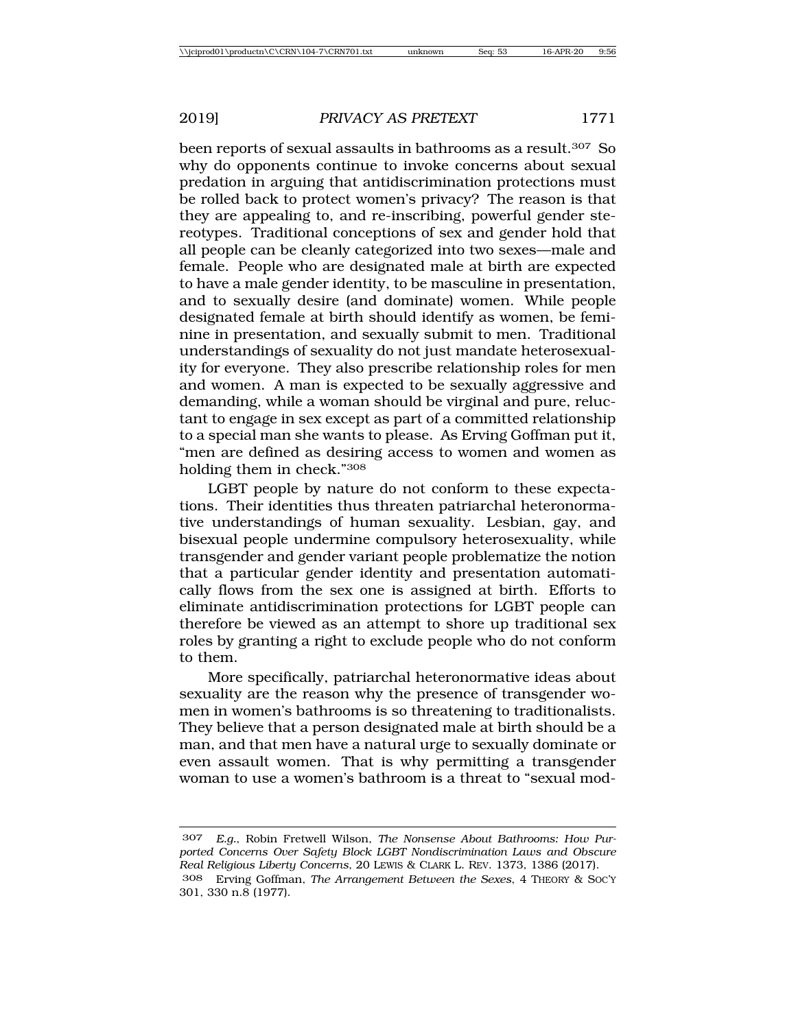been reports of sexual assaults in bathrooms as a result.<sup>307</sup> So why do opponents continue to invoke concerns about sexual predation in arguing that antidiscrimination protections must be rolled back to protect women's privacy? The reason is that they are appealing to, and re-inscribing, powerful gender stereotypes. Traditional conceptions of sex and gender hold that all people can be cleanly categorized into two sexes—male and female. People who are designated male at birth are expected to have a male gender identity, to be masculine in presentation, and to sexually desire (and dominate) women. While people designated female at birth should identify as women, be feminine in presentation, and sexually submit to men. Traditional understandings of sexuality do not just mandate heterosexuality for everyone. They also prescribe relationship roles for men and women. A man is expected to be sexually aggressive and demanding, while a woman should be virginal and pure, reluctant to engage in sex except as part of a committed relationship to a special man she wants to please. As Erving Goffman put it, "men are defined as desiring access to women and women as holding them in check."308

LGBT people by nature do not conform to these expectations. Their identities thus threaten patriarchal heteronormative understandings of human sexuality. Lesbian, gay, and bisexual people undermine compulsory heterosexuality, while transgender and gender variant people problematize the notion that a particular gender identity and presentation automatically flows from the sex one is assigned at birth. Efforts to eliminate antidiscrimination protections for LGBT people can therefore be viewed as an attempt to shore up traditional sex roles by granting a right to exclude people who do not conform to them.

More specifically, patriarchal heteronormative ideas about sexuality are the reason why the presence of transgender women in women's bathrooms is so threatening to traditionalists. They believe that a person designated male at birth should be a man, and that men have a natural urge to sexually dominate or even assault women. That is why permitting a transgender woman to use a women's bathroom is a threat to "sexual mod-

<sup>307</sup> *E.g.*, Robin Fretwell Wilson, *The Nonsense About Bathrooms: How Purported Concerns Over Safety Block LGBT Nondiscrimination Laws and Obscure Real Religious Liberty Concerns*, 20 LEWIS & CLARK L. REV. 1373, 1386 (2017). 308 Erving Goffman, *The Arrangement Between the Sexes*, 4 THEORY & SOC'Y 301, 330 n.8 (1977).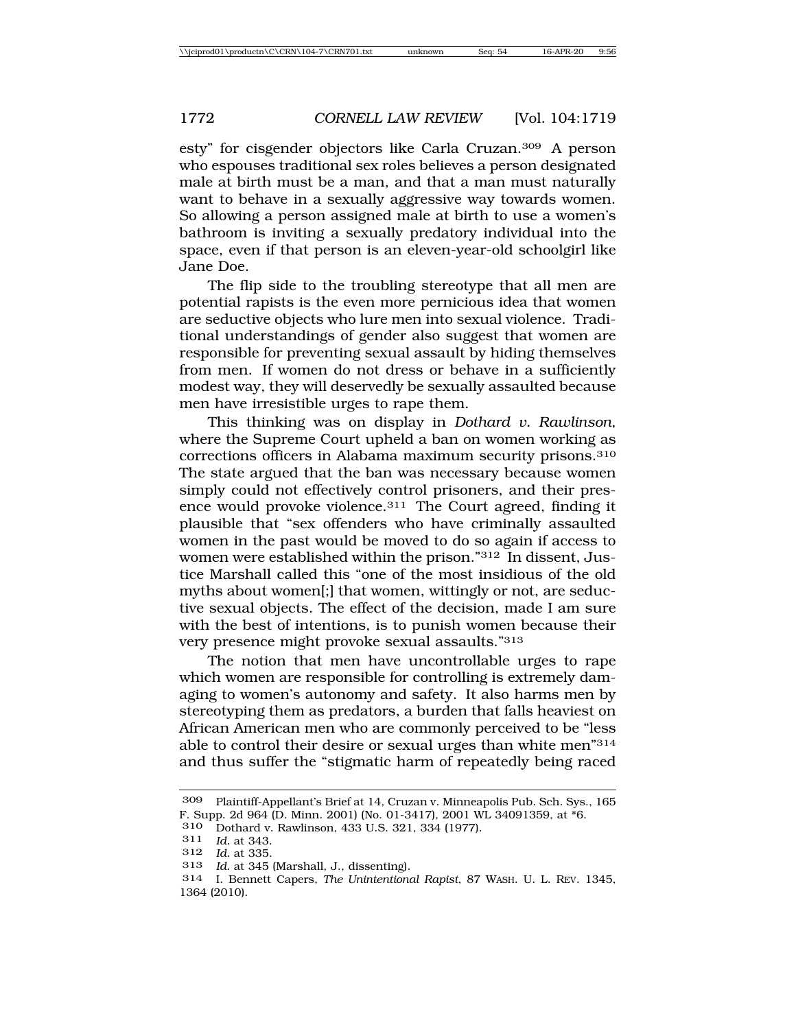esty" for cisgender objectors like Carla Cruzan.309 A person who espouses traditional sex roles believes a person designated male at birth must be a man, and that a man must naturally want to behave in a sexually aggressive way towards women. So allowing a person assigned male at birth to use a women's bathroom is inviting a sexually predatory individual into the space, even if that person is an eleven-year-old schoolgirl like Jane Doe.

The flip side to the troubling stereotype that all men are potential rapists is the even more pernicious idea that women are seductive objects who lure men into sexual violence. Traditional understandings of gender also suggest that women are responsible for preventing sexual assault by hiding themselves from men. If women do not dress or behave in a sufficiently modest way, they will deservedly be sexually assaulted because men have irresistible urges to rape them.

This thinking was on display in *Dothard v. Rawlinson*, where the Supreme Court upheld a ban on women working as corrections officers in Alabama maximum security prisons.310 The state argued that the ban was necessary because women simply could not effectively control prisoners, and their presence would provoke violence.311 The Court agreed, finding it plausible that "sex offenders who have criminally assaulted women in the past would be moved to do so again if access to women were established within the prison."312 In dissent, Justice Marshall called this "one of the most insidious of the old myths about women[;] that women, wittingly or not, are seductive sexual objects. The effect of the decision, made I am sure with the best of intentions, is to punish women because their very presence might provoke sexual assaults."313

The notion that men have uncontrollable urges to rape which women are responsible for controlling is extremely damaging to women's autonomy and safety. It also harms men by stereotyping them as predators, a burden that falls heaviest on African American men who are commonly perceived to be "less able to control their desire or sexual urges than white men"314 and thus suffer the "stigmatic harm of repeatedly being raced

<sup>309</sup> Plaintiff-Appellant's Brief at 14, Cruzan v. Minneapolis Pub. Sch. Sys., 165 F. Supp. 2d 964 (D. Minn. 2001) (No. 01-3417), 2001 WL 34091359, at \*6.

<sup>310</sup> Dothard v. Rawlinson, 433 U.S. 321, 334 (1977).

<sup>311</sup> *Id.* at 343.

<sup>312</sup> *Id.* at 335.

<sup>313</sup> *Id.* at 345 (Marshall, J., dissenting).

<sup>314</sup> I. Bennett Capers, *The Unintentional Rapist*, 87 WASH. U. L. REV. 1345, 1364 (2010).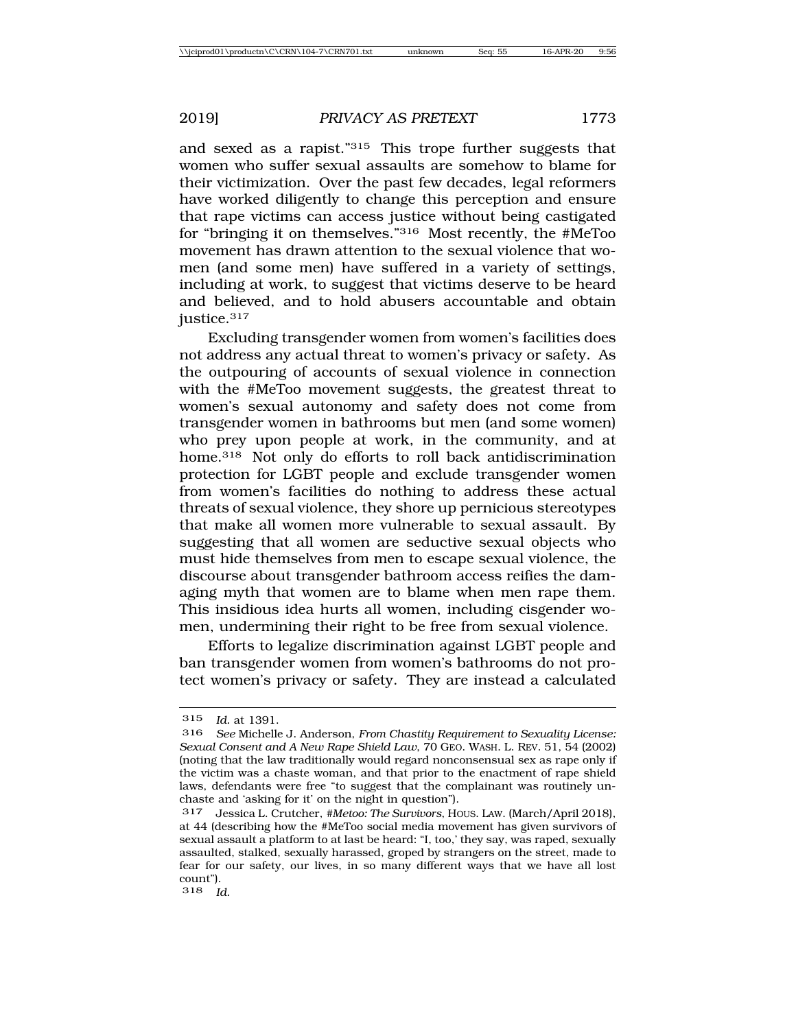and sexed as a rapist."315 This trope further suggests that women who suffer sexual assaults are somehow to blame for their victimization. Over the past few decades, legal reformers have worked diligently to change this perception and ensure that rape victims can access justice without being castigated for "bringing it on themselves."316 Most recently, the #MeToo movement has drawn attention to the sexual violence that women (and some men) have suffered in a variety of settings, including at work, to suggest that victims deserve to be heard and believed, and to hold abusers accountable and obtain justice.<sup>317</sup>

Excluding transgender women from women's facilities does not address any actual threat to women's privacy or safety. As the outpouring of accounts of sexual violence in connection with the #MeToo movement suggests, the greatest threat to women's sexual autonomy and safety does not come from transgender women in bathrooms but men (and some women) who prey upon people at work, in the community, and at home.<sup>318</sup> Not only do efforts to roll back antidiscrimination protection for LGBT people and exclude transgender women from women's facilities do nothing to address these actual threats of sexual violence, they shore up pernicious stereotypes that make all women more vulnerable to sexual assault. By suggesting that all women are seductive sexual objects who must hide themselves from men to escape sexual violence, the discourse about transgender bathroom access reifies the damaging myth that women are to blame when men rape them. This insidious idea hurts all women, including cisgender women, undermining their right to be free from sexual violence.

Efforts to legalize discrimination against LGBT people and ban transgender women from women's bathrooms do not protect women's privacy or safety. They are instead a calculated

<sup>315</sup> *Id.* at 1391.

<sup>316</sup> *See* Michelle J. Anderson, *From Chastity Requirement to Sexuality License: Sexual Consent and A New Rape Shield Law*, 70 GEO. WASH. L. REV. 51, 54 (2002) (noting that the law traditionally would regard nonconsensual sex as rape only if the victim was a chaste woman, and that prior to the enactment of rape shield laws, defendants were free "to suggest that the complainant was routinely unchaste and 'asking for it' on the night in question").

<sup>317</sup> Jessica L. Crutcher, *#Metoo: The Survivors*, HOUS. LAW. (March/April 2018), at 44 (describing how the #MeToo social media movement has given survivors of sexual assault a platform to at last be heard: "I, too,' they say, was raped, sexually assaulted, stalked, sexually harassed, groped by strangers on the street, made to fear for our safety, our lives, in so many different ways that we have all lost count").

<sup>318</sup> *Id.*